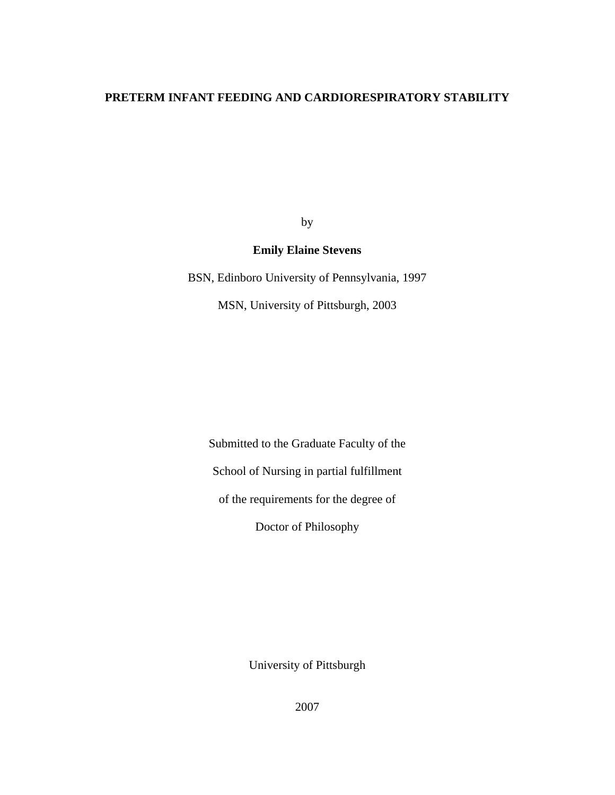## **PRETERM INFANT FEEDING AND CARDIORESPIRATORY STABILITY**

by

## **Emily Elaine Stevens**

BSN, Edinboro University of Pennsylvania, 1997

MSN, University of Pittsburgh, 2003

Submitted to the Graduate Faculty of the School of Nursing in partial fulfillment of the requirements for the degree of Doctor of Philosophy

University of Pittsburgh

2007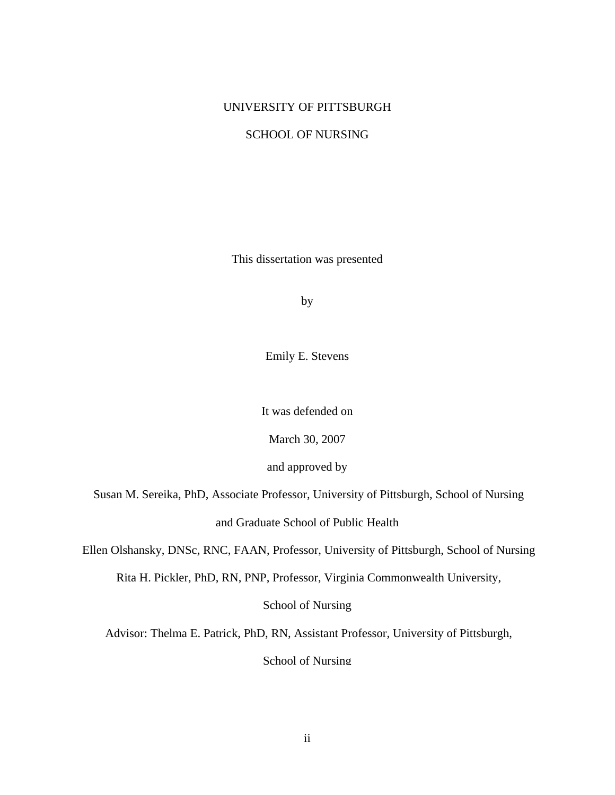#### UNIVERSITY OF PITTSBURGH

#### SCHOOL OF NURSING

This dissertation was presented

by

Emily E. Stevens

It was defended on

March 30, 2007

and approved by

Susan M. Sereika, PhD, Associate Professor, University of Pittsburgh, School of Nursing

and Graduate School of Public Health

Ellen Olshansky, DNSc, RNC, FAAN, Professor, University of Pittsburgh, School of Nursing

Rita H. Pickler, PhD, RN, PNP, Professor, Virginia Commonwealth University,

School of Nursing

Advisor: Thelma E. Patrick, PhD, RN, Assistant Professor, University of Pittsburgh,

School of Nursing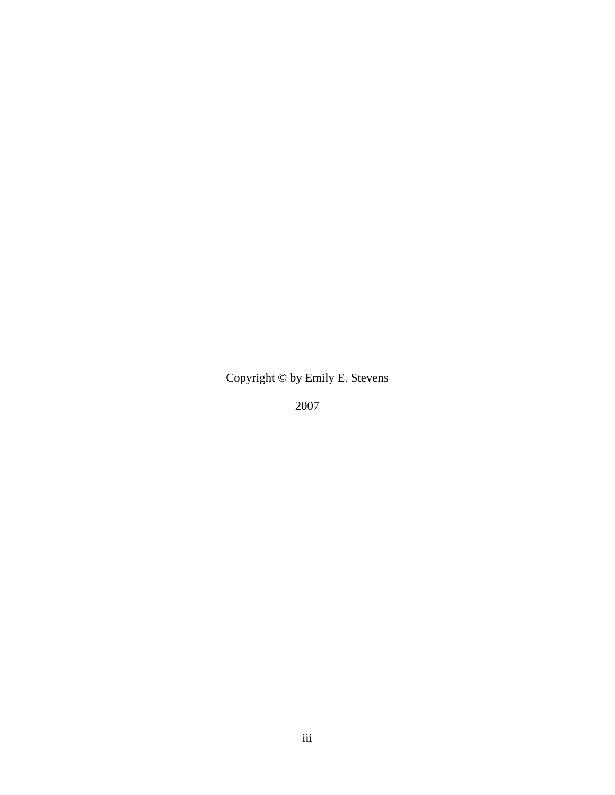Copyright © by Emily E. Stevens

2007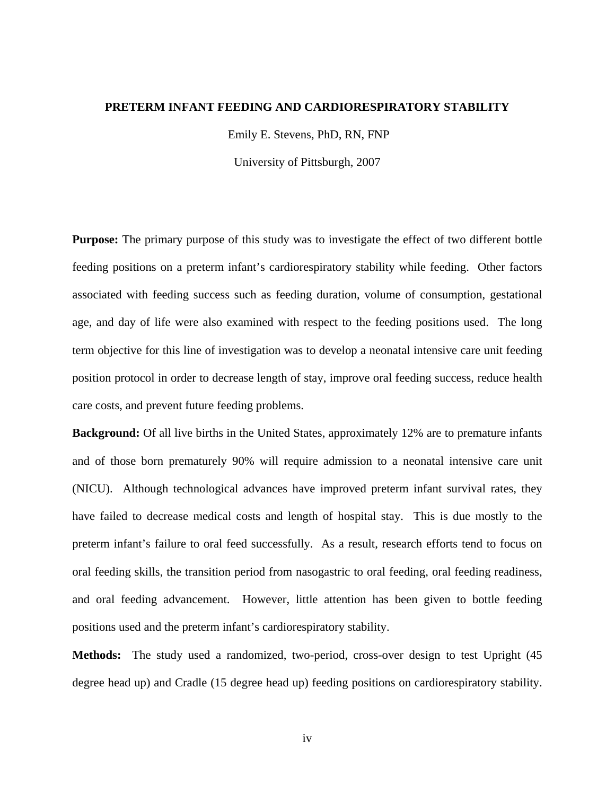#### **PRETERM INFANT FEEDING AND CARDIORESPIRATORY STABILITY**

Emily E. Stevens, PhD, RN, FNP

University of Pittsburgh, 2007

**Purpose:** The primary purpose of this study was to investigate the effect of two different bottle feeding positions on a preterm infant's cardiorespiratory stability while feeding. Other factors associated with feeding success such as feeding duration, volume of consumption, gestational age, and day of life were also examined with respect to the feeding positions used. The long term objective for this line of investigation was to develop a neonatal intensive care unit feeding position protocol in order to decrease length of stay, improve oral feeding success, reduce health care costs, and prevent future feeding problems.

**Background:** Of all live births in the United States, approximately 12% are to premature infants and of those born prematurely 90% will require admission to a neonatal intensive care unit (NICU). Although technological advances have improved preterm infant survival rates, they have failed to decrease medical costs and length of hospital stay. This is due mostly to the preterm infant's failure to oral feed successfully. As a result, research efforts tend to focus on oral feeding skills, the transition period from nasogastric to oral feeding, oral feeding readiness, and oral feeding advancement. However, little attention has been given to bottle feeding positions used and the preterm infant's cardiorespiratory stability.

**Methods:** The study used a randomized, two-period, cross-over design to test Upright (45 degree head up) and Cradle (15 degree head up) feeding positions on cardiorespiratory stability.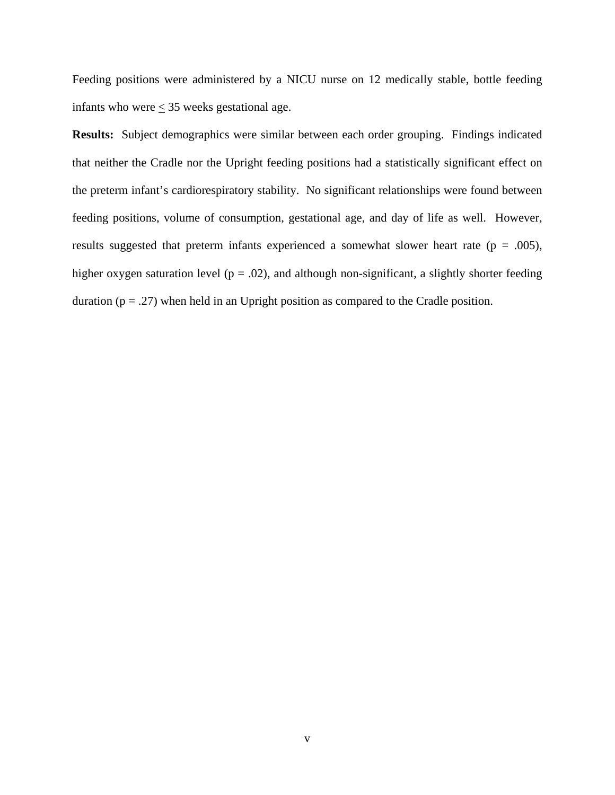Feeding positions were administered by a NICU nurse on 12 medically stable, bottle feeding infants who were  $\leq$  35 weeks gestational age.

**Results:** Subject demographics were similar between each order grouping. Findings indicated that neither the Cradle nor the Upright feeding positions had a statistically significant effect on the preterm infant's cardiorespiratory stability. No significant relationships were found between feeding positions, volume of consumption, gestational age, and day of life as well. However, results suggested that preterm infants experienced a somewhat slower heart rate ( $p = .005$ ), higher oxygen saturation level ( $p = .02$ ), and although non-significant, a slightly shorter feeding duration  $(p = .27)$  when held in an Upright position as compared to the Cradle position.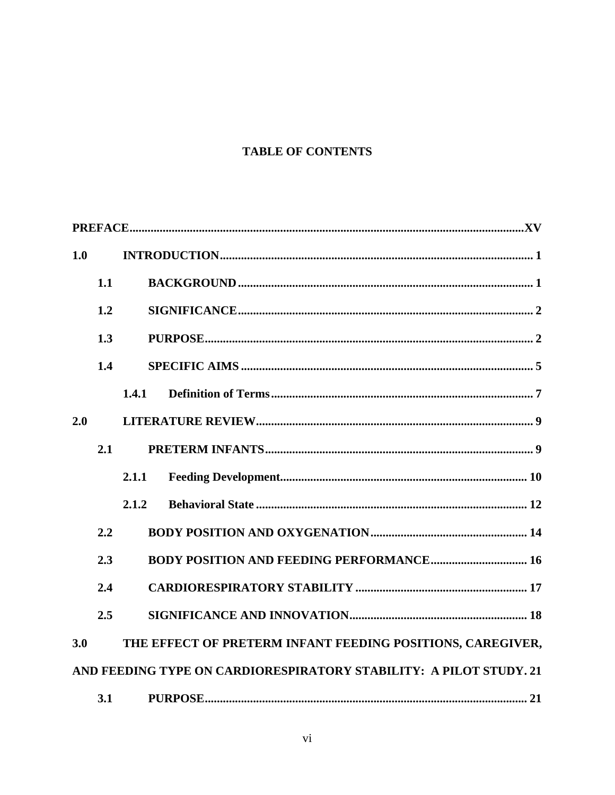# **TABLE OF CONTENTS**

| 1.0 |     |                                                                    |
|-----|-----|--------------------------------------------------------------------|
|     | 1.1 |                                                                    |
|     | 1.2 |                                                                    |
|     | 1.3 |                                                                    |
|     | 1.4 |                                                                    |
|     |     | 1.4.1                                                              |
| 2.0 |     |                                                                    |
|     | 2.1 |                                                                    |
|     |     | 2.1.1                                                              |
|     |     | 2.1.2                                                              |
|     | 2.2 |                                                                    |
|     | 2.3 | <b>BODY POSITION AND FEEDING PERFORMANCE 16</b>                    |
|     | 2.4 |                                                                    |
|     | 2.5 |                                                                    |
| 3.0 |     | THE EFFECT OF PRETERM INFANT FEEDING POSITIONS, CAREGIVER,         |
|     |     | AND FEEDING TYPE ON CARDIORESPIRATORY STABILITY: A PILOT STUDY. 21 |
|     | 3.1 |                                                                    |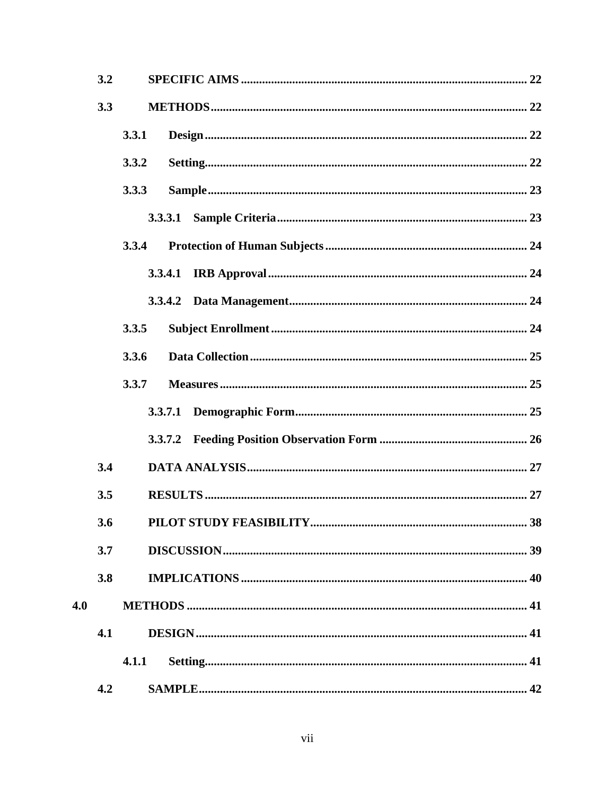|       | 3.2 |       |         |  |
|-------|-----|-------|---------|--|
|       | 3.3 |       |         |  |
|       |     | 3.3.1 |         |  |
| 3.3.2 |     |       |         |  |
|       |     | 3.3.3 |         |  |
|       |     |       | 3.3.3.1 |  |
|       |     | 3.3.4 |         |  |
|       |     |       | 3.3.4.1 |  |
| 3.3.5 |     |       |         |  |
|       |     |       |         |  |
|       |     | 3.3.6 |         |  |
|       |     | 3.3.7 |         |  |
|       |     |       | 3.3.7.1 |  |
|       |     |       | 3.3.7.2 |  |
|       | 3.4 |       |         |  |
|       | 3.5 |       |         |  |
|       | 3.6 |       | 38      |  |
|       | 3.7 |       |         |  |
|       | 3.8 |       |         |  |
| 4.0   |     |       |         |  |
|       | 4.1 |       |         |  |
|       |     | 4.1.1 |         |  |
|       | 4.2 |       |         |  |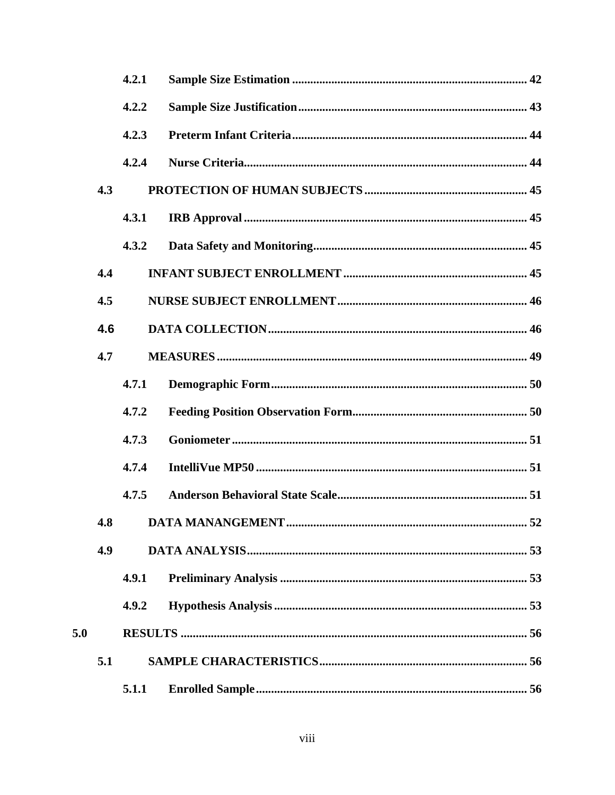|     |     | 4.2.1 |     |
|-----|-----|-------|-----|
|     |     | 4.2.2 |     |
|     |     | 4.2.3 |     |
|     |     | 4.2.4 |     |
|     | 4.3 |       |     |
|     |     | 4.3.1 |     |
|     |     | 4.3.2 |     |
|     | 4.4 |       |     |
|     | 4.5 |       |     |
| 4.6 |     |       |     |
|     | 4.7 |       |     |
|     |     | 4.7.1 |     |
|     |     | 4.7.2 |     |
|     |     | 4.7.3 |     |
|     |     | 4.7.4 |     |
|     |     | 4.7.5 |     |
|     |     |       | .52 |
|     | 4.9 |       |     |
|     |     | 4.9.1 |     |
|     |     | 4.9.2 |     |
| 5.0 |     |       |     |
|     | 5.1 |       |     |
|     |     | 5.1.1 |     |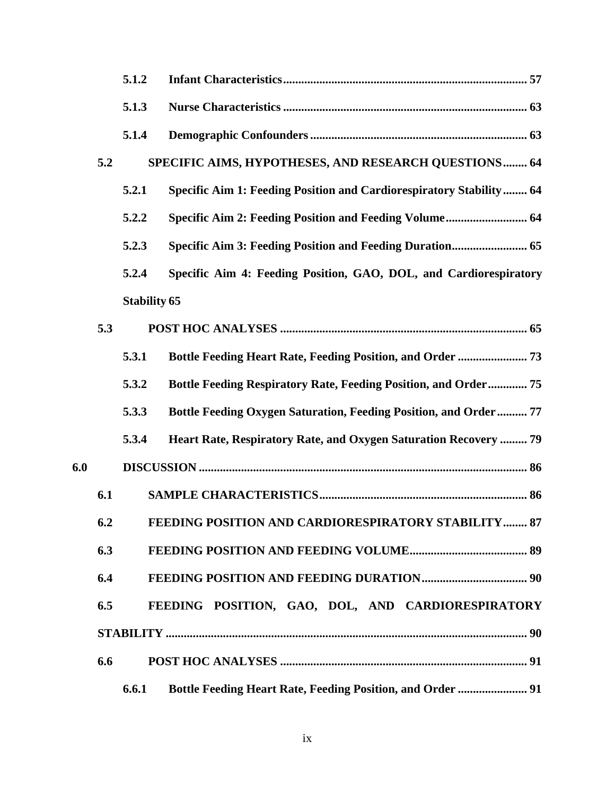|     |     | 5.1.2               |                                                                            |  |
|-----|-----|---------------------|----------------------------------------------------------------------------|--|
|     |     | 5.1.3               |                                                                            |  |
|     |     | 5.1.4               |                                                                            |  |
|     | 5.2 |                     | SPECIFIC AIMS, HYPOTHESES, AND RESEARCH QUESTIONS 64                       |  |
|     |     | 5.2.1               | <b>Specific Aim 1: Feeding Position and Cardiorespiratory Stability 64</b> |  |
|     |     | 5.2.2               | Specific Aim 2: Feeding Position and Feeding Volume 64                     |  |
|     |     | 5.2.3               |                                                                            |  |
|     |     | 5.2.4               | Specific Aim 4: Feeding Position, GAO, DOL, and Cardiorespiratory          |  |
|     |     | <b>Stability 65</b> |                                                                            |  |
|     | 5.3 |                     |                                                                            |  |
|     |     | 5.3.1               | <b>Bottle Feeding Heart Rate, Feeding Position, and Order  73</b>          |  |
|     |     | 5.3.2               | <b>Bottle Feeding Respiratory Rate, Feeding Position, and Order 75</b>     |  |
|     |     | 5.3.3               | <b>Bottle Feeding Oxygen Saturation, Feeding Position, and Order  77</b>   |  |
|     |     | 5.3.4               | Heart Rate, Respiratory Rate, and Oxygen Saturation Recovery  79           |  |
| 6.0 |     |                     |                                                                            |  |
|     | 6.1 |                     |                                                                            |  |
|     | 6.2 |                     | FEEDING POSITION AND CARDIORESPIRATORY STABILITY 87                        |  |
|     | 6.3 |                     |                                                                            |  |
|     | 6.4 |                     |                                                                            |  |
|     | 6.5 |                     | FEEDING POSITION, GAO, DOL, AND CARDIORESPIRATORY                          |  |
|     |     |                     |                                                                            |  |
|     | 6.6 |                     |                                                                            |  |
|     |     | 6.6.1               | <b>Bottle Feeding Heart Rate, Feeding Position, and Order  91</b>          |  |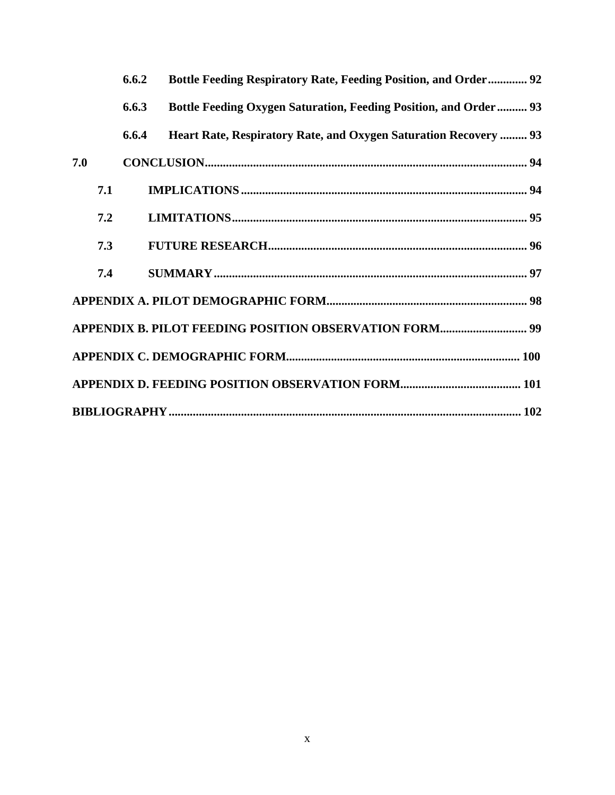|     | 6.6.2 | <b>Bottle Feeding Respiratory Rate, Feeding Position, and Order 92</b>   |  |
|-----|-------|--------------------------------------------------------------------------|--|
|     | 6.6.3 | <b>Bottle Feeding Oxygen Saturation, Feeding Position, and Order  93</b> |  |
|     | 6.6.4 | Heart Rate, Respiratory Rate, and Oxygen Saturation Recovery  93         |  |
| 7.0 |       |                                                                          |  |
| 7.1 |       |                                                                          |  |
| 7.2 |       |                                                                          |  |
| 7.3 |       |                                                                          |  |
| 7.4 |       |                                                                          |  |
|     |       |                                                                          |  |
|     |       |                                                                          |  |
|     |       |                                                                          |  |
|     |       |                                                                          |  |
|     |       |                                                                          |  |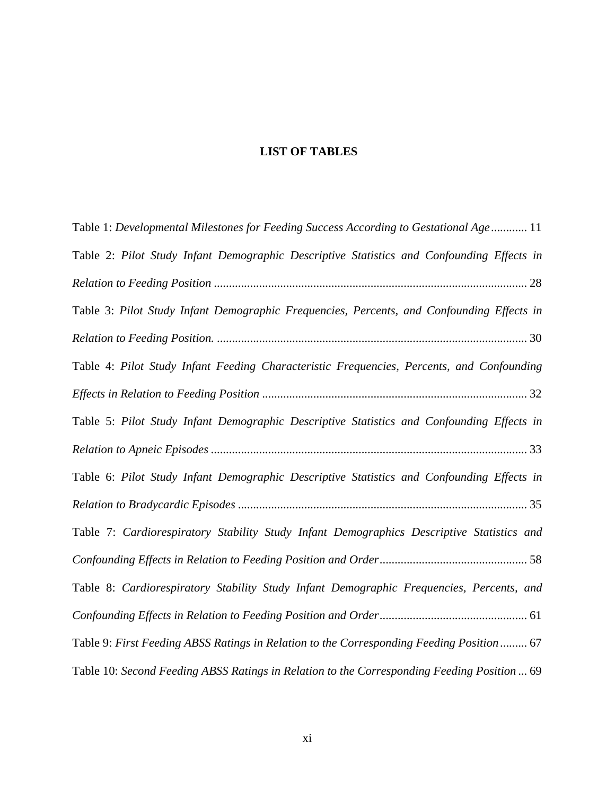# **LIST OF TABLES**

| Table 1: Developmental Milestones for Feeding Success According to Gestational Age 11       |
|---------------------------------------------------------------------------------------------|
| Table 2: Pilot Study Infant Demographic Descriptive Statistics and Confounding Effects in   |
|                                                                                             |
| Table 3: Pilot Study Infant Demographic Frequencies, Percents, and Confounding Effects in   |
|                                                                                             |
| Table 4: Pilot Study Infant Feeding Characteristic Frequencies, Percents, and Confounding   |
|                                                                                             |
| Table 5: Pilot Study Infant Demographic Descriptive Statistics and Confounding Effects in   |
|                                                                                             |
| Table 6: Pilot Study Infant Demographic Descriptive Statistics and Confounding Effects in   |
|                                                                                             |
| Table 7: Cardiorespiratory Stability Study Infant Demographics Descriptive Statistics and   |
|                                                                                             |
| Table 8: Cardiorespiratory Stability Study Infant Demographic Frequencies, Percents, and    |
|                                                                                             |
| Table 9: First Feeding ABSS Ratings in Relation to the Corresponding Feeding Position  67   |
| Table 10: Second Feeding ABSS Ratings in Relation to the Corresponding Feeding Position  69 |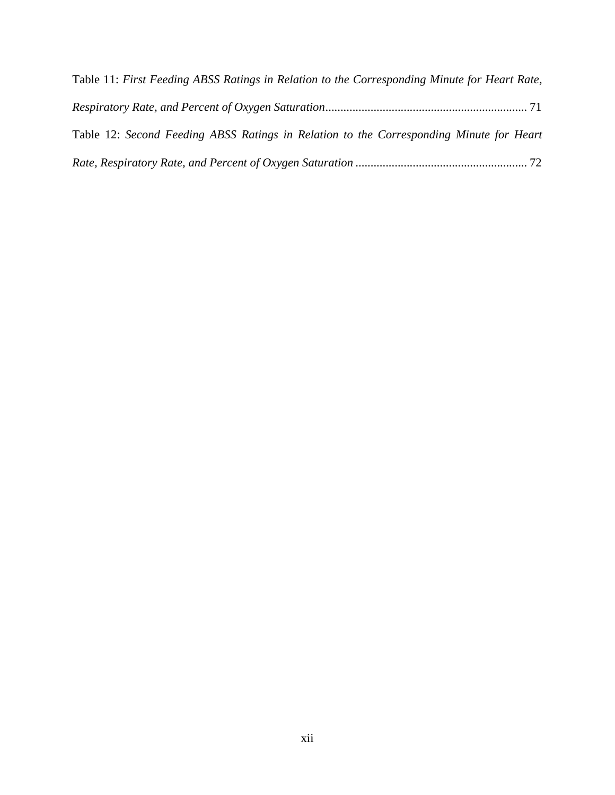| Table 11: First Feeding ABSS Ratings in Relation to the Corresponding Minute for Heart Rate, |
|----------------------------------------------------------------------------------------------|
|                                                                                              |
| Table 12: Second Feeding ABSS Ratings in Relation to the Corresponding Minute for Heart      |
|                                                                                              |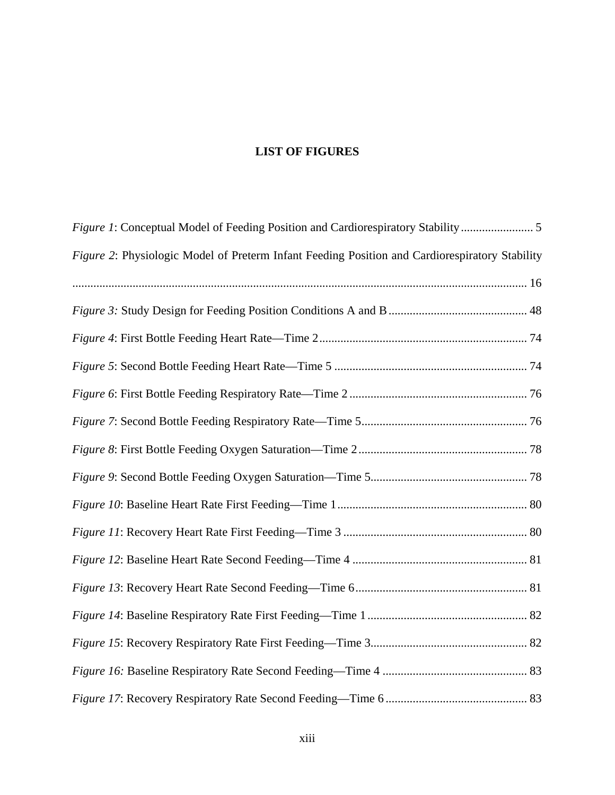# **LIST OF FIGURES**

| Figure 1: Conceptual Model of Feeding Position and Cardiorespiratory Stability                 |
|------------------------------------------------------------------------------------------------|
| Figure 2: Physiologic Model of Preterm Infant Feeding Position and Cardiorespiratory Stability |
|                                                                                                |
|                                                                                                |
|                                                                                                |
|                                                                                                |
|                                                                                                |
|                                                                                                |
|                                                                                                |
|                                                                                                |
|                                                                                                |
|                                                                                                |
|                                                                                                |
|                                                                                                |
|                                                                                                |
|                                                                                                |
|                                                                                                |
|                                                                                                |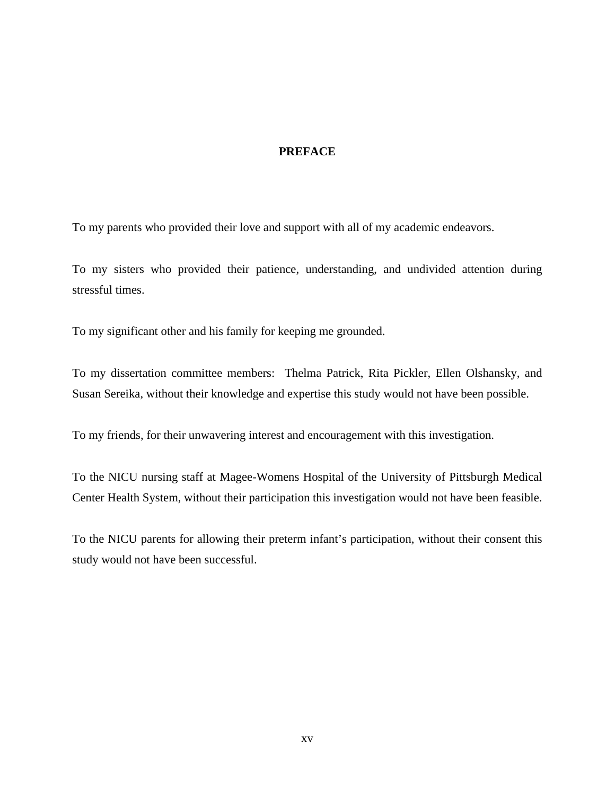## **PREFACE**

<span id="page-14-0"></span>To my parents who provided their love and support with all of my academic endeavors.

To my sisters who provided their patience, understanding, and undivided attention during stressful times.

To my significant other and his family for keeping me grounded.

To my dissertation committee members: Thelma Patrick, Rita Pickler, Ellen Olshansky, and Susan Sereika, without their knowledge and expertise this study would not have been possible.

To my friends, for their unwavering interest and encouragement with this investigation.

To the NICU nursing staff at Magee-Womens Hospital of the University of Pittsburgh Medical Center Health System, without their participation this investigation would not have been feasible.

To the NICU parents for allowing their preterm infant's participation, without their consent this study would not have been successful.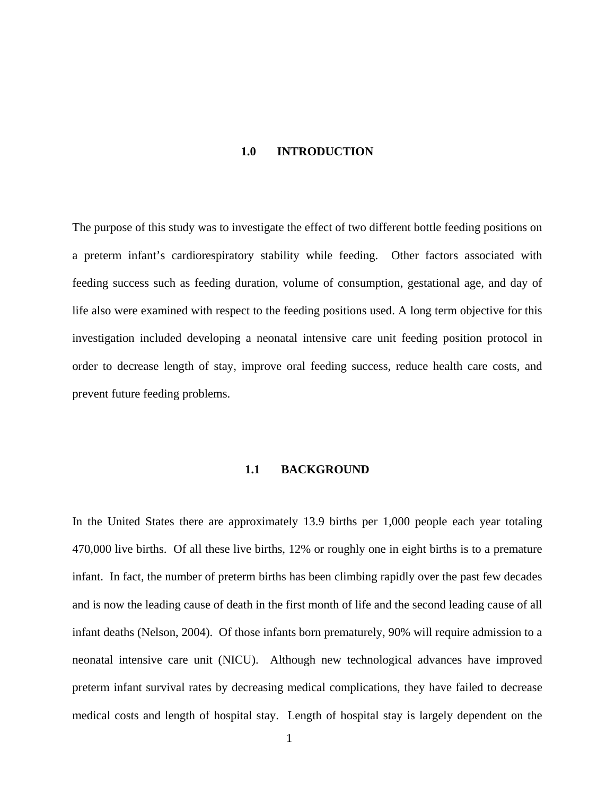#### **1.0 INTRODUCTION**

<span id="page-15-0"></span>The purpose of this study was to investigate the effect of two different bottle feeding positions on a preterm infant's cardiorespiratory stability while feeding. Other factors associated with feeding success such as feeding duration, volume of consumption, gestational age, and day of life also were examined with respect to the feeding positions used. A long term objective for this investigation included developing a neonatal intensive care unit feeding position protocol in order to decrease length of stay, improve oral feeding success, reduce health care costs, and prevent future feeding problems.

#### **1.1 BACKGROUND**

In the United States there are approximately 13.9 births per 1,000 people each year totaling 470,000 live births. Of all these live births, 12% or roughly one in eight births is to a premature infant. In fact, the number of preterm births has been climbing rapidly over the past few decades and is now the leading cause of death in the first month of life and the second leading cause of all infant deaths (Nelson, 2004). Of those infants born prematurely, 90% will require admission to a neonatal intensive care unit (NICU). Although new technological advances have improved preterm infant survival rates by decreasing medical complications, they have failed to decrease medical costs and length of hospital stay. Length of hospital stay is largely dependent on the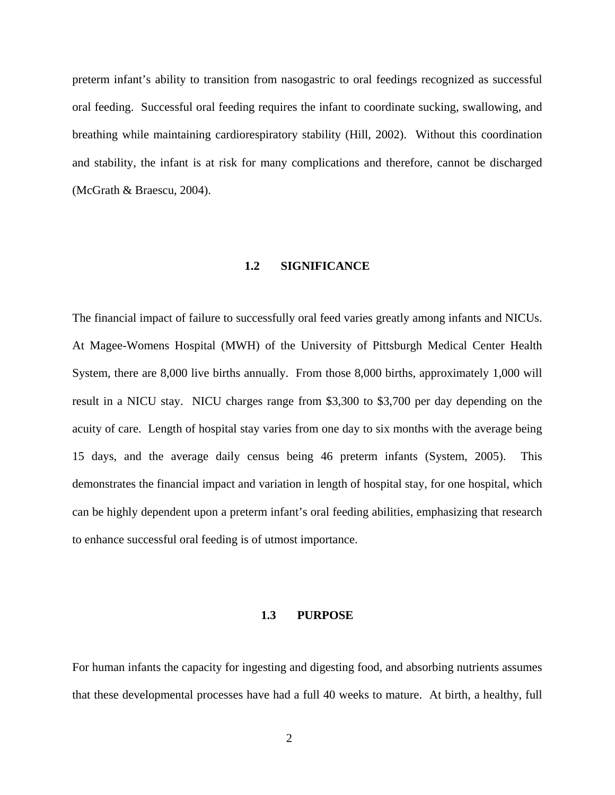<span id="page-16-0"></span>preterm infant's ability to transition from nasogastric to oral feedings recognized as successful oral feeding. Successful oral feeding requires the infant to coordinate sucking, swallowing, and breathing while maintaining cardiorespiratory stability (Hill, 2002). Without this coordination and stability, the infant is at risk for many complications and therefore, cannot be discharged (McGrath & Braescu, 2004).

#### **1.2 SIGNIFICANCE**

The financial impact of failure to successfully oral feed varies greatly among infants and NICUs. At Magee-Womens Hospital (MWH) of the University of Pittsburgh Medical Center Health System, there are 8,000 live births annually. From those 8,000 births, approximately 1,000 will result in a NICU stay. NICU charges range from \$3,300 to \$3,700 per day depending on the acuity of care. Length of hospital stay varies from one day to six months with the average being 15 days, and the average daily census being 46 preterm infants (System, 2005). This demonstrates the financial impact and variation in length of hospital stay, for one hospital, which can be highly dependent upon a preterm infant's oral feeding abilities, emphasizing that research to enhance successful oral feeding is of utmost importance.

#### **1.3 PURPOSE**

For human infants the capacity for ingesting and digesting food, and absorbing nutrients assumes that these developmental processes have had a full 40 weeks to mature. At birth, a healthy, full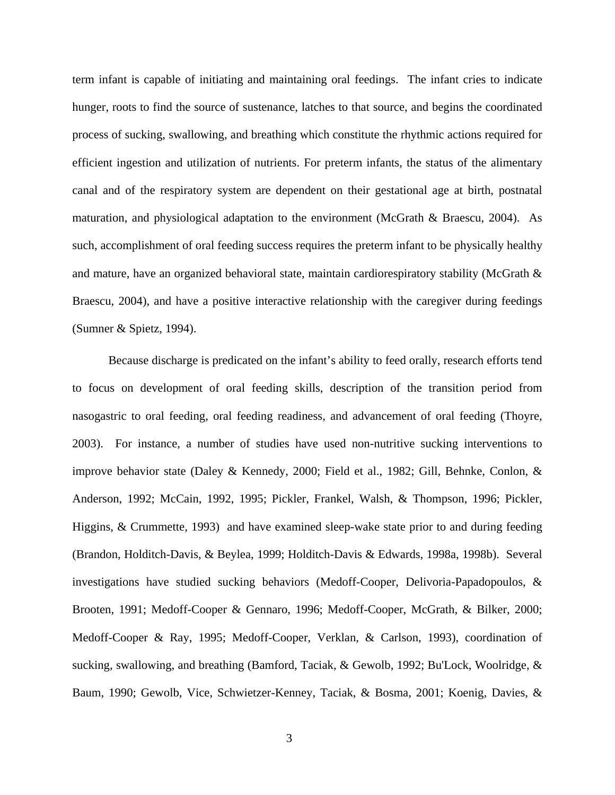term infant is capable of initiating and maintaining oral feedings. The infant cries to indicate hunger, roots to find the source of sustenance, latches to that source, and begins the coordinated process of sucking, swallowing, and breathing which constitute the rhythmic actions required for efficient ingestion and utilization of nutrients. For preterm infants, the status of the alimentary canal and of the respiratory system are dependent on their gestational age at birth, postnatal maturation, and physiological adaptation to the environment (McGrath & Braescu, 2004). As such, accomplishment of oral feeding success requires the preterm infant to be physically healthy and mature, have an organized behavioral state, maintain cardiorespiratory stability (McGrath & Braescu, 2004), and have a positive interactive relationship with the caregiver during feedings (Sumner & Spietz, 1994).

Because discharge is predicated on the infant's ability to feed orally, research efforts tend to focus on development of oral feeding skills, description of the transition period from nasogastric to oral feeding, oral feeding readiness, and advancement of oral feeding (Thoyre, 2003). For instance, a number of studies have used non-nutritive sucking interventions to improve behavior state (Daley & Kennedy, 2000; Field et al., 1982; Gill, Behnke, Conlon, & Anderson, 1992; McCain, 1992, 1995; Pickler, Frankel, Walsh, & Thompson, 1996; Pickler, Higgins, & Crummette, 1993) and have examined sleep-wake state prior to and during feeding (Brandon, Holditch-Davis, & Beylea, 1999; Holditch-Davis & Edwards, 1998a, 1998b). Several investigations have studied sucking behaviors (Medoff-Cooper, Delivoria-Papadopoulos, & Brooten, 1991; Medoff-Cooper & Gennaro, 1996; Medoff-Cooper, McGrath, & Bilker, 2000; Medoff-Cooper & Ray, 1995; Medoff-Cooper, Verklan, & Carlson, 1993), coordination of sucking, swallowing, and breathing (Bamford, Taciak, & Gewolb, 1992; Bu'Lock, Woolridge, & Baum, 1990; Gewolb, Vice, Schwietzer-Kenney, Taciak, & Bosma, 2001; Koenig, Davies, &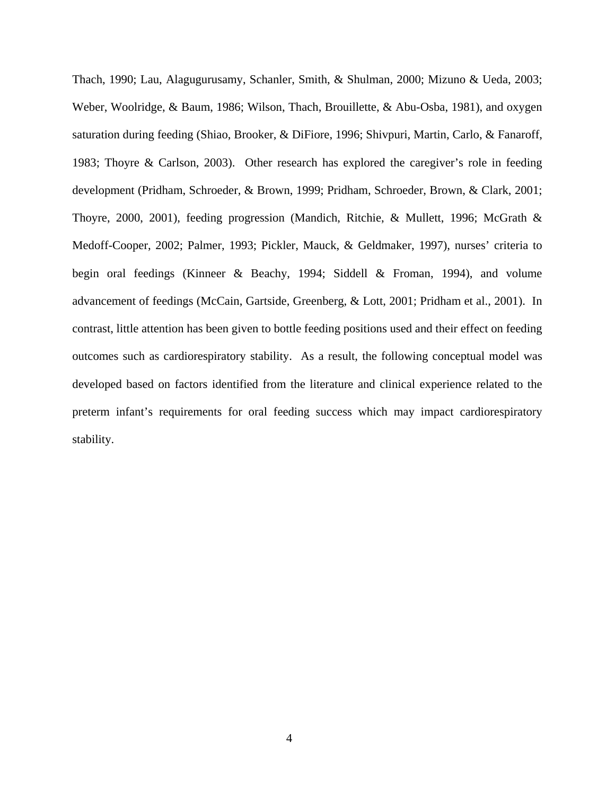Thach, 1990; Lau, Alagugurusamy, Schanler, Smith, & Shulman, 2000; Mizuno & Ueda, 2003; Weber, Woolridge, & Baum, 1986; Wilson, Thach, Brouillette, & Abu-Osba, 1981), and oxygen saturation during feeding (Shiao, Brooker, & DiFiore, 1996; Shivpuri, Martin, Carlo, & Fanaroff, 1983; Thoyre & Carlson, 2003). Other research has explored the caregiver's role in feeding development (Pridham, Schroeder, & Brown, 1999; Pridham, Schroeder, Brown, & Clark, 2001; Thoyre, 2000, 2001), feeding progression (Mandich, Ritchie, & Mullett, 1996; McGrath & Medoff-Cooper, 2002; Palmer, 1993; Pickler, Mauck, & Geldmaker, 1997), nurses' criteria to begin oral feedings (Kinneer & Beachy, 1994; Siddell & Froman, 1994), and volume advancement of feedings (McCain, Gartside, Greenberg, & Lott, 2001; Pridham et al., 2001). In contrast, little attention has been given to bottle feeding positions used and their effect on feeding outcomes such as cardiorespiratory stability.As a result, the following conceptual model was developed based on factors identified from the literature and clinical experience related to the preterm infant's requirements for oral feeding success which may impact cardiorespiratory stability.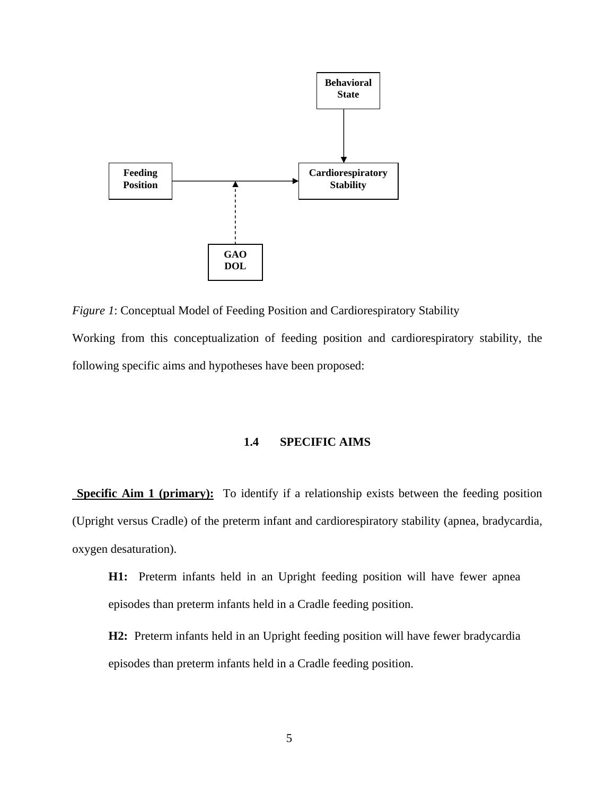<span id="page-19-0"></span>

*Figure 1*: Conceptual Model of Feeding Position and Cardiorespiratory Stability Working from this conceptualization of feeding position and cardiorespiratory stability, the following specific aims and hypotheses have been proposed:

#### **1.4 SPECIFIC AIMS**

**Specific Aim 1 (primary):** To identify if a relationship exists between the feeding position (Upright versus Cradle) of the preterm infant and cardiorespiratory stability (apnea, bradycardia, oxygen desaturation).

- **H1:** Preterm infants held in an Upright feeding position will have fewer apnea episodes than preterm infants held in a Cradle feeding position.
- **H2:** Preterm infants held in an Upright feeding position will have fewer bradycardia episodes than preterm infants held in a Cradle feeding position.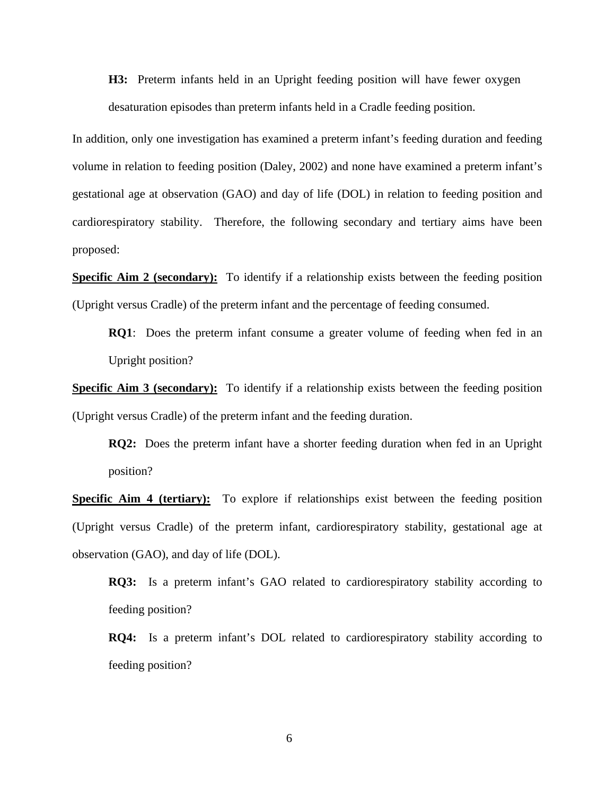**H3:** Preterm infants held in an Upright feeding position will have fewer oxygen desaturation episodes than preterm infants held in a Cradle feeding position.

In addition, only one investigation has examined a preterm infant's feeding duration and feeding volume in relation to feeding position (Daley, 2002) and none have examined a preterm infant's gestational age at observation (GAO) and day of life (DOL) in relation to feeding position and cardiorespiratory stability. Therefore, the following secondary and tertiary aims have been proposed:

**Specific Aim 2 (secondary):** To identify if a relationship exists between the feeding position (Upright versus Cradle) of the preterm infant and the percentage of feeding consumed.

**RQ1**: Does the preterm infant consume a greater volume of feeding when fed in an Upright position?

**Specific Aim 3 (secondary):** To identify if a relationship exists between the feeding position (Upright versus Cradle) of the preterm infant and the feeding duration.

**RQ2:** Does the preterm infant have a shorter feeding duration when fed in an Upright position?

**Specific Aim 4 (tertiary):** To explore if relationships exist between the feeding position (Upright versus Cradle) of the preterm infant, cardiorespiratory stability, gestational age at observation (GAO), and day of life (DOL).

**RQ3:** Is a preterm infant's GAO related to cardiorespiratory stability according to feeding position?

**RQ4:** Is a preterm infant's DOL related to cardiorespiratory stability according to feeding position?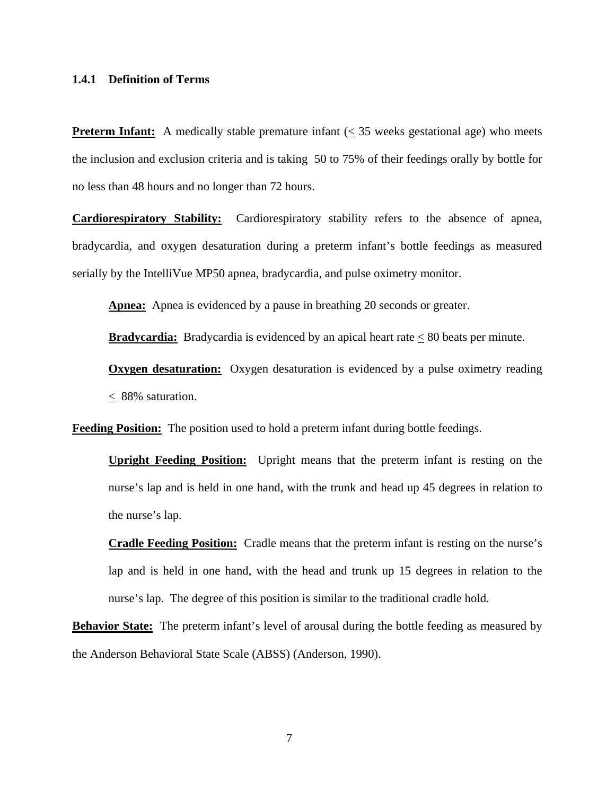#### <span id="page-21-0"></span>**1.4.1 Definition of Terms**

**Preterm Infant:** A medically stable premature infant  $(\leq 35$  weeks gestational age) who meets the inclusion and exclusion criteria and is taking 50 to 75% of their feedings orally by bottle for no less than 48 hours and no longer than 72 hours.

**Cardiorespiratory Stability:** Cardiorespiratory stability refers to the absence of apnea, bradycardia, and oxygen desaturation during a preterm infant's bottle feedings as measured serially by the IntelliVue MP50 apnea, bradycardia, and pulse oximetry monitor.

Apnea: Apnea is evidenced by a pause in breathing 20 seconds or greater.

**Bradycardia:** Bradycardia is evidenced by an apical heart rate < 80 beats per minute.

**Oxygen desaturation:** Oxygen desaturation is evidenced by a pulse oximetry reading  $\leq$  88% saturation.

**Feeding Position:** The position used to hold a preterm infant during bottle feedings.

**Upright Feeding Position:** Upright means that the preterm infant is resting on the nurse's lap and is held in one hand, with the trunk and head up 45 degrees in relation to the nurse's lap.

**Cradle Feeding Position:** Cradle means that the preterm infant is resting on the nurse's lap and is held in one hand, with the head and trunk up 15 degrees in relation to the nurse's lap. The degree of this position is similar to the traditional cradle hold.

**Behavior State:** The preterm infant's level of arousal during the bottle feeding as measured by the Anderson Behavioral State Scale (ABSS) (Anderson, 1990).

7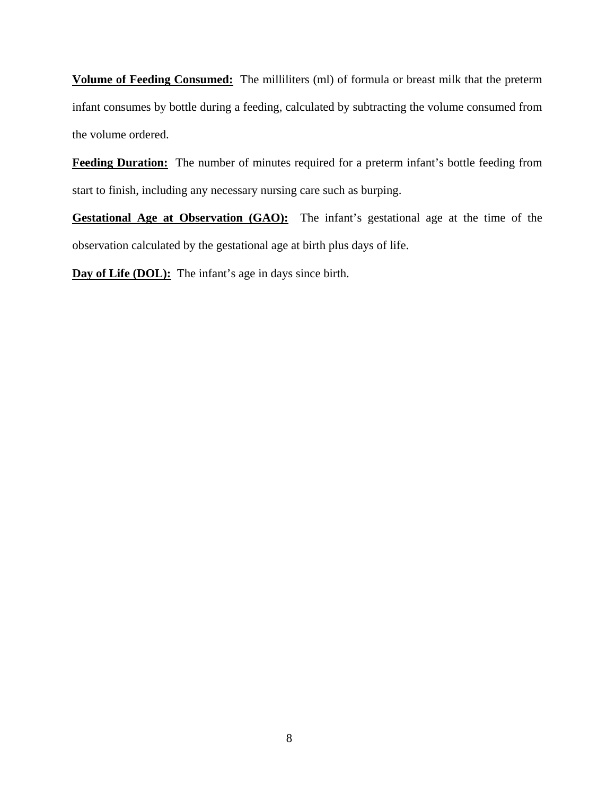**Volume of Feeding Consumed:** The milliliters (ml) of formula or breast milk that the preterm infant consumes by bottle during a feeding, calculated by subtracting the volume consumed from the volume ordered.

**Feeding Duration:** The number of minutes required for a preterm infant's bottle feeding from start to finish, including any necessary nursing care such as burping.

**Gestational Age at Observation (GAO):** The infant's gestational age at the time of the observation calculated by the gestational age at birth plus days of life.

**Day of Life (DOL):** The infant's age in days since birth.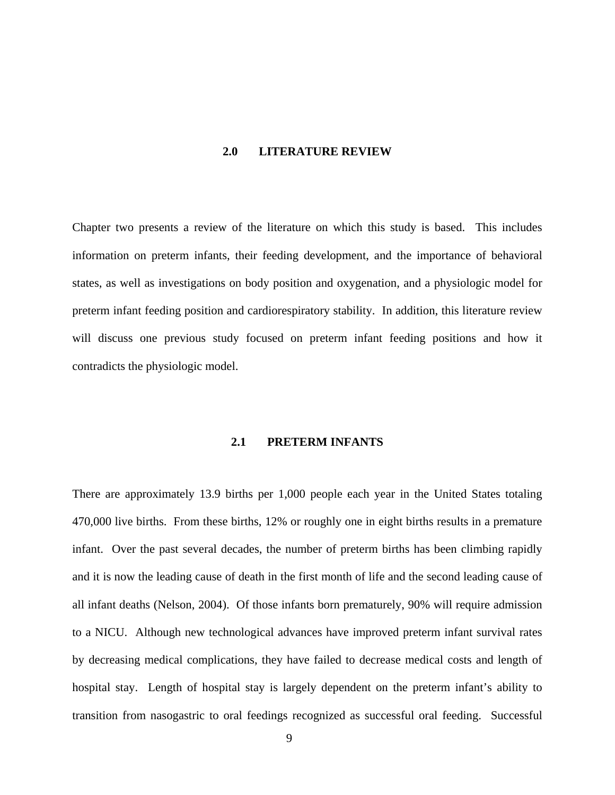#### **2.0 LITERATURE REVIEW**

<span id="page-23-0"></span>Chapter two presents a review of the literature on which this study is based. This includes information on preterm infants, their feeding development, and the importance of behavioral states, as well as investigations on body position and oxygenation, and a physiologic model for preterm infant feeding position and cardiorespiratory stability. In addition, this literature review will discuss one previous study focused on preterm infant feeding positions and how it contradicts the physiologic model.

#### **2.1 PRETERM INFANTS**

There are approximately 13.9 births per 1,000 people each year in the United States totaling 470,000 live births. From these births, 12% or roughly one in eight births results in a premature infant. Over the past several decades, the number of preterm births has been climbing rapidly and it is now the leading cause of death in the first month of life and the second leading cause of all infant deaths (Nelson, 2004). Of those infants born prematurely, 90% will require admission to a NICU. Although new technological advances have improved preterm infant survival rates by decreasing medical complications, they have failed to decrease medical costs and length of hospital stay. Length of hospital stay is largely dependent on the preterm infant's ability to transition from nasogastric to oral feedings recognized as successful oral feeding. Successful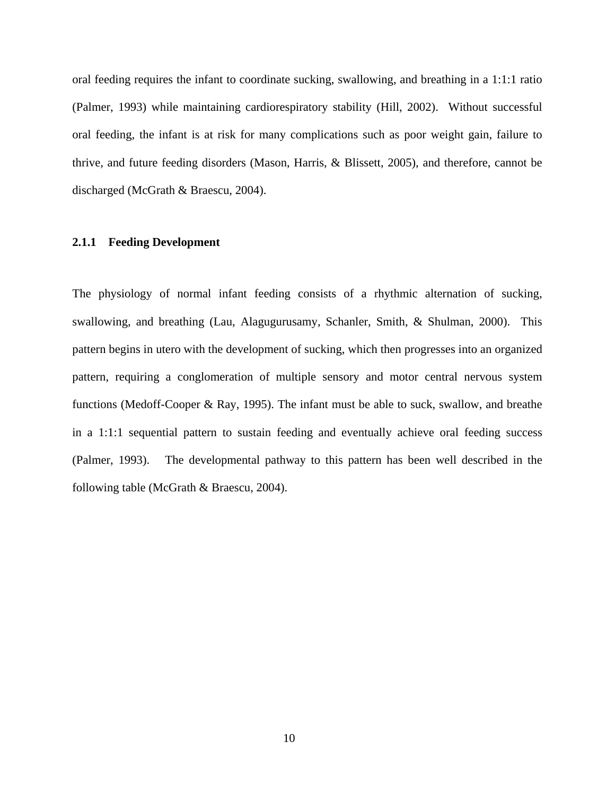<span id="page-24-0"></span>oral feeding requires the infant to coordinate sucking, swallowing, and breathing in a 1:1:1 ratio (Palmer, 1993) while maintaining cardiorespiratory stability (Hill, 2002). Without successful oral feeding, the infant is at risk for many complications such as poor weight gain, failure to thrive, and future feeding disorders (Mason, Harris, & Blissett, 2005), and therefore, cannot be discharged (McGrath & Braescu, 2004).

#### **2.1.1 Feeding Development**

The physiology of normal infant feeding consists of a rhythmic alternation of sucking, swallowing, and breathing (Lau, Alagugurusamy, Schanler, Smith, & Shulman, 2000). This pattern begins in utero with the development of sucking, which then progresses into an organized pattern, requiring a conglomeration of multiple sensory and motor central nervous system functions (Medoff-Cooper & Ray, 1995). The infant must be able to suck, swallow, and breathe in a 1:1:1 sequential pattern to sustain feeding and eventually achieve oral feeding success (Palmer, 1993). The developmental pathway to this pattern has been well described in the following table (McGrath & Braescu, 2004).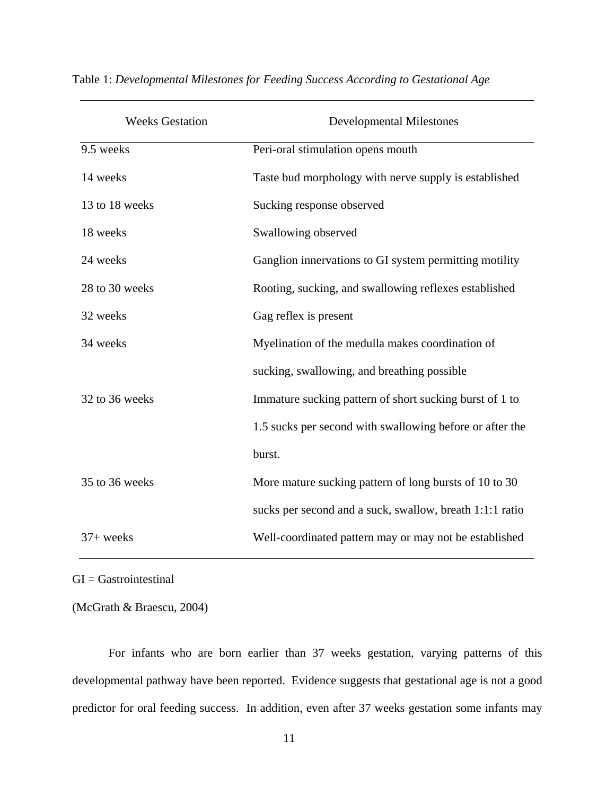| <b>Weeks Gestation</b> | <b>Developmental Milestones</b>                          |
|------------------------|----------------------------------------------------------|
| 9.5 weeks              | Peri-oral stimulation opens mouth                        |
| 14 weeks               | Taste bud morphology with nerve supply is established    |
| 13 to 18 weeks         | Sucking response observed                                |
| 18 weeks               | Swallowing observed                                      |
| 24 weeks               | Ganglion innervations to GI system permitting motility   |
| 28 to 30 weeks         | Rooting, sucking, and swallowing reflexes established    |
| 32 weeks               | Gag reflex is present                                    |
| 34 weeks               | Myelination of the medulla makes coordination of         |
|                        | sucking, swallowing, and breathing possible              |
| 32 to 36 weeks         | Immature sucking pattern of short sucking burst of 1 to  |
|                        | 1.5 sucks per second with swallowing before or after the |
|                        | burst.                                                   |
| 35 to 36 weeks         | More mature sucking pattern of long bursts of 10 to 30   |
|                        | sucks per second and a suck, swallow, breath 1:1:1 ratio |
| $37+$ weeks            | Well-coordinated pattern may or may not be established   |

<span id="page-25-0"></span>Table 1: *Developmental Milestones for Feeding Success According to Gestational Age* 

GI = Gastrointestinal

(McGrath & Braescu, 2004)

For infants who are born earlier than 37 weeks gestation, varying patterns of this developmental pathway have been reported. Evidence suggests that gestational age is not a good predictor for oral feeding success. In addition, even after 37 weeks gestation some infants may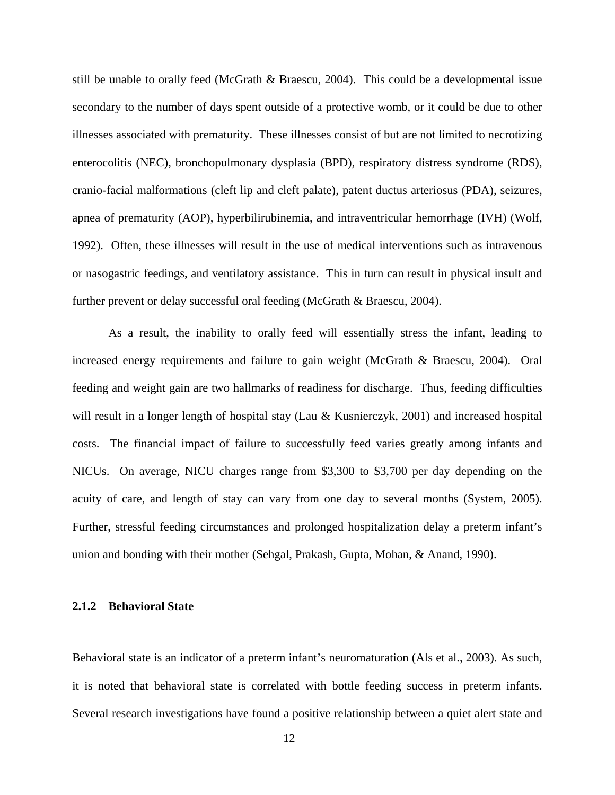<span id="page-26-0"></span>still be unable to orally feed (McGrath & Braescu, 2004). This could be a developmental issue secondary to the number of days spent outside of a protective womb, or it could be due to other illnesses associated with prematurity. These illnesses consist of but are not limited to necrotizing enterocolitis (NEC), bronchopulmonary dysplasia (BPD), respiratory distress syndrome (RDS), cranio-facial malformations (cleft lip and cleft palate), patent ductus arteriosus (PDA), seizures, apnea of prematurity (AOP), hyperbilirubinemia, and intraventricular hemorrhage (IVH) (Wolf, 1992). Often, these illnesses will result in the use of medical interventions such as intravenous or nasogastric feedings, and ventilatory assistance. This in turn can result in physical insult and further prevent or delay successful oral feeding (McGrath & Braescu, 2004).

As a result, the inability to orally feed will essentially stress the infant, leading to increased energy requirements and failure to gain weight (McGrath & Braescu, 2004). Oral feeding and weight gain are two hallmarks of readiness for discharge. Thus, feeding difficulties will result in a longer length of hospital stay (Lau & Kusnierczyk, 2001) and increased hospital costs. The financial impact of failure to successfully feed varies greatly among infants and NICUs. On average, NICU charges range from \$3,300 to \$3,700 per day depending on the acuity of care, and length of stay can vary from one day to several months (System, 2005). Further, stressful feeding circumstances and prolonged hospitalization delay a preterm infant's union and bonding with their mother (Sehgal, Prakash, Gupta, Mohan, & Anand, 1990).

#### **2.1.2 Behavioral State**

Behavioral state is an indicator of a preterm infant's neuromaturation (Als et al., 2003). As such, it is noted that behavioral state is correlated with bottle feeding success in preterm infants. Several research investigations have found a positive relationship between a quiet alert state and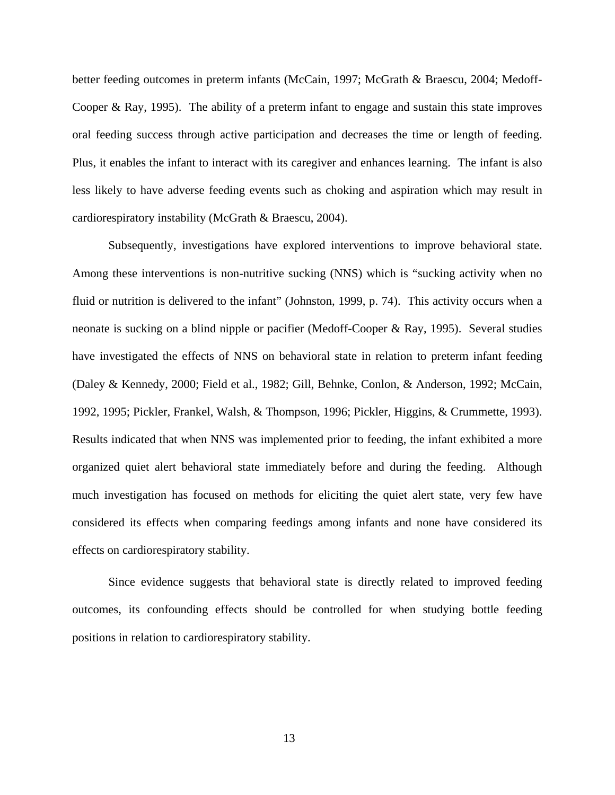better feeding outcomes in preterm infants (McCain, 1997; McGrath & Braescu, 2004; Medoff-Cooper & Ray, 1995). The ability of a preterm infant to engage and sustain this state improves oral feeding success through active participation and decreases the time or length of feeding. Plus, it enables the infant to interact with its caregiver and enhances learning. The infant is also less likely to have adverse feeding events such as choking and aspiration which may result in cardiorespiratory instability (McGrath & Braescu, 2004).

Subsequently, investigations have explored interventions to improve behavioral state. Among these interventions is non-nutritive sucking (NNS) which is "sucking activity when no fluid or nutrition is delivered to the infant" (Johnston, 1999, p. 74). This activity occurs when a neonate is sucking on a blind nipple or pacifier (Medoff-Cooper & Ray, 1995). Several studies have investigated the effects of NNS on behavioral state in relation to preterm infant feeding (Daley & Kennedy, 2000; Field et al., 1982; Gill, Behnke, Conlon, & Anderson, 1992; McCain, 1992, 1995; Pickler, Frankel, Walsh, & Thompson, 1996; Pickler, Higgins, & Crummette, 1993). Results indicated that when NNS was implemented prior to feeding, the infant exhibited a more organized quiet alert behavioral state immediately before and during the feeding. Although much investigation has focused on methods for eliciting the quiet alert state, very few have considered its effects when comparing feedings among infants and none have considered its effects on cardiorespiratory stability.

Since evidence suggests that behavioral state is directly related to improved feeding outcomes, its confounding effects should be controlled for when studying bottle feeding positions in relation to cardiorespiratory stability.

13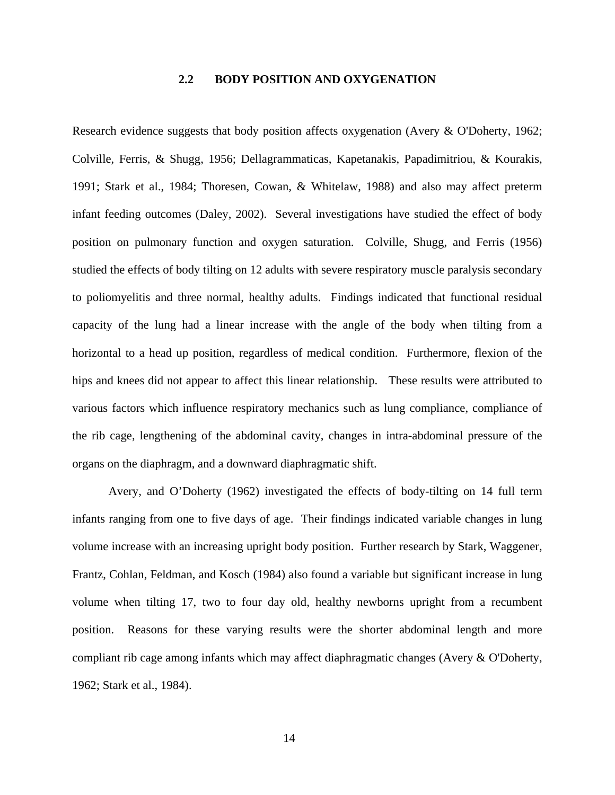### **2.2 BODY POSITION AND OXYGENATION**

<span id="page-28-0"></span>Research evidence suggests that body position affects oxygenation (Avery & O'Doherty, 1962; Colville, Ferris, & Shugg, 1956; Dellagrammaticas, Kapetanakis, Papadimitriou, & Kourakis, 1991; Stark et al., 1984; Thoresen, Cowan, & Whitelaw, 1988) and also may affect preterm infant feeding outcomes (Daley, 2002). Several investigations have studied the effect of body position on pulmonary function and oxygen saturation. Colville, Shugg, and Ferris (1956) studied the effects of body tilting on 12 adults with severe respiratory muscle paralysis secondary to poliomyelitis and three normal, healthy adults. Findings indicated that functional residual capacity of the lung had a linear increase with the angle of the body when tilting from a horizontal to a head up position, regardless of medical condition. Furthermore, flexion of the hips and knees did not appear to affect this linear relationship. These results were attributed to various factors which influence respiratory mechanics such as lung compliance, compliance of the rib cage, lengthening of the abdominal cavity, changes in intra-abdominal pressure of the organs on the diaphragm, and a downward diaphragmatic shift.

Avery, and O'Doherty (1962) investigated the effects of body-tilting on 14 full term infants ranging from one to five days of age. Their findings indicated variable changes in lung volume increase with an increasing upright body position. Further research by Stark, Waggener, Frantz, Cohlan, Feldman, and Kosch (1984) also found a variable but significant increase in lung volume when tilting 17, two to four day old, healthy newborns upright from a recumbent position. Reasons for these varying results were the shorter abdominal length and more compliant rib cage among infants which may affect diaphragmatic changes (Avery & O'Doherty, 1962; Stark et al., 1984).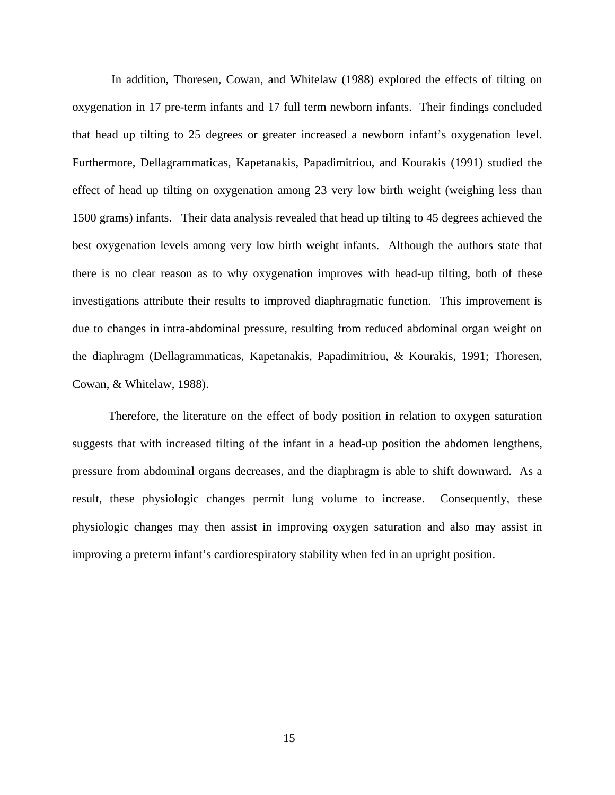In addition, Thoresen, Cowan, and Whitelaw (1988) explored the effects of tilting on oxygenation in 17 pre-term infants and 17 full term newborn infants. Their findings concluded that head up tilting to 25 degrees or greater increased a newborn infant's oxygenation level. Furthermore, Dellagrammaticas, Kapetanakis, Papadimitriou, and Kourakis (1991) studied the effect of head up tilting on oxygenation among 23 very low birth weight (weighing less than 1500 grams) infants. Their data analysis revealed that head up tilting to 45 degrees achieved the best oxygenation levels among very low birth weight infants. Although the authors state that there is no clear reason as to why oxygenation improves with head-up tilting, both of these investigations attribute their results to improved diaphragmatic function. This improvement is due to changes in intra-abdominal pressure, resulting from reduced abdominal organ weight on the diaphragm (Dellagrammaticas, Kapetanakis, Papadimitriou, & Kourakis, 1991; Thoresen, Cowan, & Whitelaw, 1988).

Therefore, the literature on the effect of body position in relation to oxygen saturation suggests that with increased tilting of the infant in a head-up position the abdomen lengthens, pressure from abdominal organs decreases, and the diaphragm is able to shift downward. As a result, these physiologic changes permit lung volume to increase. Consequently, these physiologic changes may then assist in improving oxygen saturation and also may assist in improving a preterm infant's cardiorespiratory stability when fed in an upright position.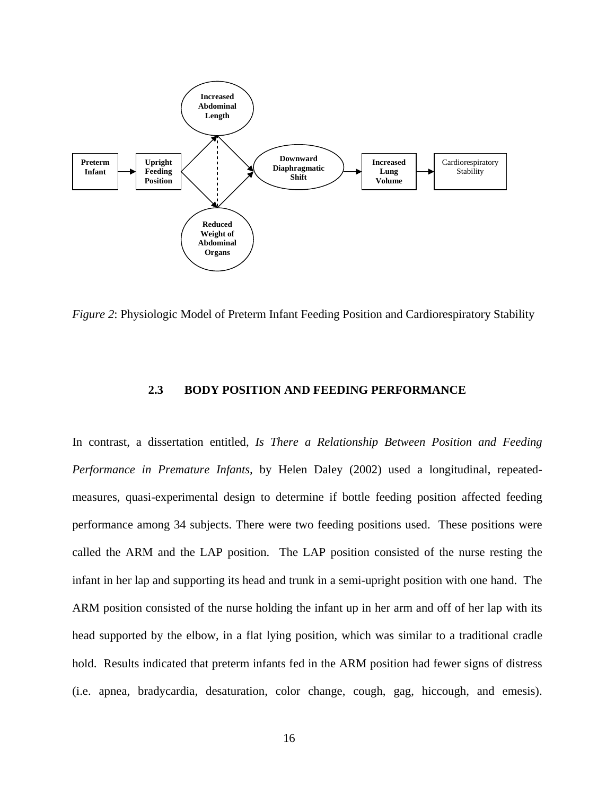<span id="page-30-0"></span>

*Figure 2*: Physiologic Model of Preterm Infant Feeding Position and Cardiorespiratory Stability

#### **2.3 BODY POSITION AND FEEDING PERFORMANCE**

In contrast, a dissertation entitled, *Is There a Relationship Between Position and Feeding Performance in Premature Infants,* by Helen Daley (2002) used a longitudinal, repeatedmeasures, quasi-experimental design to determine if bottle feeding position affected feeding performance among 34 subjects. There were two feeding positions used. These positions were called the ARM and the LAP position. The LAP position consisted of the nurse resting the infant in her lap and supporting its head and trunk in a semi-upright position with one hand. The ARM position consisted of the nurse holding the infant up in her arm and off of her lap with its head supported by the elbow, in a flat lying position, which was similar to a traditional cradle hold. Results indicated that preterm infants fed in the ARM position had fewer signs of distress (i.e. apnea, bradycardia, desaturation, color change, cough, gag, hiccough, and emesis).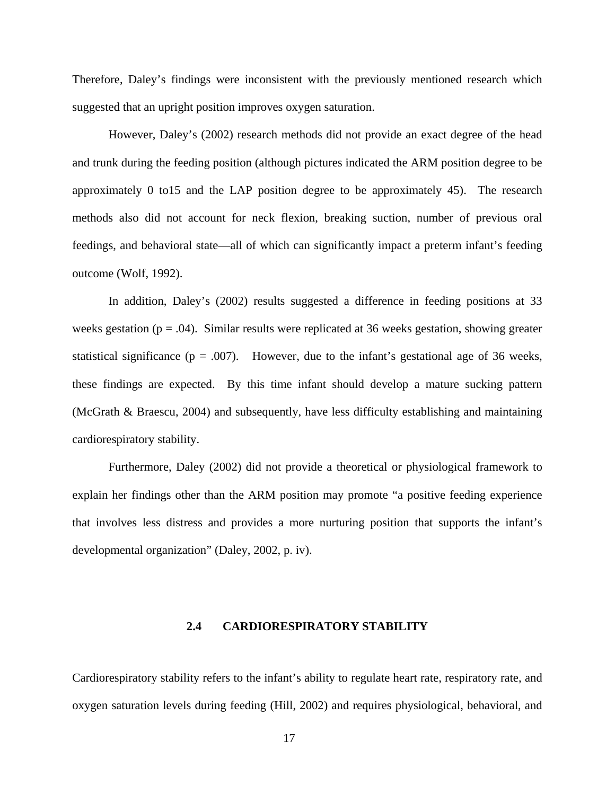<span id="page-31-0"></span>Therefore, Daley's findings were inconsistent with the previously mentioned research which suggested that an upright position improves oxygen saturation.

However, Daley's (2002) research methods did not provide an exact degree of the head and trunk during the feeding position (although pictures indicated the ARM position degree to be approximately 0 to15 and the LAP position degree to be approximately 45). The research methods also did not account for neck flexion, breaking suction, number of previous oral feedings, and behavioral state—all of which can significantly impact a preterm infant's feeding outcome (Wolf, 1992).

In addition, Daley's (2002) results suggested a difference in feeding positions at 33 weeks gestation ( $p = .04$ ). Similar results were replicated at 36 weeks gestation, showing greater statistical significance ( $p = .007$ ). However, due to the infant's gestational age of 36 weeks, these findings are expected. By this time infant should develop a mature sucking pattern (McGrath & Braescu, 2004) and subsequently, have less difficulty establishing and maintaining cardiorespiratory stability.

Furthermore, Daley (2002) did not provide a theoretical or physiological framework to explain her findings other than the ARM position may promote "a positive feeding experience that involves less distress and provides a more nurturing position that supports the infant's developmental organization" (Daley, 2002, p. iv).

#### **2.4 CARDIORESPIRATORY STABILITY**

Cardiorespiratory stability refers to the infant's ability to regulate heart rate, respiratory rate, and oxygen saturation levels during feeding (Hill, 2002) and requires physiological, behavioral, and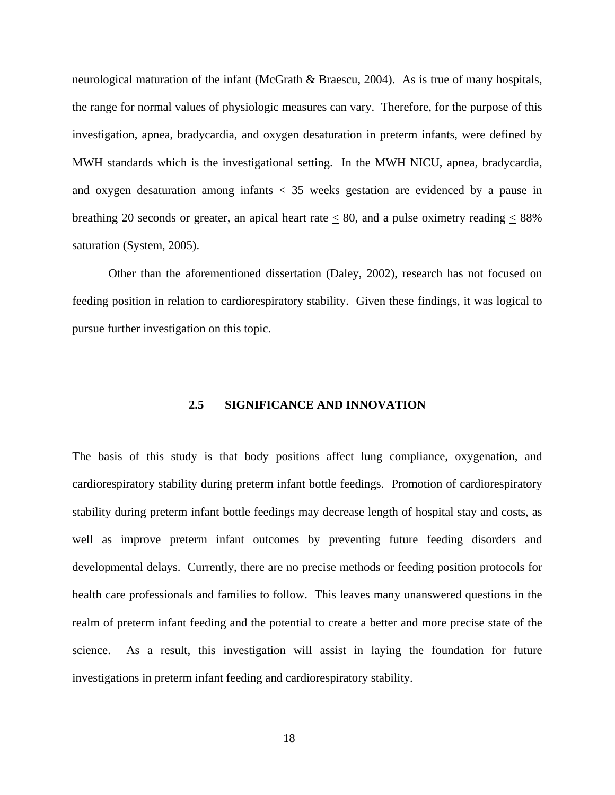<span id="page-32-0"></span>neurological maturation of the infant (McGrath & Braescu, 2004). As is true of many hospitals, the range for normal values of physiologic measures can vary. Therefore, for the purpose of this investigation, apnea, bradycardia, and oxygen desaturation in preterm infants, were defined by MWH standards which is the investigational setting. In the MWH NICU, apnea, bradycardia, and oxygen desaturation among infants  $\leq$  35 weeks gestation are evidenced by a pause in breathing 20 seconds or greater, an apical heart rate  $\leq 80$ , and a pulse oximetry reading  $\leq 88\%$ saturation (System, 2005).

Other than the aforementioned dissertation (Daley, 2002), research has not focused on feeding position in relation to cardiorespiratory stability. Given these findings, it was logical to pursue further investigation on this topic.

#### **2.5 SIGNIFICANCE AND INNOVATION**

The basis of this study is that body positions affect lung compliance, oxygenation, and cardiorespiratory stability during preterm infant bottle feedings. Promotion of cardiorespiratory stability during preterm infant bottle feedings may decrease length of hospital stay and costs, as well as improve preterm infant outcomes by preventing future feeding disorders and developmental delays. Currently, there are no precise methods or feeding position protocols for health care professionals and families to follow. This leaves many unanswered questions in the realm of preterm infant feeding and the potential to create a better and more precise state of the science. As a result, this investigation will assist in laying the foundation for future investigations in preterm infant feeding and cardiorespiratory stability.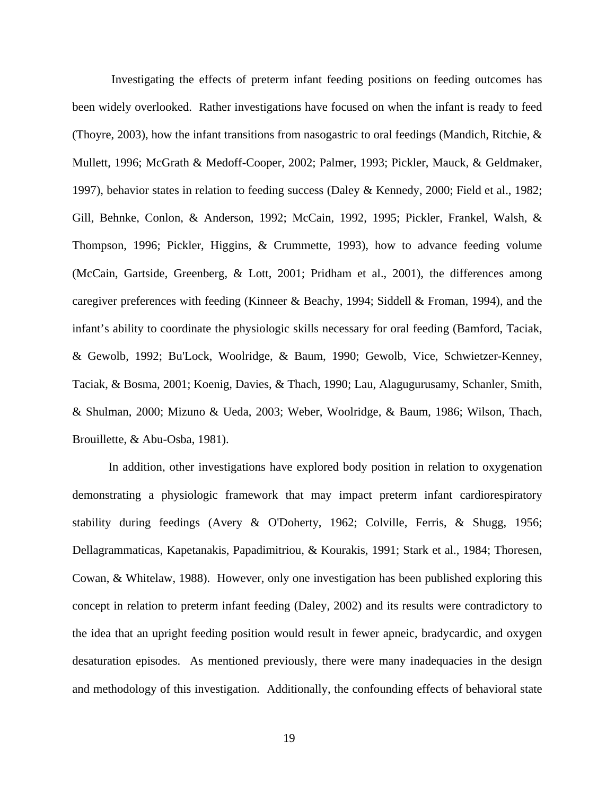Investigating the effects of preterm infant feeding positions on feeding outcomes has been widely overlooked. Rather investigations have focused on when the infant is ready to feed (Thoyre, 2003), how the infant transitions from nasogastric to oral feedings (Mandich, Ritchie, & Mullett, 1996; McGrath & Medoff-Cooper, 2002; Palmer, 1993; Pickler, Mauck, & Geldmaker, 1997), behavior states in relation to feeding success (Daley & Kennedy, 2000; Field et al., 1982; Gill, Behnke, Conlon, & Anderson, 1992; McCain, 1992, 1995; Pickler, Frankel, Walsh, & Thompson, 1996; Pickler, Higgins, & Crummette, 1993), how to advance feeding volume (McCain, Gartside, Greenberg, & Lott, 2001; Pridham et al., 2001), the differences among caregiver preferences with feeding (Kinneer & Beachy, 1994; Siddell & Froman, 1994), and the infant's ability to coordinate the physiologic skills necessary for oral feeding (Bamford, Taciak, & Gewolb, 1992; Bu'Lock, Woolridge, & Baum, 1990; Gewolb, Vice, Schwietzer-Kenney, Taciak, & Bosma, 2001; Koenig, Davies, & Thach, 1990; Lau, Alagugurusamy, Schanler, Smith, & Shulman, 2000; Mizuno & Ueda, 2003; Weber, Woolridge, & Baum, 1986; Wilson, Thach, Brouillette, & Abu-Osba, 1981).

In addition, other investigations have explored body position in relation to oxygenation demonstrating a physiologic framework that may impact preterm infant cardiorespiratory stability during feedings (Avery & O'Doherty, 1962; Colville, Ferris, & Shugg, 1956; Dellagrammaticas, Kapetanakis, Papadimitriou, & Kourakis, 1991; Stark et al., 1984; Thoresen, Cowan, & Whitelaw, 1988). However, only one investigation has been published exploring this concept in relation to preterm infant feeding (Daley, 2002) and its results were contradictory to the idea that an upright feeding position would result in fewer apneic, bradycardic, and oxygen desaturation episodes. As mentioned previously, there were many inadequacies in the design and methodology of this investigation. Additionally, the confounding effects of behavioral state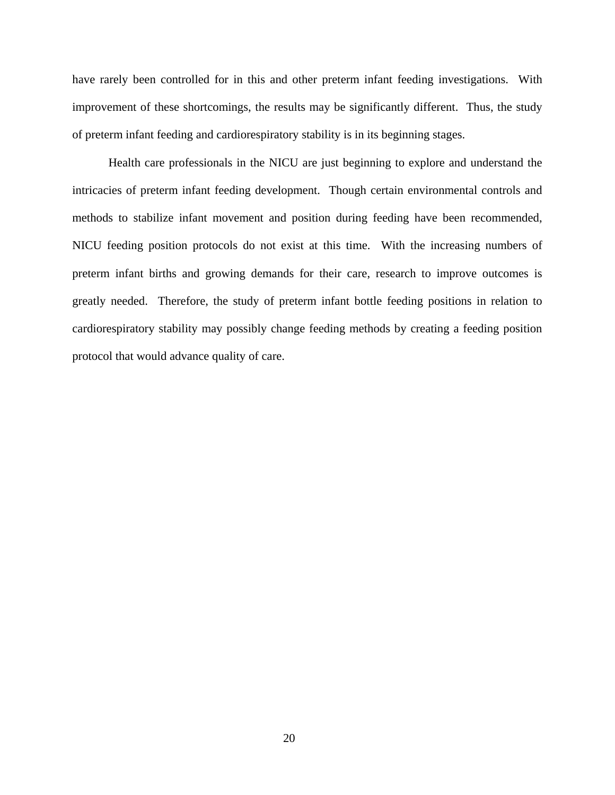have rarely been controlled for in this and other preterm infant feeding investigations. With improvement of these shortcomings, the results may be significantly different. Thus, the study of preterm infant feeding and cardiorespiratory stability is in its beginning stages.

Health care professionals in the NICU are just beginning to explore and understand the intricacies of preterm infant feeding development. Though certain environmental controls and methods to stabilize infant movement and position during feeding have been recommended, NICU feeding position protocols do not exist at this time. With the increasing numbers of preterm infant births and growing demands for their care, research to improve outcomes is greatly needed. Therefore, the study of preterm infant bottle feeding positions in relation to cardiorespiratory stability may possibly change feeding methods by creating a feeding position protocol that would advance quality of care.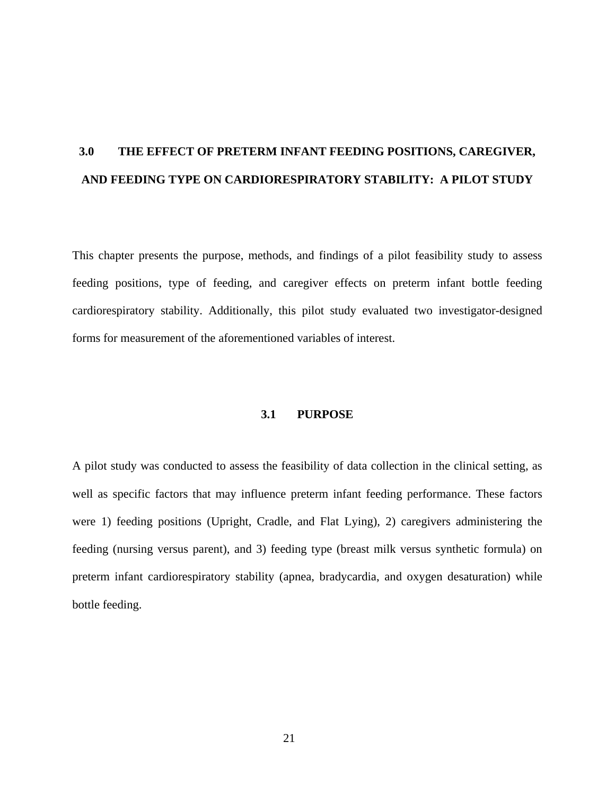# <span id="page-35-0"></span>**3.0 THE EFFECT OF PRETERM INFANT FEEDING POSITIONS, CAREGIVER, AND FEEDING TYPE ON CARDIORESPIRATORY STABILITY: A PILOT STUDY**

This chapter presents the purpose, methods, and findings of a pilot feasibility study to assess feeding positions, type of feeding, and caregiver effects on preterm infant bottle feeding cardiorespiratory stability. Additionally, this pilot study evaluated two investigator-designed forms for measurement of the aforementioned variables of interest.

#### **3.1 PURPOSE**

A pilot study was conducted to assess the feasibility of data collection in the clinical setting, as well as specific factors that may influence preterm infant feeding performance. These factors were 1) feeding positions (Upright, Cradle, and Flat Lying), 2) caregivers administering the feeding (nursing versus parent), and 3) feeding type (breast milk versus synthetic formula) on preterm infant cardiorespiratory stability (apnea, bradycardia, and oxygen desaturation) while bottle feeding.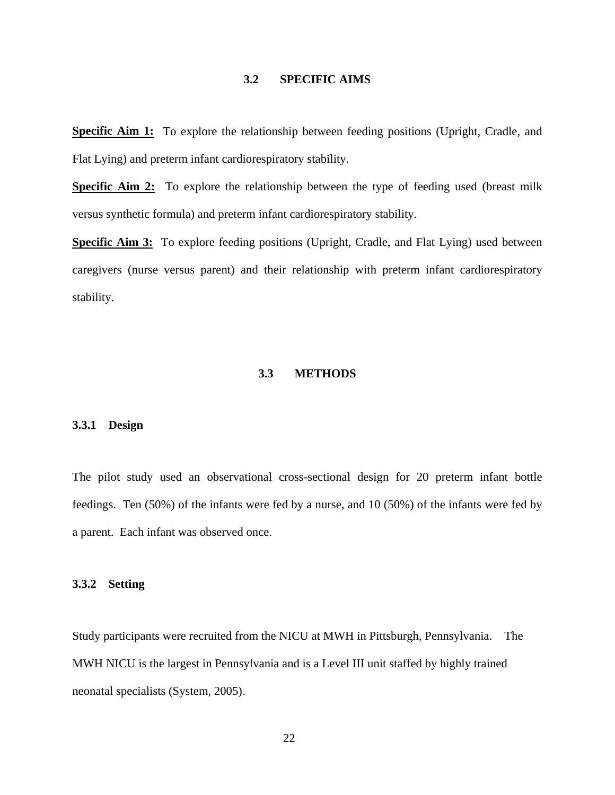## **3.2 SPECIFIC AIMS**

**Specific Aim 1:** To explore the relationship between feeding positions (Upright, Cradle, and Flat Lying) and preterm infant cardiorespiratory stability.

**Specific Aim 2:** To explore the relationship between the type of feeding used (breast milk versus synthetic formula) and preterm infant cardiorespiratory stability.

**Specific Aim 3:** To explore feeding positions (Upright, Cradle, and Flat Lying) used between caregivers (nurse versus parent) and their relationship with preterm infant cardiorespiratory stability.

### **3.3 METHODS**

## **3.3.1 Design**

The pilot study used an observational cross-sectional design for 20 preterm infant bottle feedings. Ten (50%) of the infants were fed by a nurse, and 10 (50%) of the infants were fed by a parent. Each infant was observed once.

### **3.3.2 Setting**

Study participants were recruited from the NICU at MWH in Pittsburgh, Pennsylvania. The MWH NICU is the largest in Pennsylvania and is a Level III unit staffed by [highly trained](http://mageenicu.upmc.com/Staff.htm)  [neonatal specialists](http://mageenicu.upmc.com/Staff.htm) (System, 2005).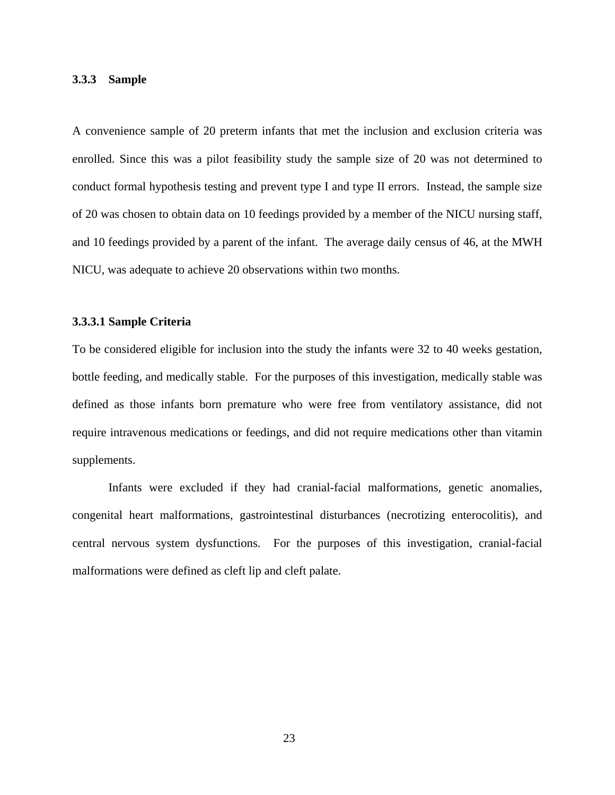### **3.3.3 Sample**

A convenience sample of 20 preterm infants that met the inclusion and exclusion criteria was enrolled. Since this was a pilot feasibility study the sample size of 20 was not determined to conduct formal hypothesis testing and prevent type I and type II errors. Instead, the sample size of 20 was chosen to obtain data on 10 feedings provided by a member of the NICU nursing staff, and 10 feedings provided by a parent of the infant. The average daily census of 46, at the MWH NICU, was adequate to achieve 20 observations within two months.

### **3.3.3.1 Sample Criteria**

To be considered eligible for inclusion into the study the infants were 32 to 40 weeks gestation, bottle feeding, and medically stable. For the purposes of this investigation, medically stable was defined as those infants born premature who were free from ventilatory assistance, did not require intravenous medications or feedings, and did not require medications other than vitamin supplements.

 Infants were excluded if they had cranial-facial malformations, genetic anomalies, congenital heart malformations, gastrointestinal disturbances (necrotizing enterocolitis), and central nervous system dysfunctions. For the purposes of this investigation, cranial-facial malformations were defined as cleft lip and cleft palate.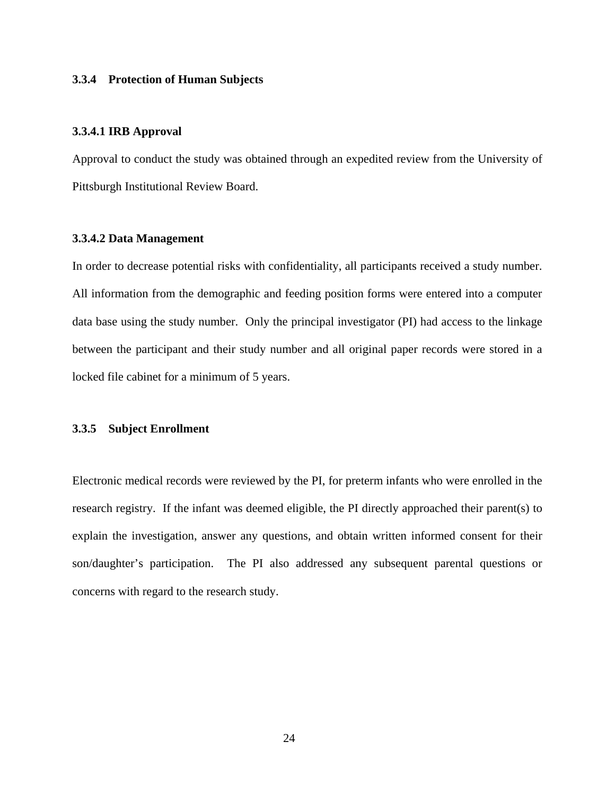### **3.3.4 Protection of Human Subjects**

### **3.3.4.1 IRB Approval**

Approval to conduct the study was obtained through an expedited review from the University of Pittsburgh Institutional Review Board.

#### **3.3.4.2 Data Management**

In order to decrease potential risks with confidentiality, all participants received a study number. All information from the demographic and feeding position forms were entered into a computer data base using the study number. Only the principal investigator (PI) had access to the linkage between the participant and their study number and all original paper records were stored in a locked file cabinet for a minimum of 5 years.

### **3.3.5 Subject Enrollment**

Electronic medical records were reviewed by the PI, for preterm infants who were enrolled in the research registry. If the infant was deemed eligible, the PI directly approached their parent(s) to explain the investigation, answer any questions, and obtain written informed consent for their son/daughter's participation. The PI also addressed any subsequent parental questions or concerns with regard to the research study.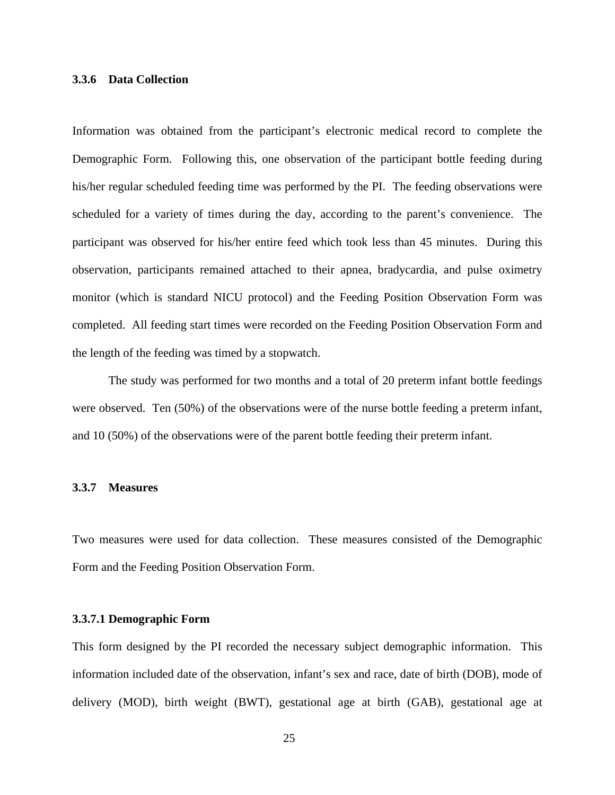## **3.3.6 Data Collection**

Information was obtained from the participant's electronic medical record to complete the Demographic Form. Following this, one observation of the participant bottle feeding during his/her regular scheduled feeding time was performed by the PI. The feeding observations were scheduled for a variety of times during the day, according to the parent's convenience. The participant was observed for his/her entire feed which took less than 45 minutes. During this observation, participants remained attached to their apnea, bradycardia, and pulse oximetry monitor (which is standard NICU protocol) and the Feeding Position Observation Form was completed. All feeding start times were recorded on the Feeding Position Observation Form and the length of the feeding was timed by a stopwatch.

The study was performed for two months and a total of 20 preterm infant bottle feedings were observed. Ten (50%) of the observations were of the nurse bottle feeding a preterm infant, and 10 (50%) of the observations were of the parent bottle feeding their preterm infant.

#### **3.3.7 Measures**

Two measures were used for data collection. These measures consisted of the Demographic Form and the Feeding Position Observation Form.

#### **3.3.7.1 Demographic Form**

This form designed by the PI recorded the necessary subject demographic information. This information included date of the observation, infant's sex and race, date of birth (DOB), mode of delivery (MOD), birth weight (BWT), gestational age at birth (GAB), gestational age at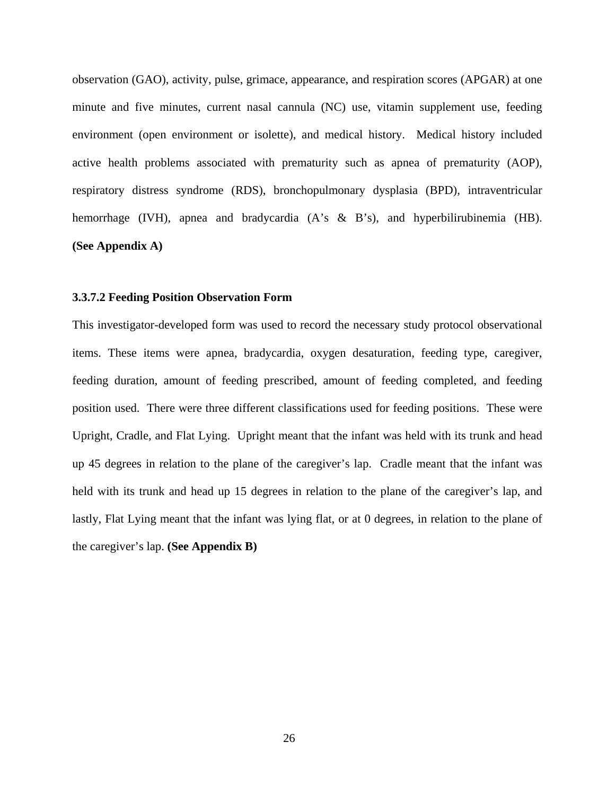observation (GAO), activity, pulse, grimace, appearance, and respiration scores (APGAR) at one minute and five minutes, current nasal cannula (NC) use, vitamin supplement use, feeding environment (open environment or isolette), and medical history. Medical history included active health problems associated with prematurity such as apnea of prematurity (AOP), respiratory distress syndrome (RDS), bronchopulmonary dysplasia (BPD), intraventricular hemorrhage (IVH), apnea and bradycardia (A's & B's), and hyperbilirubinemia (HB). **(See Appendix A)** 

#### **3.3.7.2 Feeding Position Observation Form**

This investigator-developed form was used to record the necessary study protocol observational items. These items were apnea, bradycardia, oxygen desaturation, feeding type, caregiver, feeding duration, amount of feeding prescribed, amount of feeding completed, and feeding position used. There were three different classifications used for feeding positions. These were Upright, Cradle, and Flat Lying. Upright meant that the infant was held with its trunk and head up 45 degrees in relation to the plane of the caregiver's lap. Cradle meant that the infant was held with its trunk and head up 15 degrees in relation to the plane of the caregiver's lap, and lastly, Flat Lying meant that the infant was lying flat, or at 0 degrees, in relation to the plane of the caregiver's lap. **(See Appendix B)**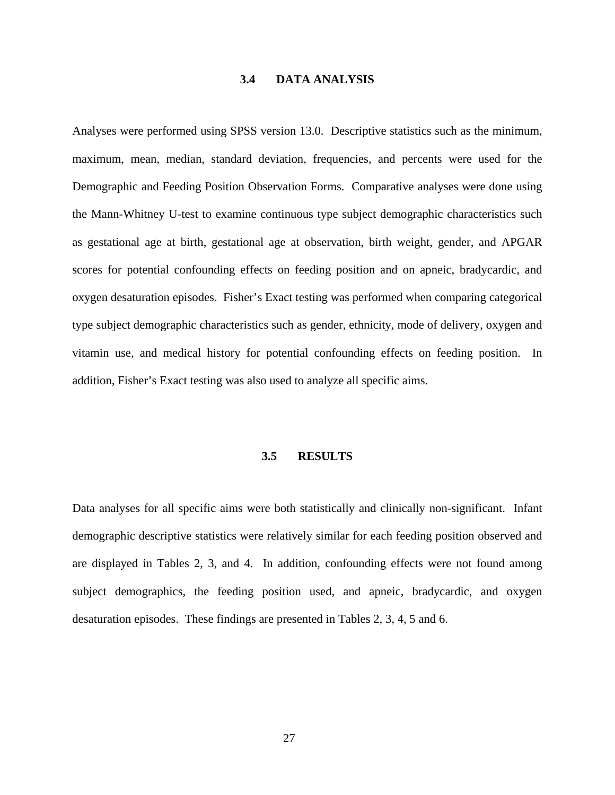### **3.4 DATA ANALYSIS**

Analyses were performed using SPSS version 13.0. Descriptive statistics such as the minimum, maximum, mean, median, standard deviation, frequencies, and percents were used for the Demographic and Feeding Position Observation Forms. Comparative analyses were done using the Mann-Whitney U-test to examine continuous type subject demographic characteristics such as gestational age at birth, gestational age at observation, birth weight, gender, and APGAR scores for potential confounding effects on feeding position and on apneic, bradycardic, and oxygen desaturation episodes. Fisher's Exact testing was performed when comparing categorical type subject demographic characteristics such as gender, ethnicity, mode of delivery, oxygen and vitamin use, and medical history for potential confounding effects on feeding position. In addition, Fisher's Exact testing was also used to analyze all specific aims.

#### **3.5 RESULTS**

Data analyses for all specific aims were both statistically and clinically non-significant. Infant demographic descriptive statistics were relatively similar for each feeding position observed and are displayed in Tables 2, 3, and 4. In addition, confounding effects were not found among subject demographics, the feeding position used, and apneic, bradycardic, and oxygen desaturation episodes. These findings are presented in Tables 2, 3, 4, 5 and 6.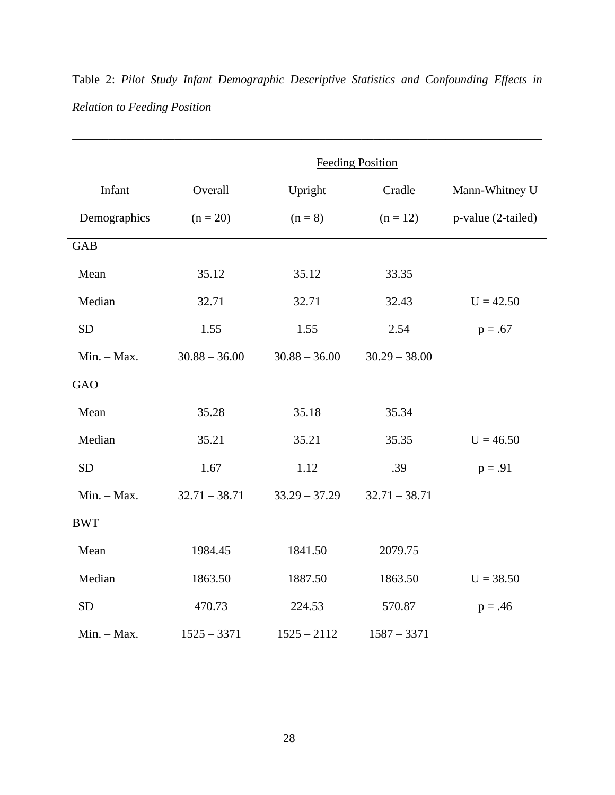|              | <b>Feeding Position</b> |                 |                 |                    |
|--------------|-------------------------|-----------------|-----------------|--------------------|
| Infant       | Overall                 | Upright         | Cradle          | Mann-Whitney U     |
| Demographics | $(n = 20)$              | $(n=8)$         | $(n = 12)$      | p-value (2-tailed) |
| <b>GAB</b>   |                         |                 |                 |                    |
| Mean         | 35.12                   | 35.12           | 33.35           |                    |
| Median       | 32.71                   | 32.71           | 32.43           | $U = 42.50$        |
| <b>SD</b>    | 1.55                    | 1.55            | 2.54            | $p = .67$          |
| Min. - Max.  | $30.88 - 36.00$         | $30.88 - 36.00$ | $30.29 - 38.00$ |                    |
| <b>GAO</b>   |                         |                 |                 |                    |
| Mean         | 35.28                   | 35.18           | 35.34           |                    |
| Median       | 35.21                   | 35.21           | 35.35           | $U = 46.50$        |
| <b>SD</b>    | 1.67                    | 1.12            | .39             | $p = .91$          |
| Min. - Max.  | $32.71 - 38.71$         | $33.29 - 37.29$ | $32.71 - 38.71$ |                    |
| <b>BWT</b>   |                         |                 |                 |                    |
| Mean         | 1984.45                 | 1841.50         | 2079.75         |                    |
| Median       | 1863.50                 | 1887.50         | 1863.50         | $U = 38.50$        |
| <b>SD</b>    | 470.73                  | 224.53          | 570.87          | $p = .46$          |
| Min. - Max.  | $1525 - 3371$           | $1525 - 2112$   | $1587 - 3371$   |                    |
|              |                         |                 |                 |                    |

Table 2: *Pilot Study Infant Demographic Descriptive Statistics and Confounding Effects in Relation to Feeding Position*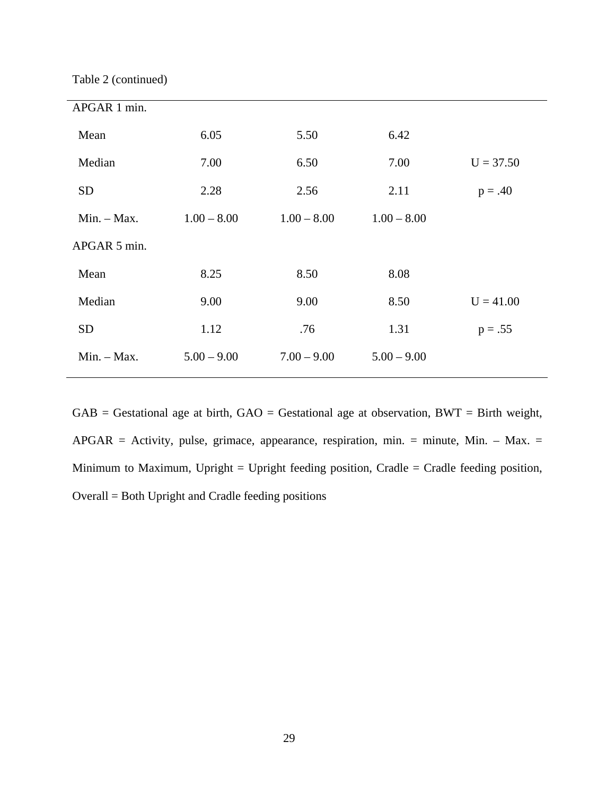Table 2 (continued)

| APGAR 1 min.  |               |               |               |             |
|---------------|---------------|---------------|---------------|-------------|
|               |               |               |               |             |
| Mean          | 6.05          | 5.50          | 6.42          |             |
| Median        | 7.00          | 6.50          | 7.00          | $U = 37.50$ |
| <b>SD</b>     | 2.28          | 2.56          | 2.11          | $p = .40$   |
| $Min. - Max.$ | $1.00 - 8.00$ | $1.00 - 8.00$ | $1.00 - 8.00$ |             |
| APGAR 5 min.  |               |               |               |             |
| Mean          | 8.25          | 8.50          | 8.08          |             |
| Median        | 9.00          | 9.00          | 8.50          | $U = 41.00$ |
| <b>SD</b>     | 1.12          | .76           | 1.31          | $p = .55$   |
| $Min. - Max.$ | $5.00 - 9.00$ | $7.00 - 9.00$ | $5.00 - 9.00$ |             |
|               |               |               |               |             |

 $GAB =$  Gestational age at birth,  $GAO =$  Gestational age at observation,  $BWT =$  Birth weight,  $APGAR =$  Activity, pulse, grimace, appearance, respiration, min. = minute, Min. - Max. = Minimum to Maximum, Upright = Upright feeding position, Cradle = Cradle feeding position, Overall = Both Upright and Cradle feeding positions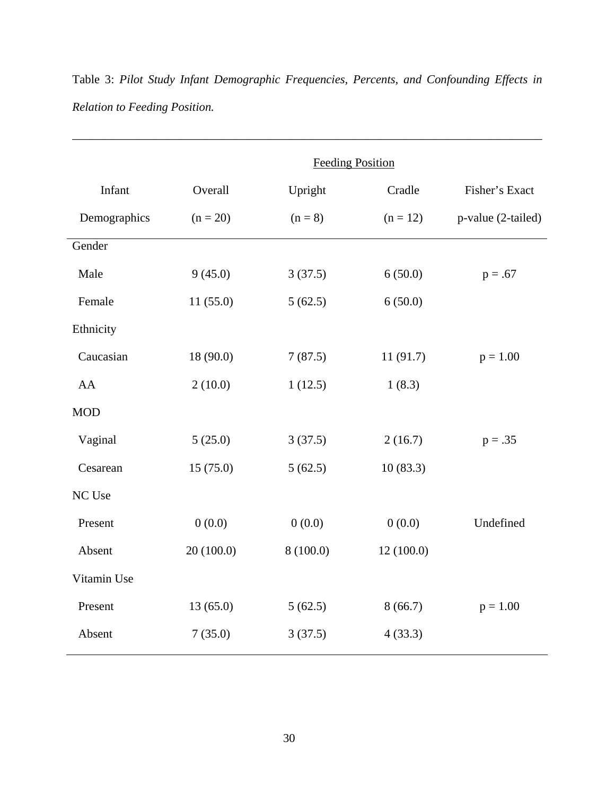|              | <b>Feeding Position</b> |           |            |                    |
|--------------|-------------------------|-----------|------------|--------------------|
| Infant       | Overall                 | Upright   | Cradle     | Fisher's Exact     |
| Demographics | $(n = 20)$              | $(n = 8)$ | $(n = 12)$ | p-value (2-tailed) |
| Gender       |                         |           |            |                    |
| Male         | 9(45.0)                 | 3(37.5)   | 6(50.0)    | $p = .67$          |
| Female       | 11(55.0)                | 5(62.5)   | 6(50.0)    |                    |
| Ethnicity    |                         |           |            |                    |
| Caucasian    | 18 (90.0)               | 7(87.5)   | 11(91.7)   | $p = 1.00$         |
| AA           | 2(10.0)                 | 1(12.5)   | 1(8.3)     |                    |
| <b>MOD</b>   |                         |           |            |                    |
| Vaginal      | 5(25.0)                 | 3(37.5)   | 2(16.7)    | $p = .35$          |
| Cesarean     | 15(75.0)                | 5(62.5)   | 10(83.3)   |                    |
| NC Use       |                         |           |            |                    |
| Present      | 0(0.0)                  | 0(0.0)    | 0(0.0)     | Undefined          |
| Absent       | 20(100.0)               | 8(100.0)  | 12(100.0)  |                    |
| Vitamin Use  |                         |           |            |                    |
| Present      | 13(65.0)                | 5(62.5)   | 8(66.7)    | $p = 1.00$         |
| Absent       | 7(35.0)                 | 3(37.5)   | 4(33.3)    |                    |

Table 3: *Pilot Study Infant Demographic Frequencies, Percents, and Confounding Effects in Relation to Feeding Position.*

\_\_\_\_\_\_\_\_\_\_\_\_\_\_\_\_\_\_\_\_\_\_\_\_\_\_\_\_\_\_\_\_\_\_\_\_\_\_\_\_\_\_\_\_\_\_\_\_\_\_\_\_\_\_\_\_\_\_\_\_\_\_\_\_\_\_\_\_\_\_\_\_\_\_\_\_\_\_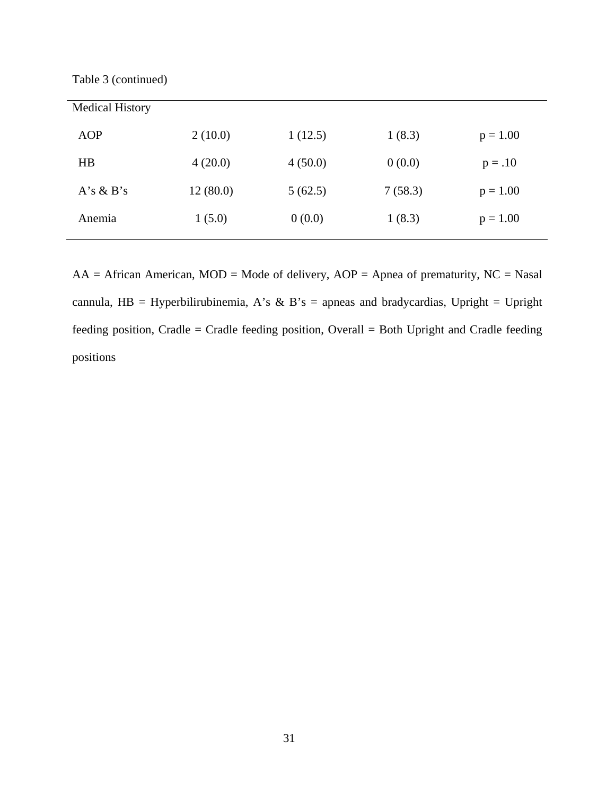Table 3 (continued)

| <b>Medical History</b> |          |         |         |            |
|------------------------|----------|---------|---------|------------|
| <b>AOP</b>             | 2(10.0)  | 1(12.5) | 1(8.3)  | $p = 1.00$ |
| HB                     | 4(20.0)  | 4(50.0) | 0(0.0)  | $p = .10$  |
| $A's \& B's$           | 12(80.0) | 5(62.5) | 7(58.3) | $p = 1.00$ |
| Anemia                 | 1(5.0)   | 0(0.0)  | 1(8.3)  | $p = 1.00$ |

 $AA = African American, MOD = Mode of delivery, AOP = Apnea of prematurity, NC = Nasal$ cannula, HB = Hyperbilirubinemia, A's & B's = apneas and bradycardias, Upright = Upright feeding position, Cradle = Cradle feeding position, Overall = Both Upright and Cradle feeding positions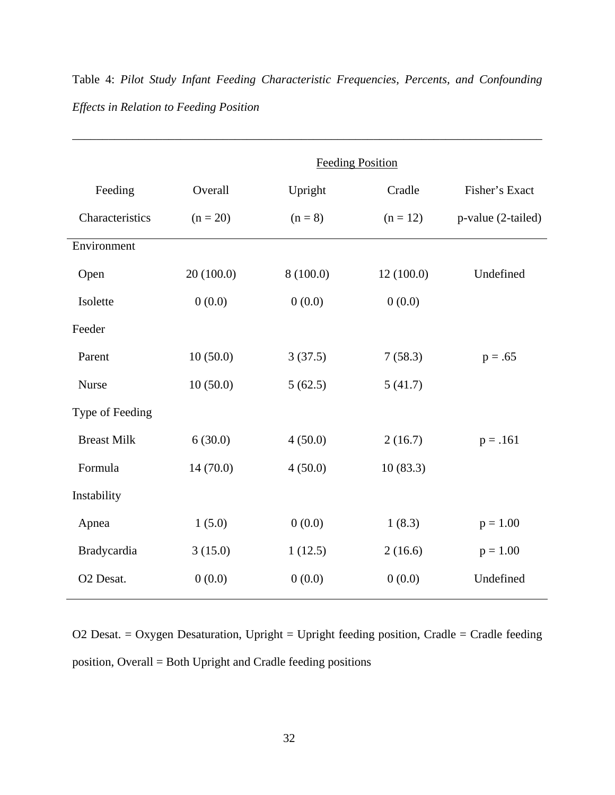|                    | <b>Feeding Position</b> |           |            |                    |
|--------------------|-------------------------|-----------|------------|--------------------|
| Feeding            | Overall                 | Upright   | Cradle     | Fisher's Exact     |
| Characteristics    | $(n = 20)$              | $(n = 8)$ | $(n = 12)$ | p-value (2-tailed) |
| Environment        |                         |           |            |                    |
| Open               | 20(100.0)               | 8(100.0)  | 12(100.0)  | Undefined          |
| Isolette           | 0(0.0)                  | 0(0.0)    | 0(0.0)     |                    |
| Feeder             |                         |           |            |                    |
| Parent             | 10(50.0)                | 3(37.5)   | 7(58.3)    | $p = .65$          |
| Nurse              | 10(50.0)                | 5(62.5)   | 5(41.7)    |                    |
| Type of Feeding    |                         |           |            |                    |
| <b>Breast Milk</b> | 6(30.0)                 | 4(50.0)   | 2(16.7)    | $p = .161$         |
| Formula            | 14(70.0)                | 4(50.0)   | 10(83.3)   |                    |
| Instability        |                         |           |            |                    |
| Apnea              | 1(5.0)                  | 0(0.0)    | 1(8.3)     | $p = 1.00$         |
| Bradycardia        | 3(15.0)                 | 1(12.5)   | 2(16.6)    | $p = 1.00$         |
| O2 Desat.          | 0(0.0)                  | 0(0.0)    | 0(0.0)     | Undefined          |

Table 4: *Pilot Study Infant Feeding Characteristic Frequencies, Percents, and Confounding Effects in Relation to Feeding Position*

\_\_\_\_\_\_\_\_\_\_\_\_\_\_\_\_\_\_\_\_\_\_\_\_\_\_\_\_\_\_\_\_\_\_\_\_\_\_\_\_\_\_\_\_\_\_\_\_\_\_\_\_\_\_\_\_\_\_\_\_\_\_\_\_\_\_\_\_\_\_\_\_\_\_\_\_\_\_

O2 Desat. = Oxygen Desaturation, Upright = Upright feeding position, Cradle = Cradle feeding position, Overall = Both Upright and Cradle feeding positions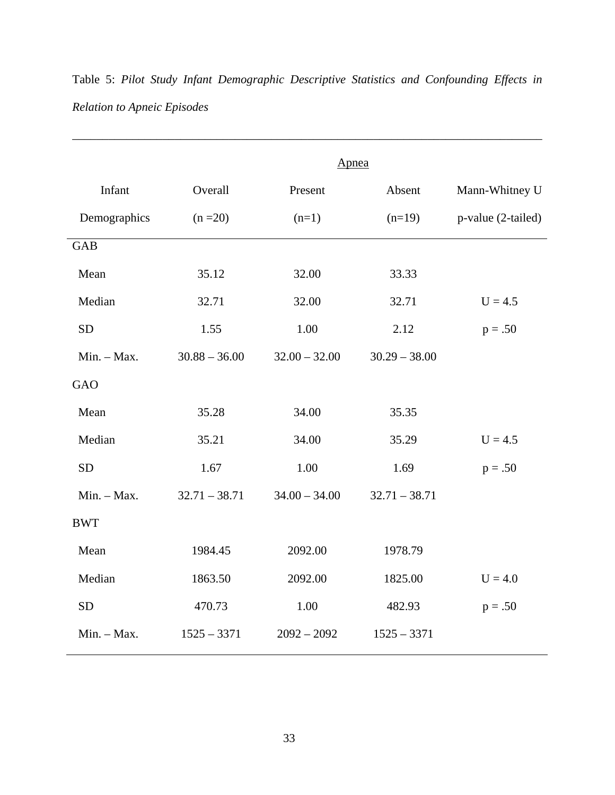|               | Apnea           |                 |                 |                    |
|---------------|-----------------|-----------------|-----------------|--------------------|
| Infant        | Overall         | Present         | Absent          | Mann-Whitney U     |
| Demographics  | $(n = 20)$      | $(n=1)$         | $(n=19)$        | p-value (2-tailed) |
| <b>GAB</b>    |                 |                 |                 |                    |
| Mean          | 35.12           | 32.00           | 33.33           |                    |
| Median        | 32.71           | 32.00           | 32.71           | $U = 4.5$          |
| <b>SD</b>     | 1.55            | 1.00            | 2.12            | $p = .50$          |
| Min. - Max.   | $30.88 - 36.00$ | $32.00 - 32.00$ | $30.29 - 38.00$ |                    |
| <b>GAO</b>    |                 |                 |                 |                    |
| Mean          | 35.28           | 34.00           | 35.35           |                    |
| Median        | 35.21           | 34.00           | 35.29           | $U = 4.5$          |
| <b>SD</b>     | 1.67            | 1.00            | 1.69            | $p = .50$          |
| $Min. - Max.$ | $32.71 - 38.71$ | $34.00 - 34.00$ | $32.71 - 38.71$ |                    |
| <b>BWT</b>    |                 |                 |                 |                    |
| Mean          | 1984.45         | 2092.00         | 1978.79         |                    |
| Median        | 1863.50         | 2092.00         | 1825.00         | $U = 4.0$          |
| <b>SD</b>     | 470.73          | 1.00            | 482.93          | $p = .50$          |
| $Min. - Max.$ | $1525 - 3371$   | $2092 - 2092$   | $1525 - 3371$   |                    |

Table 5: *Pilot Study Infant Demographic Descriptive Statistics and Confounding Effects in Relation to Apneic Episodes*

\_\_\_\_\_\_\_\_\_\_\_\_\_\_\_\_\_\_\_\_\_\_\_\_\_\_\_\_\_\_\_\_\_\_\_\_\_\_\_\_\_\_\_\_\_\_\_\_\_\_\_\_\_\_\_\_\_\_\_\_\_\_\_\_\_\_\_\_\_\_\_\_\_\_\_\_\_\_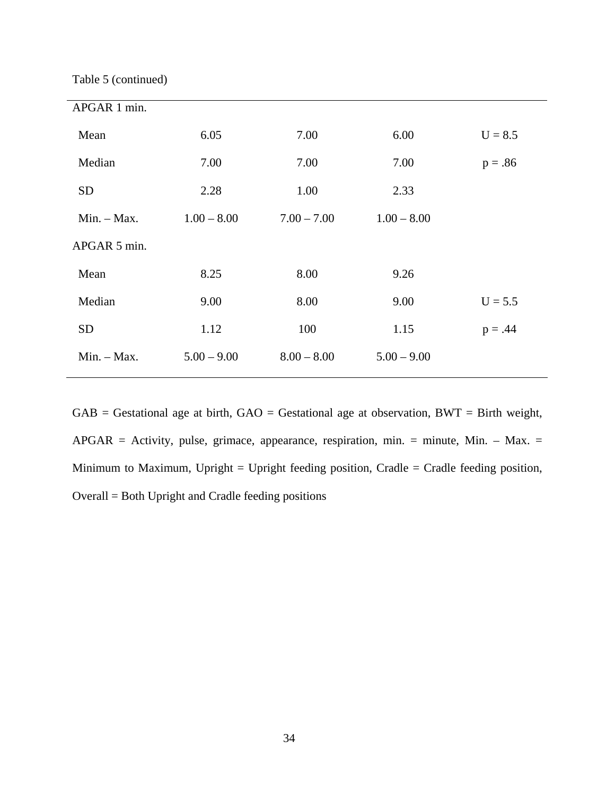Table 5 (continued)

| APGAR 1 min.  |               |               |               |           |
|---------------|---------------|---------------|---------------|-----------|
| Mean          | 6.05          | 7.00          | 6.00          | $U = 8.5$ |
| Median        | 7.00          | 7.00          | 7.00          | $p = .86$ |
| <b>SD</b>     | 2.28          | 1.00          | 2.33          |           |
| $Min. - Max.$ | $1.00 - 8.00$ | $7.00 - 7.00$ | $1.00 - 8.00$ |           |
| APGAR 5 min.  |               |               |               |           |
| Mean          | 8.25          | 8.00          | 9.26          |           |
| Median        | 9.00          | 8.00          | 9.00          | $U = 5.5$ |
| <b>SD</b>     | 1.12          | 100           | 1.15          | $p = .44$ |
| $Min. - Max.$ | $5.00 - 9.00$ | $8.00 - 8.00$ | $5.00 - 9.00$ |           |
|               |               |               |               |           |

 $GAB =$  Gestational age at birth,  $GAO =$  Gestational age at observation,  $BWT =$  Birth weight, APGAR = Activity, pulse, grimace, appearance, respiration, min. = minute, Min. – Max. = Minimum to Maximum, Upright = Upright feeding position, Cradle = Cradle feeding position, Overall = Both Upright and Cradle feeding positions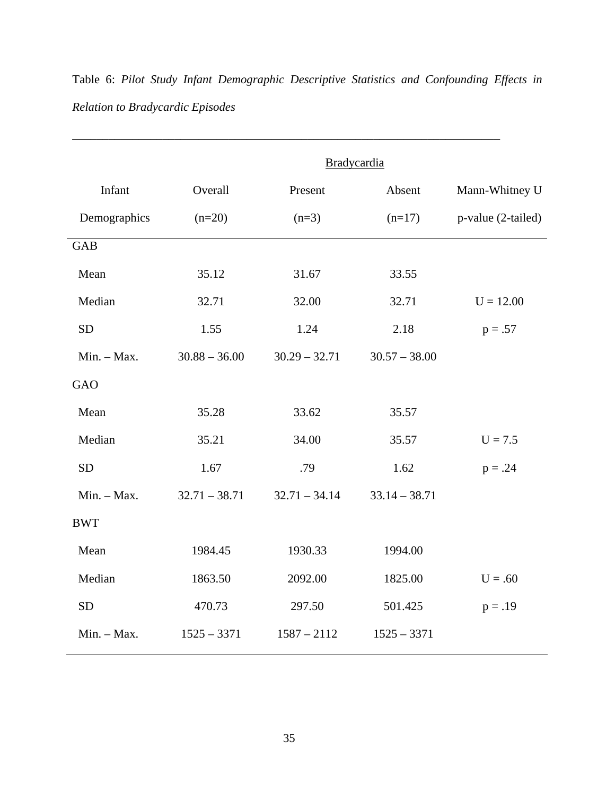Bradycardia Infant Demographics **Overall**  $(n=20)$ Present  $(n=3)$ Absent  $(n=17)$ Mann-Whitney U p-value (2-tailed) GAB Mean Median SD Min. – Max. 35.12 32.71 1.55 30.88 – 36.00 31.67 32.00 1.24  $30.29 - 32.71$ 33.55 32.71 2.18 30.57 – 38.00  $U = 12.00$  $p = .57$ GAO Mean Median SD Min. – Max. 35.28 35.21 1.67 32.71 – 38.71 33.62 34.00 .79 32.71 – 34.14 35.57 35.57 1.62 33.14 – 38.71  $U = 7.5$  $p = .24$ BWT Mean Median SD Min. – Max. 1984.45 1863.50 470.73 1525 – 3371 1930.33 2092.00 297.50 1587 – 2112 1994.00 1825.00 501.425 1525 – 3371  $U = .60$  $p = .19$ 

Table 6: *Pilot Study Infant Demographic Descriptive Statistics and Confounding Effects in Relation to Bradycardic Episodes*

\_\_\_\_\_\_\_\_\_\_\_\_\_\_\_\_\_\_\_\_\_\_\_\_\_\_\_\_\_\_\_\_\_\_\_\_\_\_\_\_\_\_\_\_\_\_\_\_\_\_\_\_\_\_\_\_\_\_\_\_\_\_\_\_\_\_\_\_\_\_\_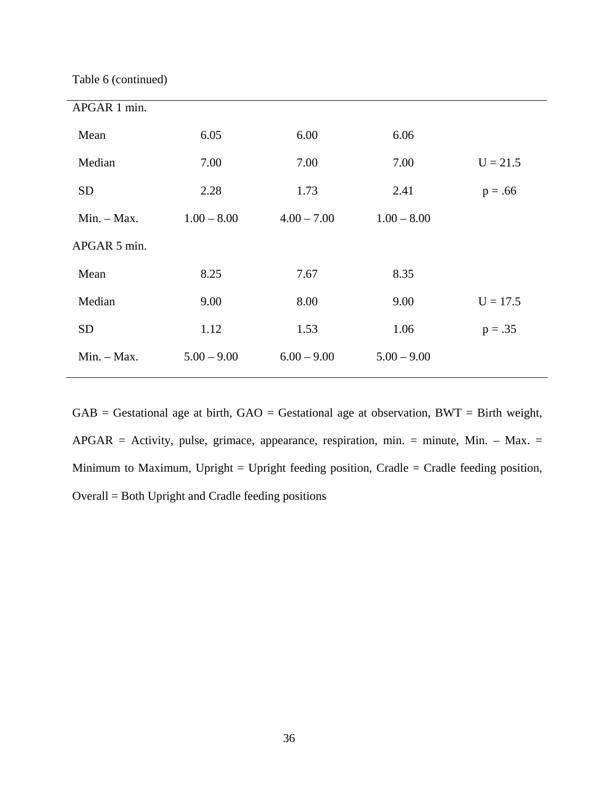Table 6 (continued)

| APGAR 1 min.  |               |               |               |            |
|---------------|---------------|---------------|---------------|------------|
| Mean          | 6.05          | 6.00          | 6.06          |            |
| Median        | 7.00          | 7.00          | 7.00          | $U = 21.5$ |
| <b>SD</b>     | 2.28          | 1.73          | 2.41          | $p = .66$  |
| $Min. - Max.$ | $1.00 - 8.00$ | $4.00 - 7.00$ | $1.00 - 8.00$ |            |
| APGAR 5 min.  |               |               |               |            |
| Mean          | 8.25          | 7.67          | 8.35          |            |
| Median        | 9.00          | 8.00          | 9.00          | $U = 17.5$ |
| <b>SD</b>     | 1.12          | 1.53          | 1.06          | $p = .35$  |
| $Min. - Max.$ | $5.00 - 9.00$ | $6.00 - 9.00$ | $5.00 - 9.00$ |            |
|               |               |               |               |            |

 $GAB =$  Gestational age at birth,  $GAO =$  Gestational age at observation,  $BWT =$  Birth weight,  $APGAR =$  Activity, pulse, grimace, appearance, respiration, min. = minute, Min. - Max. = Minimum to Maximum, Upright = Upright feeding position, Cradle = Cradle feeding position, Overall = Both Upright and Cradle feeding positions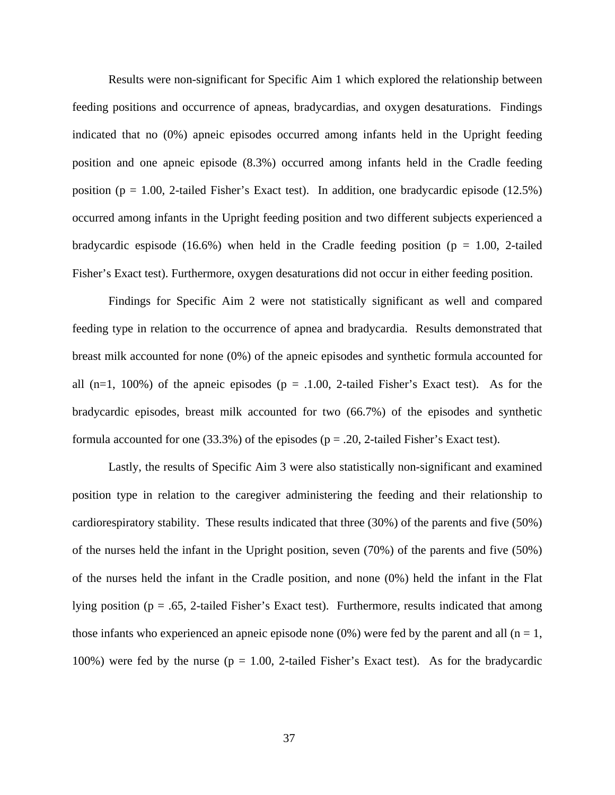Results were non-significant for Specific Aim 1 which explored the relationship between feeding positions and occurrence of apneas, bradycardias, and oxygen desaturations. Findings indicated that no (0%) apneic episodes occurred among infants held in the Upright feeding position and one apneic episode (8.3%) occurred among infants held in the Cradle feeding position ( $p = 1.00$ , 2-tailed Fisher's Exact test). In addition, one bradycardic episode (12.5%) occurred among infants in the Upright feeding position and two different subjects experienced a bradycardic espisode (16.6%) when held in the Cradle feeding position ( $p = 1.00$ , 2-tailed Fisher's Exact test). Furthermore, oxygen desaturations did not occur in either feeding position.

Findings for Specific Aim 2 were not statistically significant as well and compared feeding type in relation to the occurrence of apnea and bradycardia. Results demonstrated that breast milk accounted for none (0%) of the apneic episodes and synthetic formula accounted for all  $(n=1, 100\%)$  of the apneic episodes  $(p = .1.00, 2$ -tailed Fisher's Exact test). As for the bradycardic episodes, breast milk accounted for two (66.7%) of the episodes and synthetic formula accounted for one  $(33.3\%)$  of the episodes (p = .20, 2-tailed Fisher's Exact test).

 Lastly, the results of Specific Aim 3 were also statistically non-significant and examined position type in relation to the caregiver administering the feeding and their relationship to cardiorespiratory stability. These results indicated that three (30%) of the parents and five (50%) of the nurses held the infant in the Upright position, seven (70%) of the parents and five (50%) of the nurses held the infant in the Cradle position, and none (0%) held the infant in the Flat lying position ( $p = .65$ , 2-tailed Fisher's Exact test). Furthermore, results indicated that among those infants who experienced an apneic episode none (0%) were fed by the parent and all (n = 1, 100%) were fed by the nurse ( $p = 1.00$ , 2-tailed Fisher's Exact test). As for the bradycardic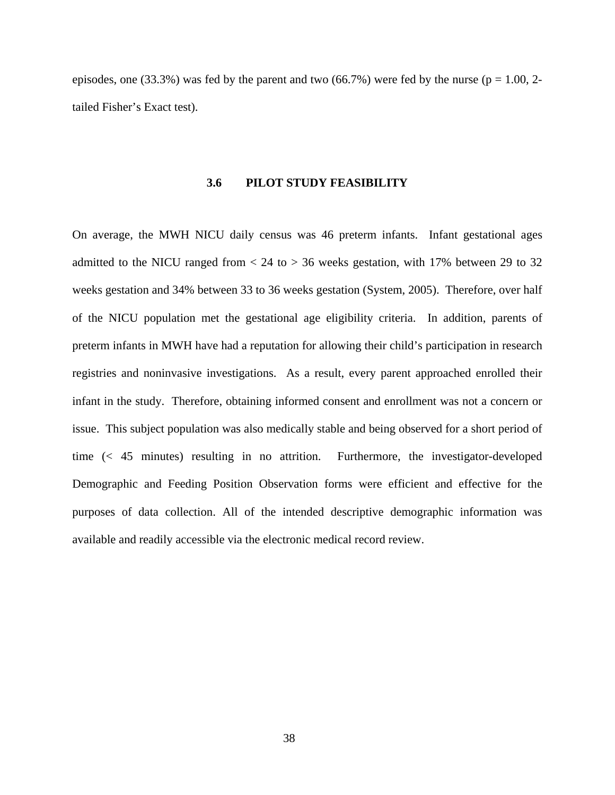episodes, one (33.3%) was fed by the parent and two (66.7%) were fed by the nurse ( $p = 1.00$ , 2tailed Fisher's Exact test).

#### **3.6 PILOT STUDY FEASIBILITY**

On average, the MWH NICU daily census was 46 preterm infants. Infant gestational ages admitted to the NICU ranged from  $< 24$  to  $> 36$  weeks gestation, with 17% between 29 to 32 weeks gestation and 34% between 33 to 36 weeks gestation (System, 2005). Therefore, over half of the NICU population met the gestational age eligibility criteria. In addition, parents of preterm infants in MWH have had a reputation for allowing their child's participation in research registries and noninvasive investigations. As a result, every parent approached enrolled their infant in the study. Therefore, obtaining informed consent and enrollment was not a concern or issue. This subject population was also medically stable and being observed for a short period of time (< 45 minutes) resulting in no attrition. Furthermore, the investigator-developed Demographic and Feeding Position Observation forms were efficient and effective for the purposes of data collection. All of the intended descriptive demographic information was available and readily accessible via the electronic medical record review.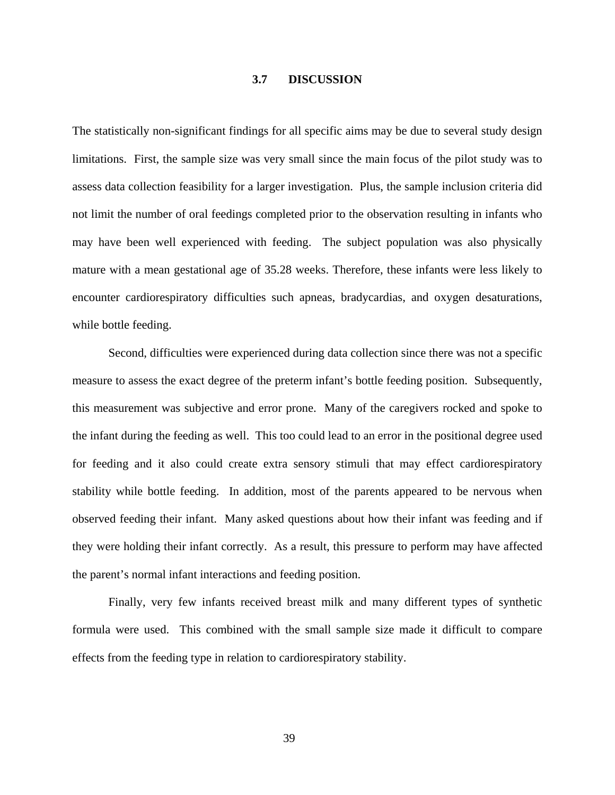## **3.7 DISCUSSION**

The statistically non-significant findings for all specific aims may be due to several study design limitations. First, the sample size was very small since the main focus of the pilot study was to assess data collection feasibility for a larger investigation. Plus, the sample inclusion criteria did not limit the number of oral feedings completed prior to the observation resulting in infants who may have been well experienced with feeding. The subject population was also physically mature with a mean gestational age of 35.28 weeks. Therefore, these infants were less likely to encounter cardiorespiratory difficulties such apneas, bradycardias, and oxygen desaturations, while bottle feeding.

 Second, difficulties were experienced during data collection since there was not a specific measure to assess the exact degree of the preterm infant's bottle feeding position. Subsequently, this measurement was subjective and error prone. Many of the caregivers rocked and spoke to the infant during the feeding as well. This too could lead to an error in the positional degree used for feeding and it also could create extra sensory stimuli that may effect cardiorespiratory stability while bottle feeding. In addition, most of the parents appeared to be nervous when observed feeding their infant. Many asked questions about how their infant was feeding and if they were holding their infant correctly. As a result, this pressure to perform may have affected the parent's normal infant interactions and feeding position.

 Finally, very few infants received breast milk and many different types of synthetic formula were used. This combined with the small sample size made it difficult to compare effects from the feeding type in relation to cardiorespiratory stability.

39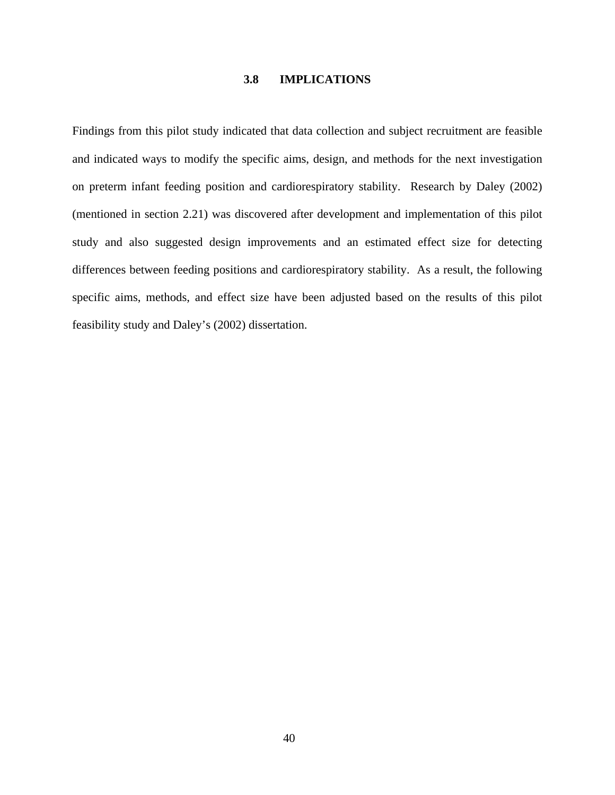## **3.8 IMPLICATIONS**

Findings from this pilot study indicated that data collection and subject recruitment are feasible and indicated ways to modify the specific aims, design, and methods for the next investigation on preterm infant feeding position and cardiorespiratory stability. Research by Daley (2002) (mentioned in section 2.21) was discovered after development and implementation of this pilot study and also suggested design improvements and an estimated effect size for detecting differences between feeding positions and cardiorespiratory stability. As a result, the following specific aims, methods, and effect size have been adjusted based on the results of this pilot feasibility study and Daley's (2002) dissertation.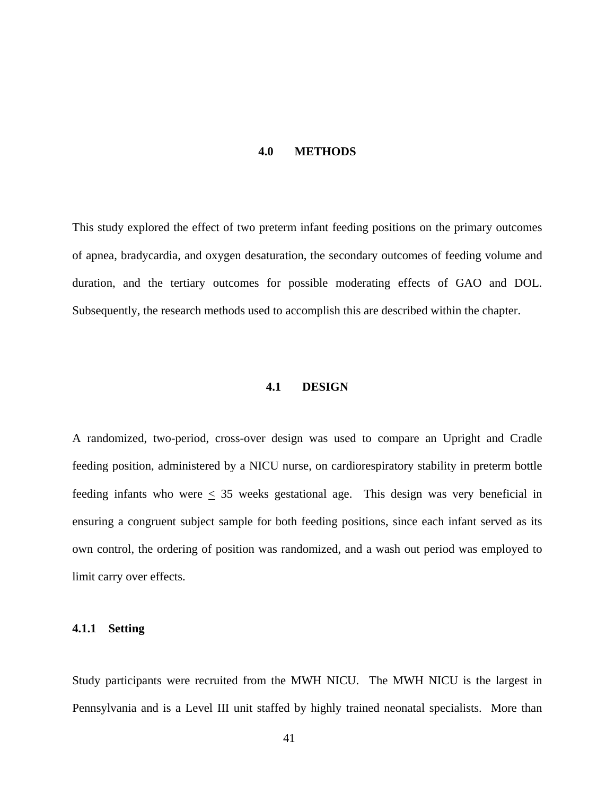#### **4.0 METHODS**

This study explored the effect of two preterm infant feeding positions on the primary outcomes of apnea, bradycardia, and oxygen desaturation, the secondary outcomes of feeding volume and duration, and the tertiary outcomes for possible moderating effects of GAO and DOL. Subsequently, the research methods used to accomplish this are described within the chapter.

## **4.1 DESIGN**

A randomized, two-period, cross-over design was used to compare an Upright and Cradle feeding position, administered by a NICU nurse, on cardiorespiratory stability in preterm bottle feeding infants who were  $\leq$  35 weeks gestational age. This design was very beneficial in ensuring a congruent subject sample for both feeding positions, since each infant served as its own control, the ordering of position was randomized, and a wash out period was employed to limit carry over effects.

### **4.1.1 Setting**

Study participants were recruited from the MWH NICU. The MWH NICU is the largest in Pennsylvania and is a Level III unit staffed by [highly trained neonatal specialists.](http://mageenicu.upmc.com/Staff.htm) More than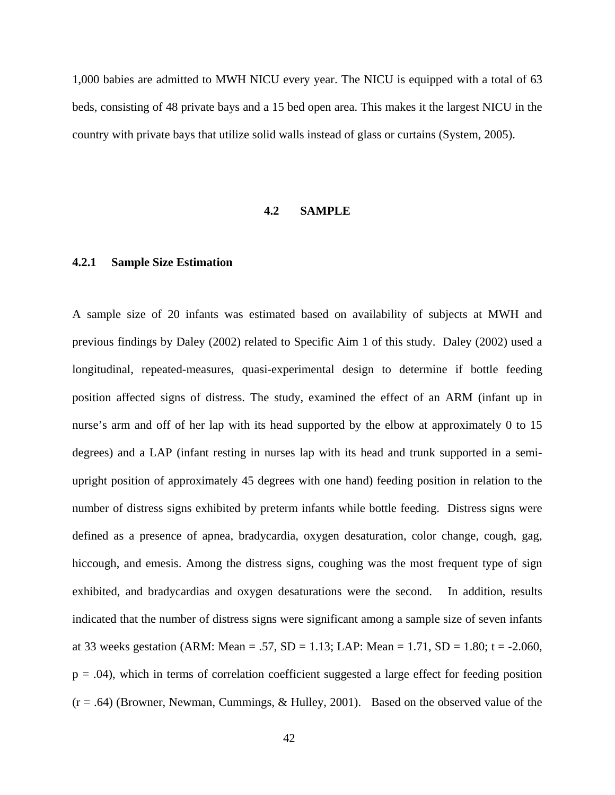1,000 babies are admitted to MWH NICU every year. The NICU is equipped with a total of 63 beds, consisting of 48 private bays and a 15 bed open area. This makes it the largest NICU in the country with private bays that utilize solid walls instead of glass or curtains (System, 2005).

### **4.2 SAMPLE**

## **4.2.1 Sample Size Estimation**

A sample size of 20 infants was estimated based on availability of subjects at MWH and previous findings by Daley (2002) related to Specific Aim 1 of this study. Daley (2002) used a longitudinal, repeated-measures, quasi-experimental design to determine if bottle feeding position affected signs of distress. The study, examined the effect of an ARM (infant up in nurse's arm and off of her lap with its head supported by the elbow at approximately 0 to 15 degrees) and a LAP (infant resting in nurses lap with its head and trunk supported in a semiupright position of approximately 45 degrees with one hand) feeding position in relation to the number of distress signs exhibited by preterm infants while bottle feeding. Distress signs were defined as a presence of apnea, bradycardia, oxygen desaturation, color change, cough, gag, hiccough, and emesis. Among the distress signs, coughing was the most frequent type of sign exhibited, and bradycardias and oxygen desaturations were the second. In addition, results indicated that the number of distress signs were significant among a sample size of seven infants at 33 weeks gestation (ARM: Mean = .57, SD = 1.13; LAP: Mean = 1.71, SD = 1.80;  $t = -2.060$ ,  $p = .04$ ), which in terms of correlation coefficient suggested a large effect for feeding position  $(r = .64)$  (Browner, Newman, Cummings, & Hulley, 2001). Based on the observed value of the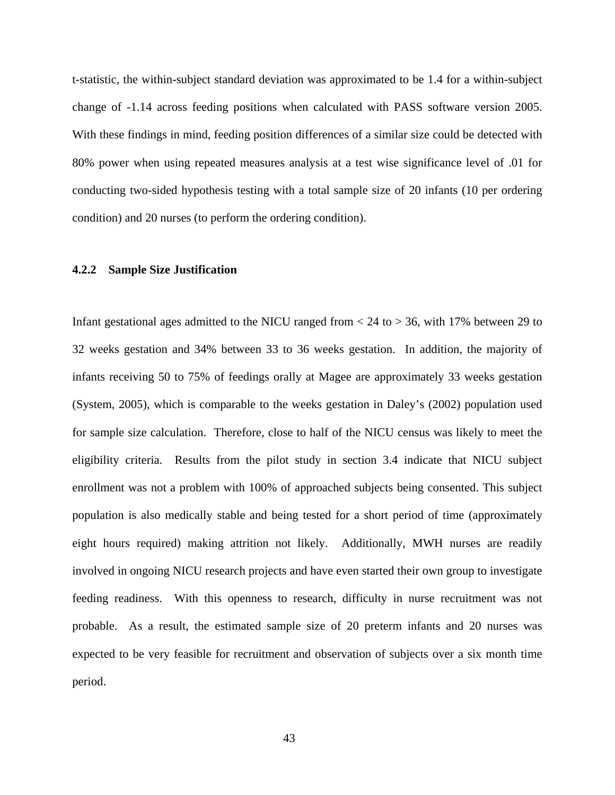t-statistic, the within-subject standard deviation was approximated to be 1.4 for a within-subject change of -1.14 across feeding positions when calculated with PASS software version 2005. With these findings in mind, feeding position differences of a similar size could be detected with 80% power when using repeated measures analysis at a test wise significance level of .01 for conducting two-sided hypothesis testing with a total sample size of 20 infants (10 per ordering condition) and 20 nurses (to perform the ordering condition).

## **4.2.2 Sample Size Justification**

Infant gestational ages admitted to the NICU ranged from  $<$  24 to  $>$  36, with 17% between 29 to 32 weeks gestation and 34% between 33 to 36 weeks gestation. In addition, the majority of infants receiving 50 to 75% of feedings orally at Magee are approximately 33 weeks gestation (System, 2005), which is comparable to the weeks gestation in Daley's (2002) population used for sample size calculation. Therefore, close to half of the NICU census was likely to meet the eligibility criteria. Results from the pilot study in section 3.4 indicate that NICU subject enrollment was not a problem with 100% of approached subjects being consented. This subject population is also medically stable and being tested for a short period of time (approximately eight hours required) making attrition not likely. Additionally, MWH nurses are readily involved in ongoing NICU research projects and have even started their own group to investigate feeding readiness. With this openness to research, difficulty in nurse recruitment was not probable. As a result, the estimated sample size of 20 preterm infants and 20 nurses was expected to be very feasible for recruitment and observation of subjects over a six month time period.

43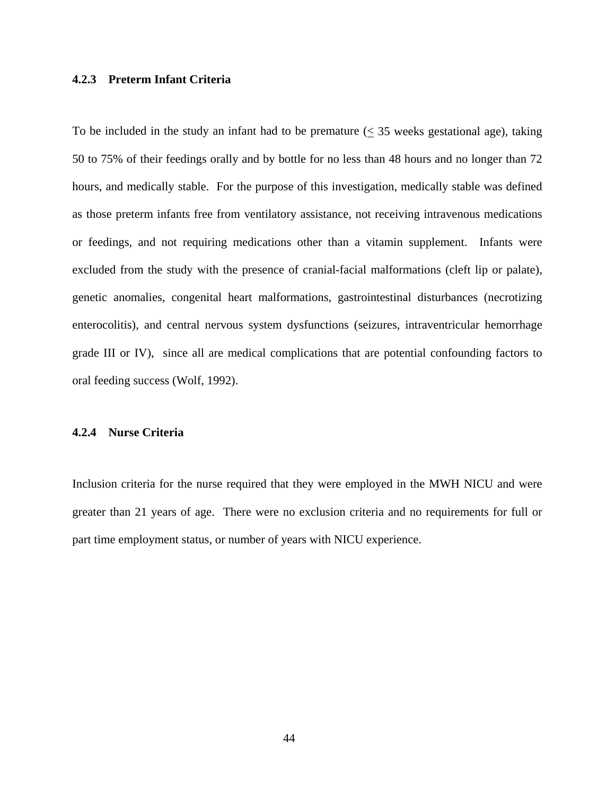### **4.2.3 Preterm Infant Criteria**

To be included in the study an infant had to be premature  $(\leq 35$  weeks gestational age), taking 50 to 75% of their feedings orally and by bottle for no less than 48 hours and no longer than 72 hours, and medically stable. For the purpose of this investigation, medically stable was defined as those preterm infants free from ventilatory assistance, not receiving intravenous medications or feedings, and not requiring medications other than a vitamin supplement. Infants were excluded from the study with the presence of cranial-facial malformations (cleft lip or palate), genetic anomalies, congenital heart malformations, gastrointestinal disturbances (necrotizing enterocolitis), and central nervous system dysfunctions (seizures, intraventricular hemorrhage grade III or IV), since all are medical complications that are potential confounding factors to oral feeding success (Wolf, 1992).

### **4.2.4 Nurse Criteria**

Inclusion criteria for the nurse required that they were employed in the MWH NICU and were greater than 21 years of age. There were no exclusion criteria and no requirements for full or part time employment status, or number of years with NICU experience.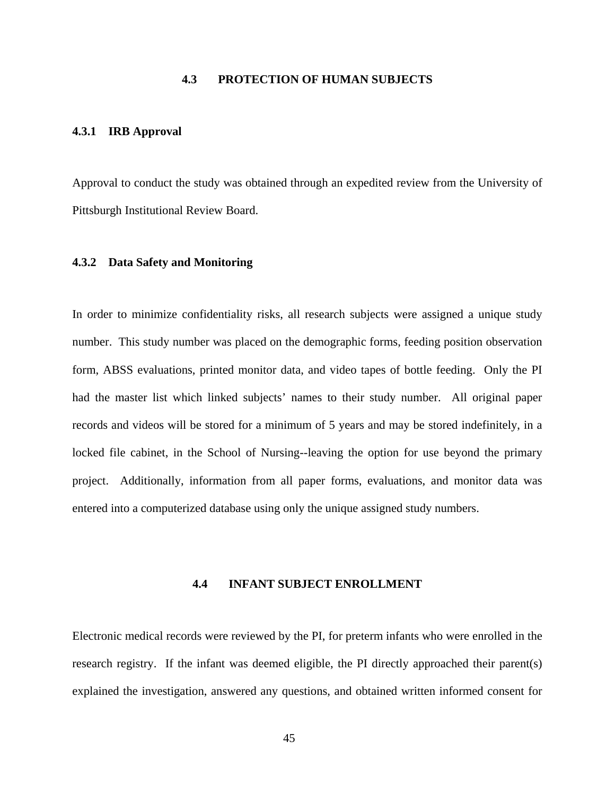# **4.3 PROTECTION OF HUMAN SUBJECTS**

### **4.3.1 IRB Approval**

Approval to conduct the study was obtained through an expedited review from the University of Pittsburgh Institutional Review Board.

## **4.3.2 Data Safety and Monitoring**

In order to minimize confidentiality risks, all research subjects were assigned a unique study number. This study number was placed on the demographic forms, feeding position observation form, ABSS evaluations, printed monitor data, and video tapes of bottle feeding. Only the PI had the master list which linked subjects' names to their study number. All original paper records and videos will be stored for a minimum of 5 years and may be stored indefinitely, in a locked file cabinet, in the School of Nursing--leaving the option for use beyond the primary project. Additionally, information from all paper forms, evaluations, and monitor data was entered into a computerized database using only the unique assigned study numbers.

### **4.4 INFANT SUBJECT ENROLLMENT**

Electronic medical records were reviewed by the PI, for preterm infants who were enrolled in the research registry. If the infant was deemed eligible, the PI directly approached their parent(s) explained the investigation, answered any questions, and obtained written informed consent for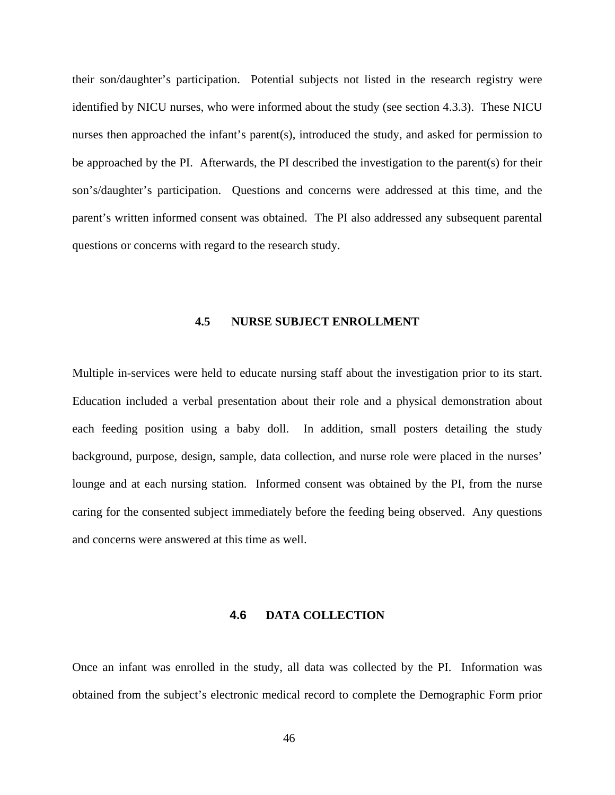their son/daughter's participation. Potential subjects not listed in the research registry were identified by NICU nurses, who were informed about the study (see section 4.3.3). These NICU nurses then approached the infant's parent(s), introduced the study, and asked for permission to be approached by the PI.Afterwards, the PI described the investigation to the parent(s) for their son's/daughter's participation. Questions and concerns were addressed at this time, and the parent's written informed consent was obtained. The PI also addressed any subsequent parental questions or concerns with regard to the research study.

### **4.5 NURSE SUBJECT ENROLLMENT**

Multiple in-services were held to educate nursing staff about the investigation prior to its start. Education included a verbal presentation about their role and a physical demonstration about each feeding position using a baby doll. In addition, small posters detailing the study background, purpose, design, sample, data collection, and nurse role were placed in the nurses' lounge and at each nursing station. Informed consent was obtained by the PI, from the nurse caring for the consented subject immediately before the feeding being observed. Any questions and concerns were answered at this time as well.

#### **4.6 DATA COLLECTION**

Once an infant was enrolled in the study, all data was collected by the PI. Information was obtained from the subject's electronic medical record to complete the Demographic Form prior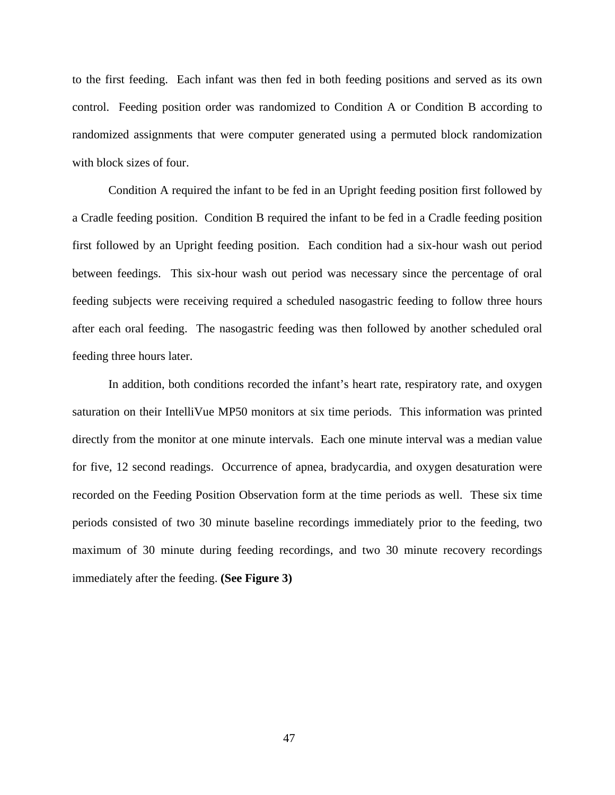to the first feeding. Each infant was then fed in both feeding positions and served as its own control. Feeding position order was randomized to Condition A or Condition B according to randomized assignments that were computer generated using a permuted block randomization with block sizes of four.

Condition A required the infant to be fed in an Upright feeding position first followed by a Cradle feeding position. Condition B required the infant to be fed in a Cradle feeding position first followed by an Upright feeding position. Each condition had a six-hour wash out period between feedings. This six-hour wash out period was necessary since the percentage of oral feeding subjects were receiving required a scheduled nasogastric feeding to follow three hours after each oral feeding. The nasogastric feeding was then followed by another scheduled oral feeding three hours later.

In addition, both conditions recorded the infant's heart rate, respiratory rate, and oxygen saturation on their IntelliVue MP50 monitors at six time periods. This information was printed directly from the monitor at one minute intervals. Each one minute interval was a median value for five, 12 second readings. Occurrence of apnea, bradycardia, and oxygen desaturation were recorded on the Feeding Position Observation form at the time periods as well. These six time periods consisted of two 30 minute baseline recordings immediately prior to the feeding, two maximum of 30 minute during feeding recordings, and two 30 minute recovery recordings immediately after the feeding. **(See Figure 3)**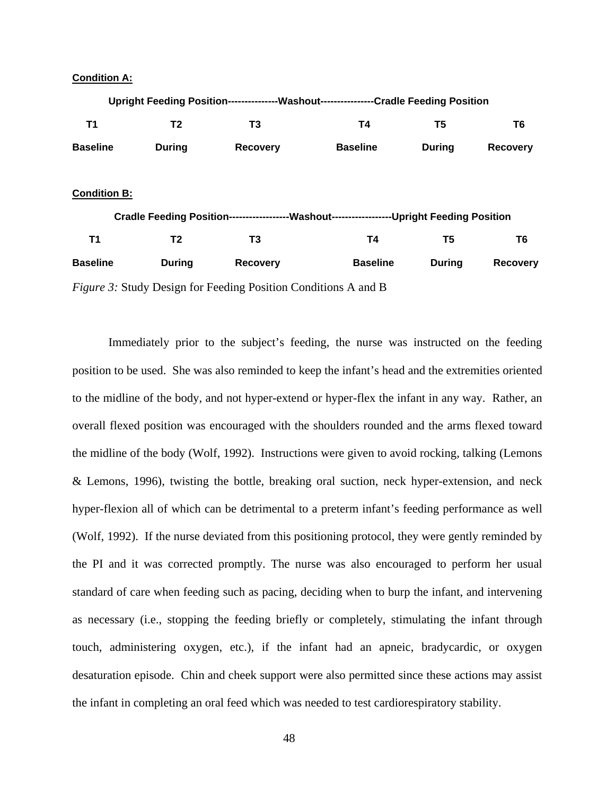## **Condition A:**



Immediately prior to the subject's feeding, the nurse was instructed on the feeding position to be used. She was also reminded to keep the infant's head and the extremities oriented to the midline of the body, and not hyper-extend or hyper-flex the infant in any way. Rather, an overall flexed position was encouraged with the shoulders rounded and the arms flexed toward the midline of the body (Wolf, 1992). Instructions were given to avoid rocking, talking (Lemons & Lemons, 1996), twisting the bottle, breaking oral suction, neck hyper-extension, and neck hyper-flexion all of which can be detrimental to a preterm infant's feeding performance as well (Wolf, 1992). If the nurse deviated from this positioning protocol, they were gently reminded by the PI and it was corrected promptly. The nurse was also encouraged to perform her usual standard of care when feeding such as pacing, deciding when to burp the infant, and intervening as necessary (i.e., stopping the feeding briefly or completely, stimulating the infant through touch, administering oxygen, etc.), if the infant had an apneic, bradycardic, or oxygen desaturation episode. Chin and cheek support were also permitted since these actions may assist the infant in completing an oral feed which was needed to test cardiorespiratory stability.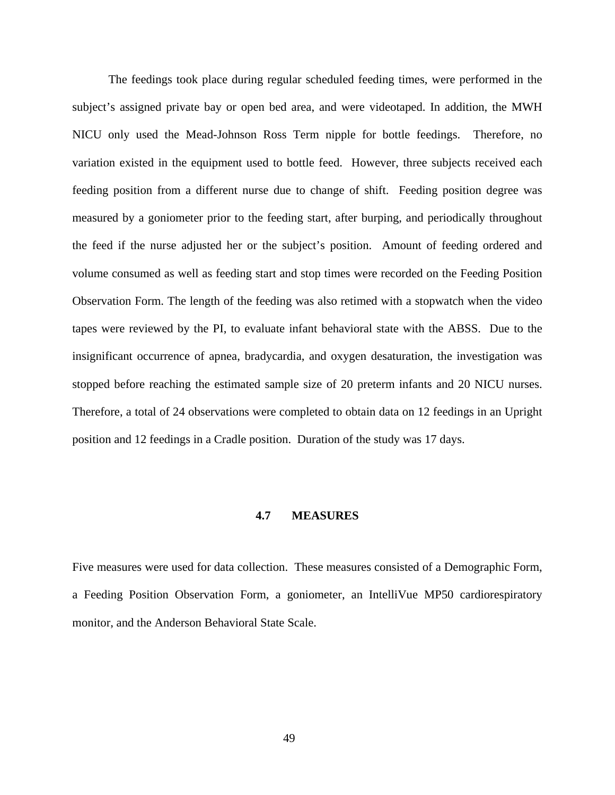The feedings took place during regular scheduled feeding times, were performed in the subject's assigned private bay or open bed area, and were videotaped. In addition, the MWH NICU only used the Mead-Johnson Ross Term nipple for bottle feedings. Therefore, no variation existed in the equipment used to bottle feed. However, three subjects received each feeding position from a different nurse due to change of shift. Feeding position degree was measured by a goniometer prior to the feeding start, after burping, and periodically throughout the feed if the nurse adjusted her or the subject's position. Amount of feeding ordered and volume consumed as well as feeding start and stop times were recorded on the Feeding Position Observation Form. The length of the feeding was also retimed with a stopwatch when the video tapes were reviewed by the PI, to evaluate infant behavioral state with the ABSS. Due to the insignificant occurrence of apnea, bradycardia, and oxygen desaturation, the investigation was stopped before reaching the estimated sample size of 20 preterm infants and 20 NICU nurses. Therefore, a total of 24 observations were completed to obtain data on 12 feedings in an Upright position and 12 feedings in a Cradle position. Duration of the study was 17 days.

#### **4.7 MEASURES**

Five measures were used for data collection. These measures consisted of a Demographic Form, a Feeding Position Observation Form, a goniometer, an IntelliVue MP50 cardiorespiratory monitor, and the Anderson Behavioral State Scale.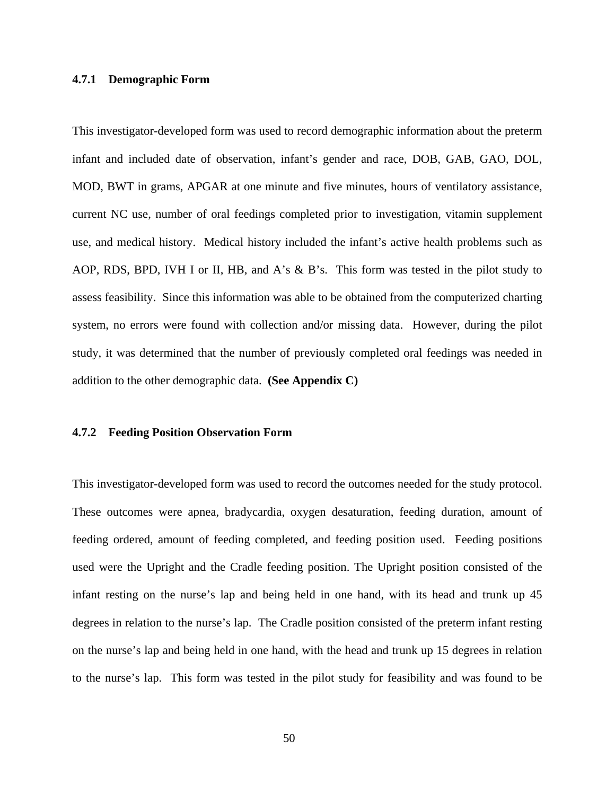## **4.7.1 Demographic Form**

This investigator-developed form was used to record demographic information about the preterm infant and included date of observation, infant's gender and race, DOB, GAB, GAO, DOL, MOD, BWT in grams, APGAR at one minute and five minutes, hours of ventilatory assistance, current NC use, number of oral feedings completed prior to investigation, vitamin supplement use, and medical history. Medical history included the infant's active health problems such as AOP, RDS, BPD, IVH I or II, HB, and A's & B's. This form was tested in the pilot study to assess feasibility. Since this information was able to be obtained from the computerized charting system, no errors were found with collection and/or missing data. However, during the pilot study, it was determined that the number of previously completed oral feedings was needed in addition to the other demographic data. **(See Appendix C)** 

#### **4.7.2 Feeding Position Observation Form**

This investigator-developed form was used to record the outcomes needed for the study protocol. These outcomes were apnea, bradycardia, oxygen desaturation, feeding duration, amount of feeding ordered, amount of feeding completed, and feeding position used. Feeding positions used were the Upright and the Cradle feeding position. The Upright position consisted of the infant resting on the nurse's lap and being held in one hand, with its head and trunk up 45 degrees in relation to the nurse's lap. The Cradle position consisted of the preterm infant resting on the nurse's lap and being held in one hand, with the head and trunk up 15 degrees in relation to the nurse's lap. This form was tested in the pilot study for feasibility and was found to be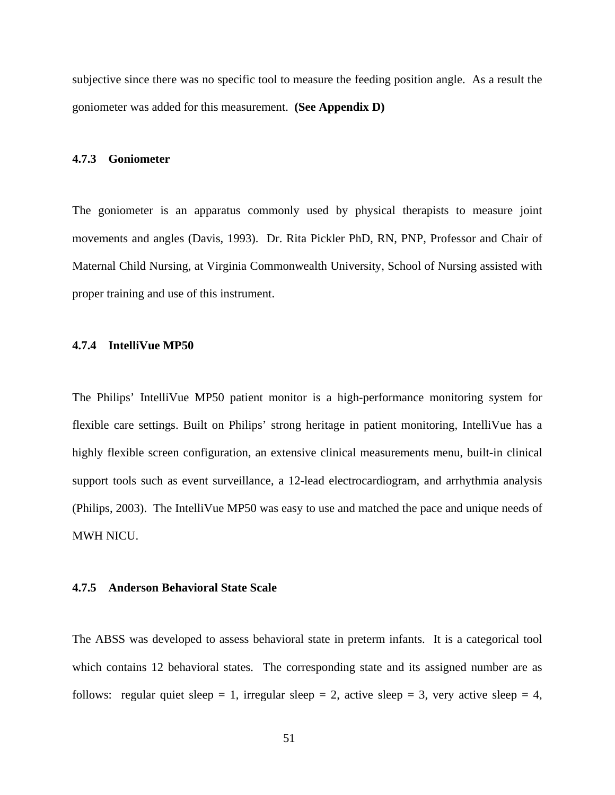subjective since there was no specific tool to measure the feeding position angle. As a result the goniometer was added for this measurement. **(See Appendix D)**

### **4.7.3 Goniometer**

The goniometer is an apparatus commonly used by physical therapists to measure joint movements and angles (Davis, 1993). Dr. Rita Pickler PhD, RN, PNP, Professor and Chair of Maternal Child Nursing, at Virginia Commonwealth University, School of Nursing assisted with proper training and use of this instrument.

### **4.7.4 IntelliVue MP50**

The Philips' IntelliVue MP50 patient monitor is a high-performance monitoring system for flexible care settings. Built on Philips' strong heritage in patient monitoring, IntelliVue has a highly flexible screen configuration, an extensive clinical measurements menu, built-in clinical support tools such as event surveillance, a 12-lead electrocardiogram, and arrhythmia analysis (Philips, 2003). The IntelliVue MP50 was easy to use and matched the pace and unique needs of MWH NICU.

#### **4.7.5 Anderson Behavioral State Scale**

The ABSS was developed to assess behavioral state in preterm infants. It is a categorical tool which contains 12 behavioral states. The corresponding state and its assigned number are as follows: regular quiet sleep = 1, irregular sleep = 2, active sleep = 3, very active sleep = 4,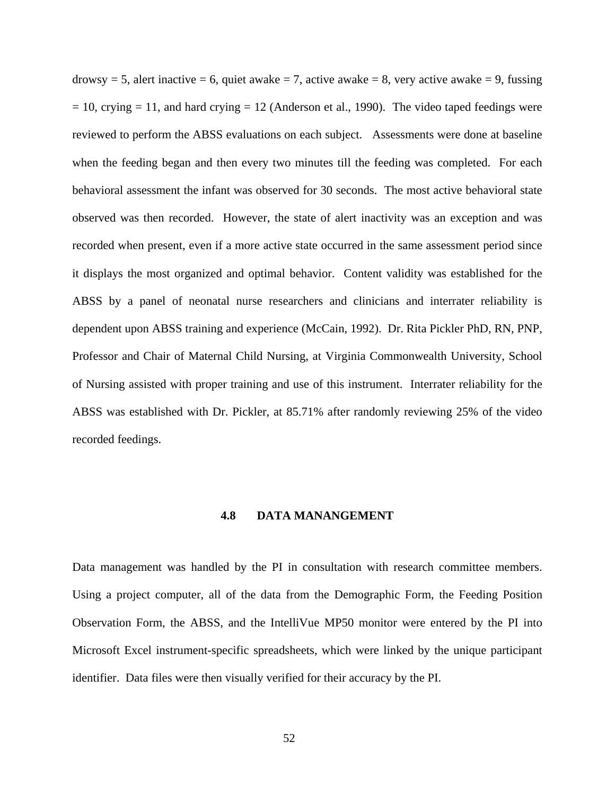drowsy = 5, alert inactive = 6, quiet awake = 7, active awake = 8, very active awake = 9, fussing  $= 10$ , crying  $= 11$ , and hard crying  $= 12$  (Anderson et al., 1990). The video taped feedings were reviewed to perform the ABSS evaluations on each subject. Assessments were done at baseline when the feeding began and then every two minutes till the feeding was completed. For each behavioral assessment the infant was observed for 30 seconds. The most active behavioral state observed was then recorded. However, the state of alert inactivity was an exception and was recorded when present, even if a more active state occurred in the same assessment period since it displays the most organized and optimal behavior. Content validity was established for the ABSS by a panel of neonatal nurse researchers and clinicians and interrater reliability is dependent upon ABSS training and experience (McCain, 1992). Dr. Rita Pickler PhD, RN, PNP, Professor and Chair of Maternal Child Nursing, at Virginia Commonwealth University, School of Nursing assisted with proper training and use of this instrument. Interrater reliability for the ABSS was established with Dr. Pickler, at 85.71% after randomly reviewing 25% of the video recorded feedings.

## **4.8 DATA MANANGEMENT**

Data management was handled by the PI in consultation with research committee members. Using a project computer, all of the data from the Demographic Form, the Feeding Position Observation Form, the ABSS, and the IntelliVue MP50 monitor were entered by the PI into Microsoft Excel instrument-specific spreadsheets, which were linked by the unique participant identifier. Data files were then visually verified for their accuracy by the PI.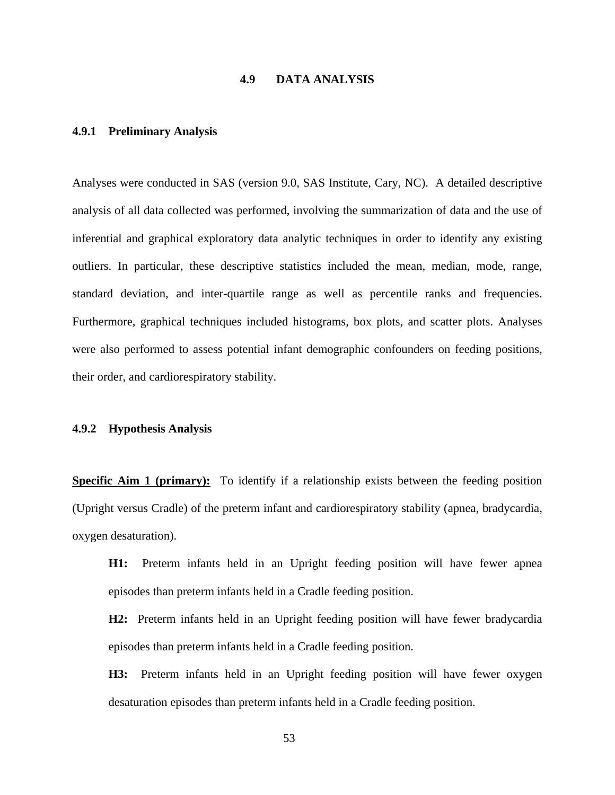# **4.9 DATA ANALYSIS**

### **4.9.1 Preliminary Analysis**

Analyses were conducted in SAS (version 9.0, SAS Institute, Cary, NC). A detailed descriptive analysis of all data collected was performed, involving the summarization of data and the use of inferential and graphical exploratory data analytic techniques in order to identify any existing outliers. In particular, these descriptive statistics included the mean, median, mode, range, standard deviation, and inter-quartile range as well as percentile ranks and frequencies. Furthermore, graphical techniques included histograms, box plots, and scatter plots. Analyses were also performed to assess potential infant demographic confounders on feeding positions, their order, and cardiorespiratory stability.

#### **4.9.2 Hypothesis Analysis**

**Specific Aim 1 (primary):** To identify if a relationship exists between the feeding position (Upright versus Cradle) of the preterm infant and cardiorespiratory stability (apnea, bradycardia, oxygen desaturation).

**H1:** Preterm infants held in an Upright feeding position will have fewer apnea episodes than preterm infants held in a Cradle feeding position.

**H2:** Preterm infants held in an Upright feeding position will have fewer bradycardia episodes than preterm infants held in a Cradle feeding position.

**H3:** Preterm infants held in an Upright feeding position will have fewer oxygen desaturation episodes than preterm infants held in a Cradle feeding position.

53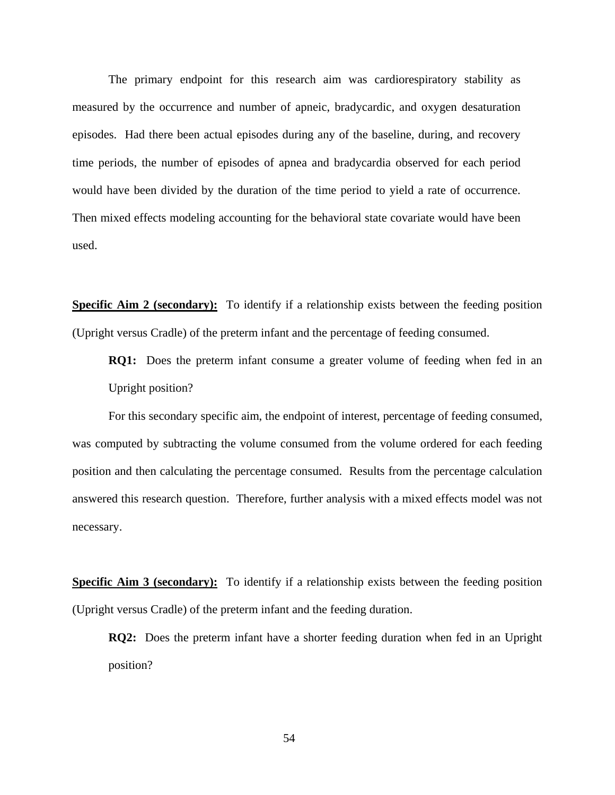The primary endpoint for this research aim was cardiorespiratory stability as measured by the occurrence and number of apneic, bradycardic, and oxygen desaturation episodes. Had there been actual episodes during any of the baseline, during, and recovery time periods, the number of episodes of apnea and bradycardia observed for each period would have been divided by the duration of the time period to yield a rate of occurrence. Then mixed effects modeling accounting for the behavioral state covariate would have been used.

**Specific Aim 2 (secondary):** To identify if a relationship exists between the feeding position (Upright versus Cradle) of the preterm infant and the percentage of feeding consumed.

**RQ1:** Does the preterm infant consume a greater volume of feeding when fed in an Upright position?

 For this secondary specific aim, the endpoint of interest, percentage of feeding consumed, was computed by subtracting the volume consumed from the volume ordered for each feeding position and then calculating the percentage consumed. Results from the percentage calculation answered this research question. Therefore, further analysis with a mixed effects model was not necessary.

**Specific Aim 3 (secondary):** To identify if a relationship exists between the feeding position (Upright versus Cradle) of the preterm infant and the feeding duration.

**RQ2:** Does the preterm infant have a shorter feeding duration when fed in an Upright position?

54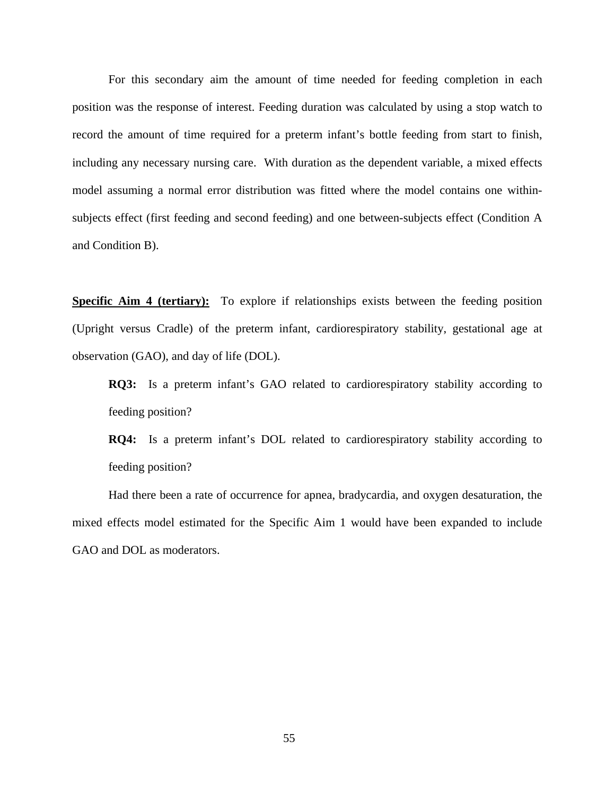For this secondary aim the amount of time needed for feeding completion in each position was the response of interest. Feeding duration was calculated by using a stop watch to record the amount of time required for a preterm infant's bottle feeding from start to finish, including any necessary nursing care. With duration as the dependent variable, a mixed effects model assuming a normal error distribution was fitted where the model contains one withinsubjects effect (first feeding and second feeding) and one between-subjects effect (Condition A and Condition B).

**Specific Aim 4 (tertiary):** To explore if relationships exists between the feeding position (Upright versus Cradle) of the preterm infant, cardiorespiratory stability, gestational age at observation (GAO), and day of life (DOL).

**RQ3:** Is a preterm infant's GAO related to cardiorespiratory stability according to feeding position?

**RQ4:** Is a preterm infant's DOL related to cardiorespiratory stability according to feeding position?

 Had there been a rate of occurrence for apnea, bradycardia, and oxygen desaturation, the mixed effects model estimated for the Specific Aim 1 would have been expanded to include GAO and DOL as moderators.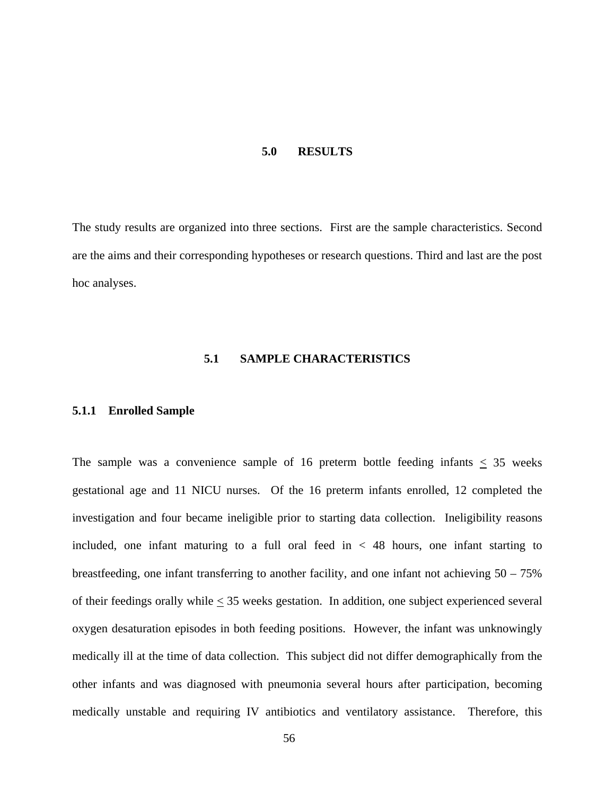#### **5.0 RESULTS**

The study results are organized into three sections. First are the sample characteristics. Second are the aims and their corresponding hypotheses or research questions. Third and last are the post hoc analyses.

# **5.1 SAMPLE CHARACTERISTICS**

### **5.1.1 Enrolled Sample**

The sample was a convenience sample of 16 preterm bottle feeding infants  $\leq$  35 weeks gestational age and 11 NICU nurses. Of the 16 preterm infants enrolled, 12 completed the investigation and four became ineligible prior to starting data collection. Ineligibility reasons included, one infant maturing to a full oral feed in  $<$  48 hours, one infant starting to breastfeeding, one infant transferring to another facility, and one infant not achieving 50 – 75% of their feedings orally while  $\leq$  35 weeks gestation. In addition, one subject experienced several oxygen desaturation episodes in both feeding positions. However, the infant was unknowingly medically ill at the time of data collection. This subject did not differ demographically from the other infants and was diagnosed with pneumonia several hours after participation, becoming medically unstable and requiring IV antibiotics and ventilatory assistance. Therefore, this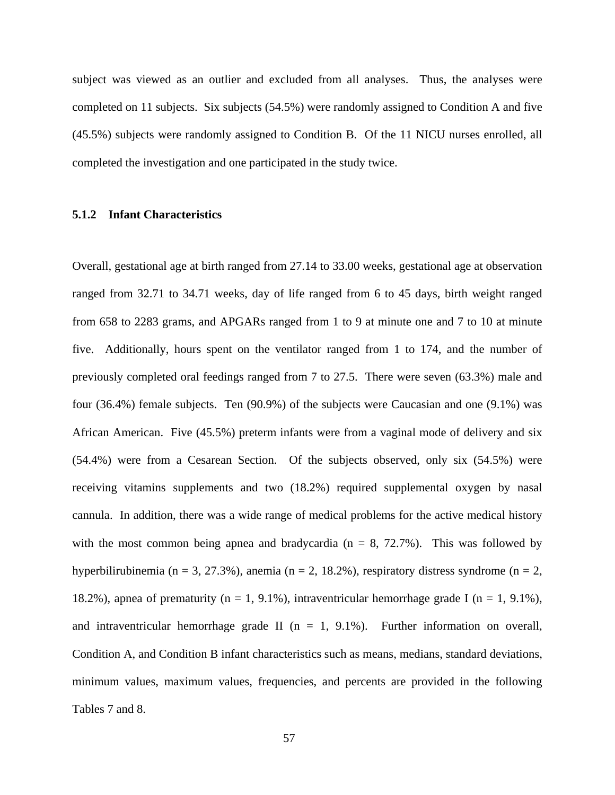subject was viewed as an outlier and excluded from all analyses. Thus, the analyses were completed on 11 subjects. Six subjects (54.5%) were randomly assigned to Condition A and five (45.5%) subjects were randomly assigned to Condition B. Of the 11 NICU nurses enrolled, all completed the investigation and one participated in the study twice.

### **5.1.2 Infant Characteristics**

Overall, gestational age at birth ranged from 27.14 to 33.00 weeks, gestational age at observation ranged from 32.71 to 34.71 weeks, day of life ranged from 6 to 45 days, birth weight ranged from 658 to 2283 grams, and APGARs ranged from 1 to 9 at minute one and 7 to 10 at minute five. Additionally, hours spent on the ventilator ranged from 1 to 174, and the number of previously completed oral feedings ranged from 7 to 27.5. There were seven (63.3%) male and four (36.4%) female subjects. Ten (90.9%) of the subjects were Caucasian and one (9.1%) was African American. Five (45.5%) preterm infants were from a vaginal mode of delivery and six (54.4%) were from a Cesarean Section. Of the subjects observed, only six (54.5%) were receiving vitamins supplements and two (18.2%) required supplemental oxygen by nasal cannula. In addition, there was a wide range of medical problems for the active medical history with the most common being apnea and bradycardia ( $n = 8$ , 72.7%). This was followed by hyperbilirubinemia (n = 3, 27.3%), anemia (n = 2, 18.2%), respiratory distress syndrome (n = 2, 18.2%), apnea of prematurity (n = 1, 9.1%), intraventricular hemorrhage grade I (n = 1, 9.1%), and intraventricular hemorrhage grade II ( $n = 1$ , 9.1%). Further information on overall, Condition A, and Condition B infant characteristics such as means, medians, standard deviations, minimum values, maximum values, frequencies, and percents are provided in the following Tables 7 and 8.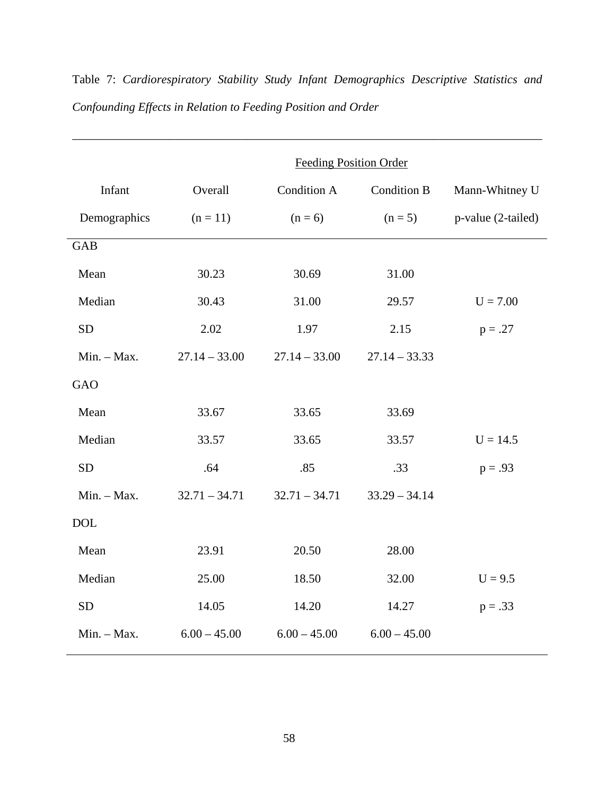|               | <b>Feeding Position Order</b> |                    |                    |                    |
|---------------|-------------------------------|--------------------|--------------------|--------------------|
| Infant        | Overall                       | <b>Condition A</b> | <b>Condition B</b> | Mann-Whitney U     |
| Demographics  | $(n = 11)$                    | $(n = 6)$          | $(n=5)$            | p-value (2-tailed) |
| <b>GAB</b>    |                               |                    |                    |                    |
| Mean          | 30.23                         | 30.69              | 31.00              |                    |
| Median        | 30.43                         | 31.00              | 29.57              | $U = 7.00$         |
| <b>SD</b>     | 2.02                          | 1.97               | 2.15               | $p = .27$          |
| $Min. - Max.$ | $27.14 - 33.00$               | $27.14 - 33.00$    | $27.14 - 33.33$    |                    |
| <b>GAO</b>    |                               |                    |                    |                    |
| Mean          | 33.67                         | 33.65              | 33.69              |                    |
| Median        | 33.57                         | 33.65              | 33.57              | $U = 14.5$         |
| <b>SD</b>     | .64                           | .85                | .33                | $p = .93$          |
| $Min. - Max.$ | $32.71 - 34.71$               | $32.71 - 34.71$    | $33.29 - 34.14$    |                    |
| <b>DOL</b>    |                               |                    |                    |                    |
| Mean          | 23.91                         | 20.50              | 28.00              |                    |
| Median        | 25.00                         | 18.50              | 32.00              | $U = 9.5$          |
| <b>SD</b>     | 14.05                         | 14.20              | 14.27              | $p = .33$          |
| $Min. - Max.$ | $6.00 - 45.00$                | $6.00 - 45.00$     | $6.00 - 45.00$     |                    |

Table 7: *Cardiorespiratory Stability Study Infant Demographics Descriptive Statistics and Confounding Effects in Relation to Feeding Position and Order* 

\_\_\_\_\_\_\_\_\_\_\_\_\_\_\_\_\_\_\_\_\_\_\_\_\_\_\_\_\_\_\_\_\_\_\_\_\_\_\_\_\_\_\_\_\_\_\_\_\_\_\_\_\_\_\_\_\_\_\_\_\_\_\_\_\_\_\_\_\_\_\_\_\_\_\_\_\_\_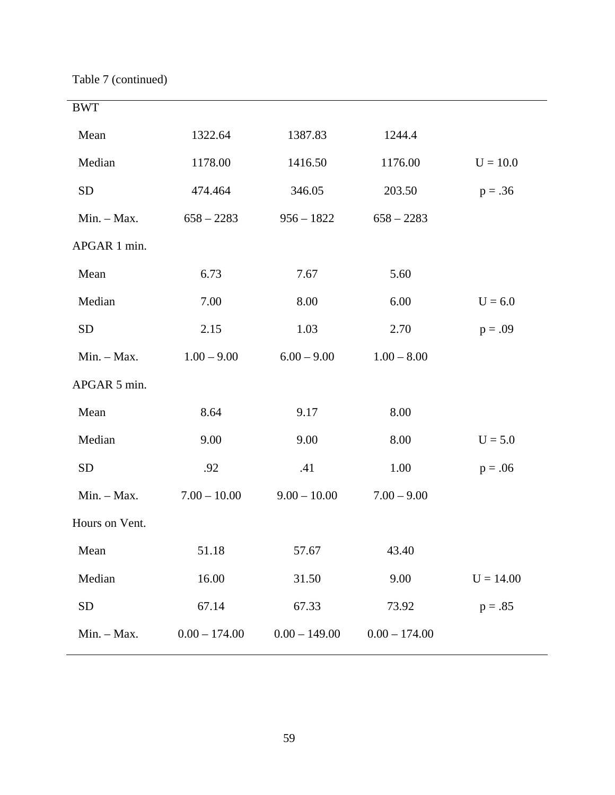Table 7 (continued)

| <b>BWT</b>     |                 |                 |                 |             |
|----------------|-----------------|-----------------|-----------------|-------------|
| Mean           | 1322.64         | 1387.83         | 1244.4          |             |
| Median         | 1178.00         | 1416.50         | 1176.00         | $U = 10.0$  |
| <b>SD</b>      | 474.464         | 346.05          | 203.50          | $p = .36$   |
| $Min. - Max.$  | $658 - 2283$    | $956 - 1822$    | $658 - 2283$    |             |
| APGAR 1 min.   |                 |                 |                 |             |
| Mean           | 6.73            | 7.67            | 5.60            |             |
| Median         | 7.00            | 8.00            | 6.00            | $U = 6.0$   |
| <b>SD</b>      | 2.15            | 1.03            | 2.70            | $p = .09$   |
| $Min. - Max.$  | $1.00 - 9.00$   | $6.00 - 9.00$   | $1.00 - 8.00$   |             |
| APGAR 5 min.   |                 |                 |                 |             |
| Mean           | 8.64            | 9.17            | 8.00            |             |
| Median         | 9.00            | 9.00            | 8.00            | $U = 5.0$   |
| <b>SD</b>      | .92             | .41             | 1.00            | $p = .06$   |
| Min. - Max.    | $7.00 - 10.00$  | $9.00 - 10.00$  | $7.00 - 9.00$   |             |
| Hours on Vent. |                 |                 |                 |             |
| Mean           | 51.18           | 57.67           | 43.40           |             |
| Median         | 16.00           | 31.50           | 9.00            | $U = 14.00$ |
| <b>SD</b>      | 67.14           | 67.33           | 73.92           | $p = .85$   |
| Min. - Max.    | $0.00 - 174.00$ | $0.00 - 149.00$ | $0.00 - 174.00$ |             |
|                |                 |                 |                 |             |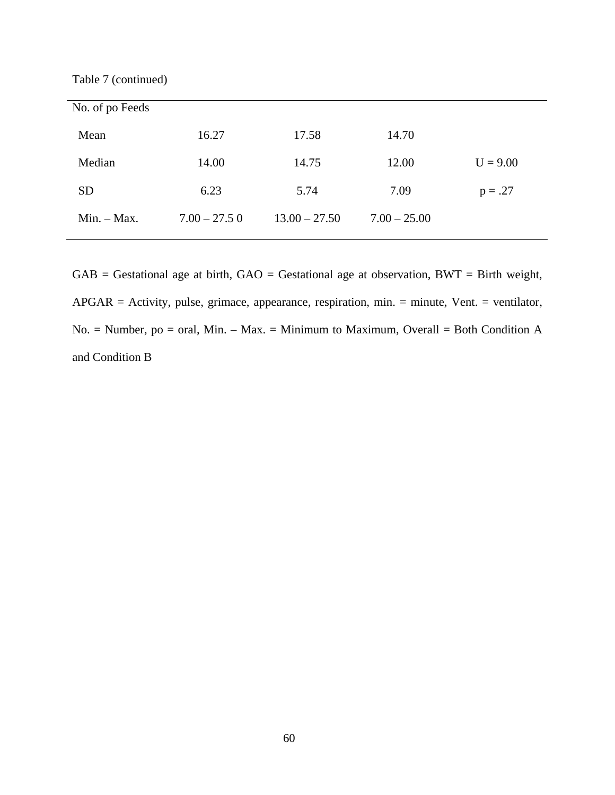Table 7 (continued)

| No. of po Feeds |                |                 |                |            |
|-----------------|----------------|-----------------|----------------|------------|
| Mean            | 16.27          | 17.58           | 14.70          |            |
| Median          | 14.00          | 14.75           | 12.00          | $U = 9.00$ |
| <b>SD</b>       | 6.23           | 5.74            | 7.09           | $p = .27$  |
| $Min. - Max.$   | $7.00 - 27.50$ | $13.00 - 27.50$ | $7.00 - 25.00$ |            |

 $GAB =$  Gestational age at birth,  $GAO =$  Gestational age at observation,  $BWT =$  Birth weight, APGAR = Activity, pulse, grimace, appearance, respiration, min. = minute, Vent. = ventilator, No. = Number, po = oral, Min. – Max. = Minimum to Maximum, Overall = Both Condition A and Condition B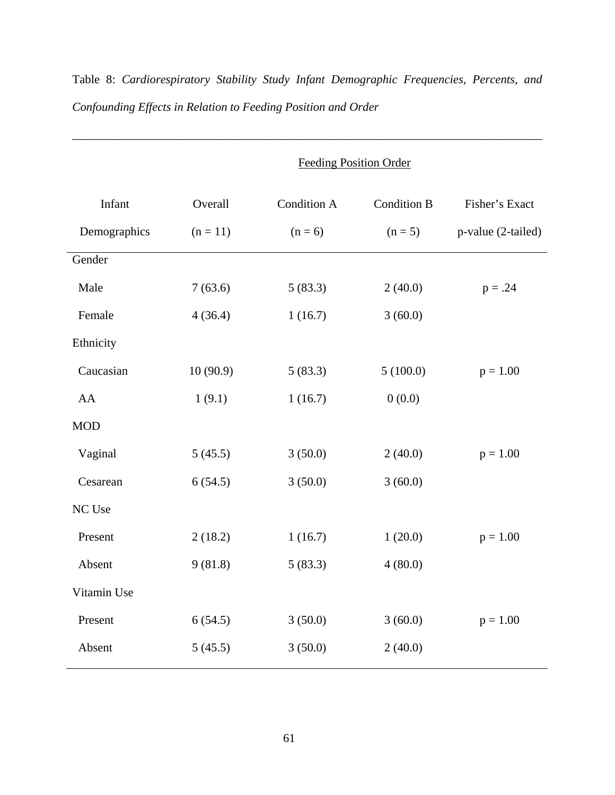# Table 8: *Cardiorespiratory Stability Study Infant Demographic Frequencies, Percents, and Confounding Effects in Relation to Feeding Position and Order*

\_\_\_\_\_\_\_\_\_\_\_\_\_\_\_\_\_\_\_\_\_\_\_\_\_\_\_\_\_\_\_\_\_\_\_\_\_\_\_\_\_\_\_\_\_\_\_\_\_\_\_\_\_\_\_\_\_\_\_\_\_\_\_\_\_\_\_\_\_\_\_\_\_\_\_\_\_\_

|              | <b>Feeding Position Order</b> |                    |                    |                    |
|--------------|-------------------------------|--------------------|--------------------|--------------------|
| Infant       | Overall                       | <b>Condition A</b> | <b>Condition B</b> | Fisher's Exact     |
| Demographics | $(n = 11)$                    | $(n = 6)$          | $(n = 5)$          | p-value (2-tailed) |
| Gender       |                               |                    |                    |                    |
| Male         | 7(63.6)                       | 5(83.3)            | 2(40.0)            | $p = .24$          |
| Female       | 4(36.4)                       | 1(16.7)            | 3(60.0)            |                    |
| Ethnicity    |                               |                    |                    |                    |
| Caucasian    | 10(90.9)                      | 5(83.3)            | 5(100.0)           | $p = 1.00$         |
| AA           | 1(9.1)                        | 1(16.7)            | 0(0.0)             |                    |
| <b>MOD</b>   |                               |                    |                    |                    |
| Vaginal      | 5(45.5)                       | 3(50.0)            | 2(40.0)            | $p = 1.00$         |
| Cesarean     | 6(54.5)                       | 3(50.0)            | 3(60.0)            |                    |
| NC Use       |                               |                    |                    |                    |
| Present      | 2(18.2)                       | 1(16.7)            | 1(20.0)            | $p = 1.00$         |
| Absent       | 9(81.8)                       | 5(83.3)            | 4(80.0)            |                    |
| Vitamin Use  |                               |                    |                    |                    |
| Present      | 6(54.5)                       | 3(50.0)            | 3(60.0)            | $p = 1.00$         |
| Absent       | 5(45.5)                       | 3(50.0)            | 2(40.0)            |                    |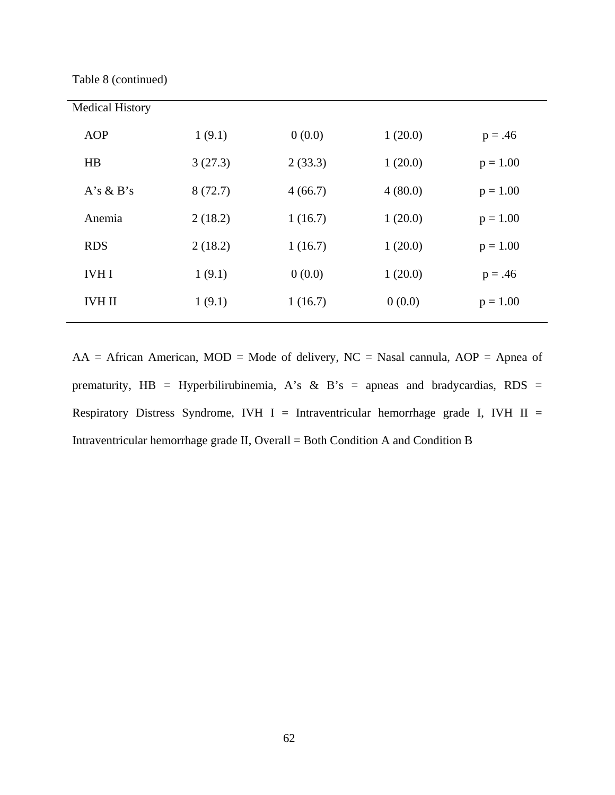Table 8 (continued)

| <b>Medical History</b> |         |         |         |            |
|------------------------|---------|---------|---------|------------|
| AOP                    | 1(9.1)  | 0(0.0)  | 1(20.0) | $p = .46$  |
| HB                     | 3(27.3) | 2(33.3) | 1(20.0) | $p = 1.00$ |
| $A's \& B's$           | 8(72.7) | 4(66.7) | 4(80.0) | $p = 1.00$ |
| Anemia                 | 2(18.2) | 1(16.7) | 1(20.0) | $p = 1.00$ |
| <b>RDS</b>             | 2(18.2) | 1(16.7) | 1(20.0) | $p = 1.00$ |
| <b>IVHI</b>            | 1(9.1)  | 0(0.0)  | 1(20.0) | $p = .46$  |
| <b>IVH II</b>          | 1(9.1)  | 1(16.7) | 0(0.0)  | $p = 1.00$ |
|                        |         |         |         |            |

 $AA = African American, MOD = Mode of delivery, NC = Nasal can a \text{AOP} = Ampa of$ prematurity,  $HB = Hyperbili$ rubinemia, A's & B's = apneas and bradycardias, RDS = Respiratory Distress Syndrome, IVH I = Intraventricular hemorrhage grade I, IVH II = Intraventricular hemorrhage grade II, Overall = Both Condition A and Condition B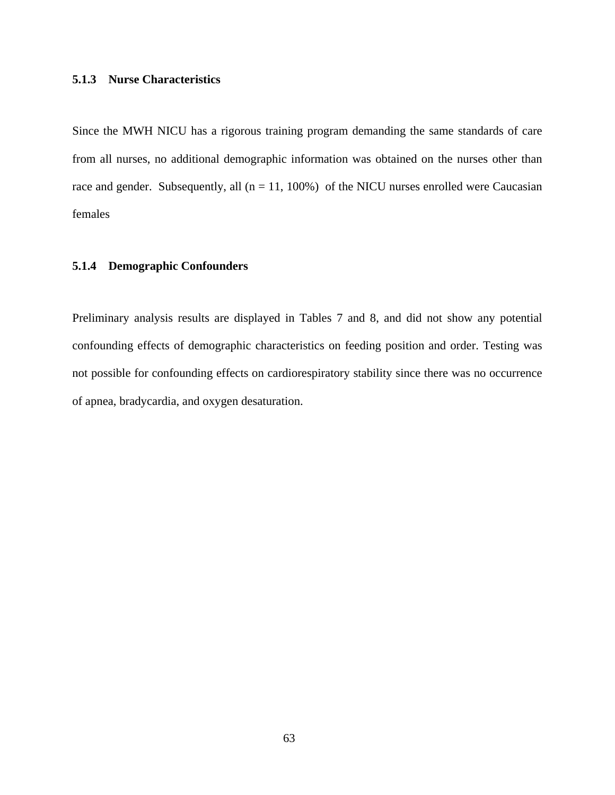# **5.1.3 Nurse Characteristics**

Since the MWH NICU has a rigorous training program demanding the same standards of care from all nurses, no additional demographic information was obtained on the nurses other than race and gender. Subsequently, all  $(n = 11, 100\%)$  of the NICU nurses enrolled were Caucasian females

# **5.1.4 Demographic Confounders**

Preliminary analysis results are displayed in Tables 7 and 8, and did not show any potential confounding effects of demographic characteristics on feeding position and order. Testing was not possible for confounding effects on cardiorespiratory stability since there was no occurrence of apnea, bradycardia, and oxygen desaturation.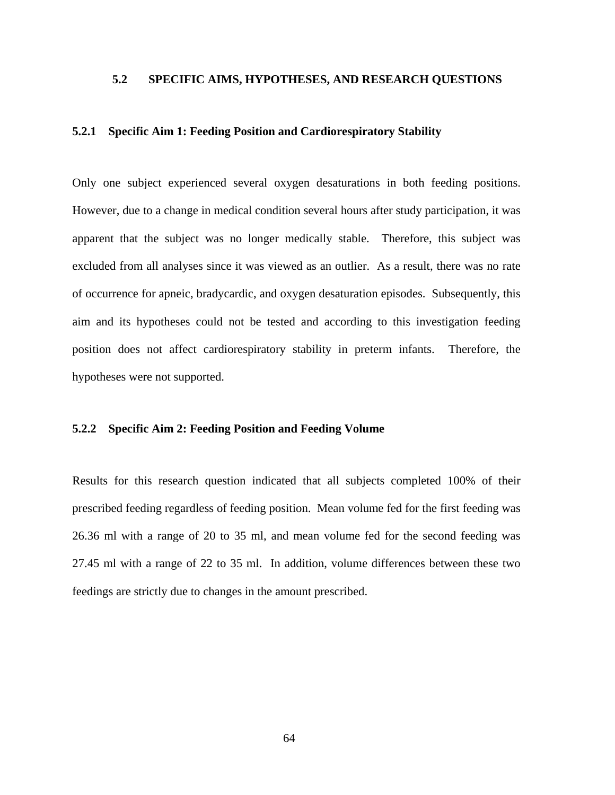# **5.2 SPECIFIC AIMS, HYPOTHESES, AND RESEARCH QUESTIONS**

## **5.2.1 Specific Aim 1: Feeding Position and Cardiorespiratory Stability**

Only one subject experienced several oxygen desaturations in both feeding positions. However, due to a change in medical condition several hours after study participation, it was apparent that the subject was no longer medically stable. Therefore, this subject was excluded from all analyses since it was viewed as an outlier. As a result, there was no rate of occurrence for apneic, bradycardic, and oxygen desaturation episodes. Subsequently, this aim and its hypotheses could not be tested and according to this investigation feeding position does not affect cardiorespiratory stability in preterm infants. Therefore, the hypotheses were not supported.

#### **5.2.2 Specific Aim 2: Feeding Position and Feeding Volume**

Results for this research question indicated that all subjects completed 100% of their prescribed feeding regardless of feeding position. Mean volume fed for the first feeding was 26.36 ml with a range of 20 to 35 ml, and mean volume fed for the second feeding was 27.45 ml with a range of 22 to 35 ml. In addition, volume differences between these two feedings are strictly due to changes in the amount prescribed.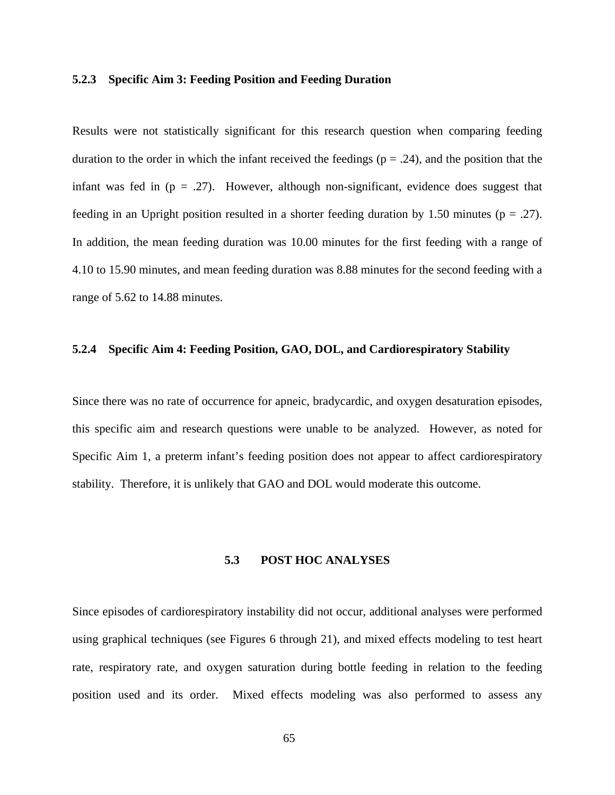#### **5.2.3 Specific Aim 3: Feeding Position and Feeding Duration**

Results were not statistically significant for this research question when comparing feeding duration to the order in which the infant received the feedings ( $p = .24$ ), and the position that the infant was fed in  $(p = .27)$ . However, although non-significant, evidence does suggest that feeding in an Upright position resulted in a shorter feeding duration by 1.50 minutes ( $p = .27$ ). In addition, the mean feeding duration was 10.00 minutes for the first feeding with a range of 4.10 to 15.90 minutes, and mean feeding duration was 8.88 minutes for the second feeding with a range of 5.62 to 14.88 minutes.

#### **5.2.4 Specific Aim 4: Feeding Position, GAO, DOL, and Cardiorespiratory Stability**

Since there was no rate of occurrence for apneic, bradycardic, and oxygen desaturation episodes, this specific aim and research questions were unable to be analyzed. However, as noted for Specific Aim 1, a preterm infant's feeding position does not appear to affect cardiorespiratory stability. Therefore, it is unlikely that GAO and DOL would moderate this outcome.

#### **5.3 POST HOC ANALYSES**

Since episodes of cardiorespiratory instability did not occur, additional analyses were performed using graphical techniques (see Figures 6 through 21), and mixed effects modeling to test heart rate, respiratory rate, and oxygen saturation during bottle feeding in relation to the feeding position used and its order. Mixed effects modeling was also performed to assess any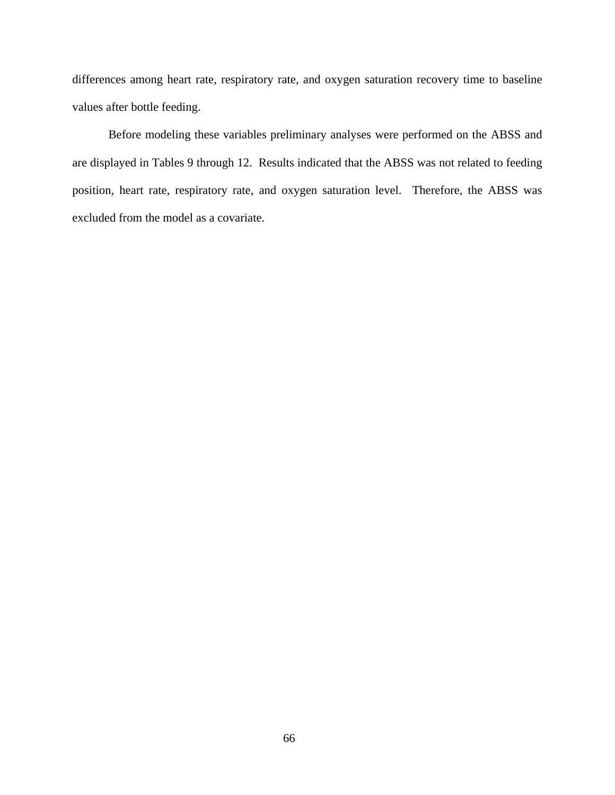differences among heart rate, respiratory rate, and oxygen saturation recovery time to baseline values after bottle feeding.

 Before modeling these variables preliminary analyses were performed on the ABSS and are displayed in Tables 9 through 12. Results indicated that the ABSS was not related to feeding position, heart rate, respiratory rate, and oxygen saturation level. Therefore, the ABSS was excluded from the model as a covariate.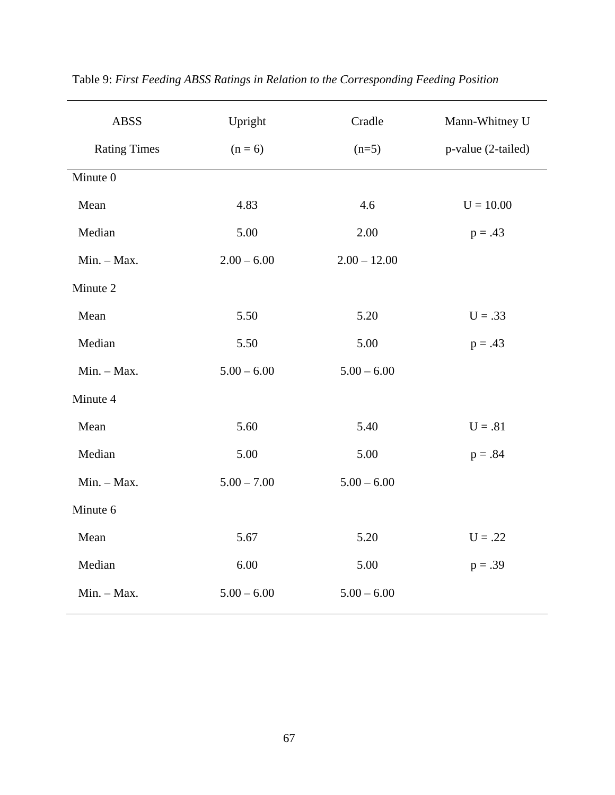| <b>ABSS</b>         | Upright       | Cradle         | Mann-Whitney U     |
|---------------------|---------------|----------------|--------------------|
| <b>Rating Times</b> | $(n = 6)$     | $(n=5)$        | p-value (2-tailed) |
| Minute 0            |               |                |                    |
| Mean                | 4.83          | 4.6            | $U = 10.00$        |
| Median              | 5.00          | 2.00           | $p = .43$          |
| Min. - Max.         | $2.00 - 6.00$ | $2.00 - 12.00$ |                    |
| Minute 2            |               |                |                    |
| Mean                | 5.50          | 5.20           | $U = .33$          |
| Median              | 5.50          | 5.00           | $p = .43$          |
| Min. - Max.         | $5.00 - 6.00$ | $5.00 - 6.00$  |                    |
| Minute 4            |               |                |                    |
| Mean                | 5.60          | 5.40           | $U = .81$          |
| Median              | 5.00          | 5.00           | $p = .84$          |
| Min. - Max.         | $5.00 - 7.00$ | $5.00 - 6.00$  |                    |
| Minute 6            |               |                |                    |
| Mean                | 5.67          | 5.20           | $U = .22$          |
| Median              | 6.00          | 5.00           | $p = .39$          |
| Min. - Max.         | $5.00 - 6.00$ | $5.00 - 6.00$  |                    |

Table 9: *First Feeding ABSS Ratings in Relation to the Corresponding Feeding Position*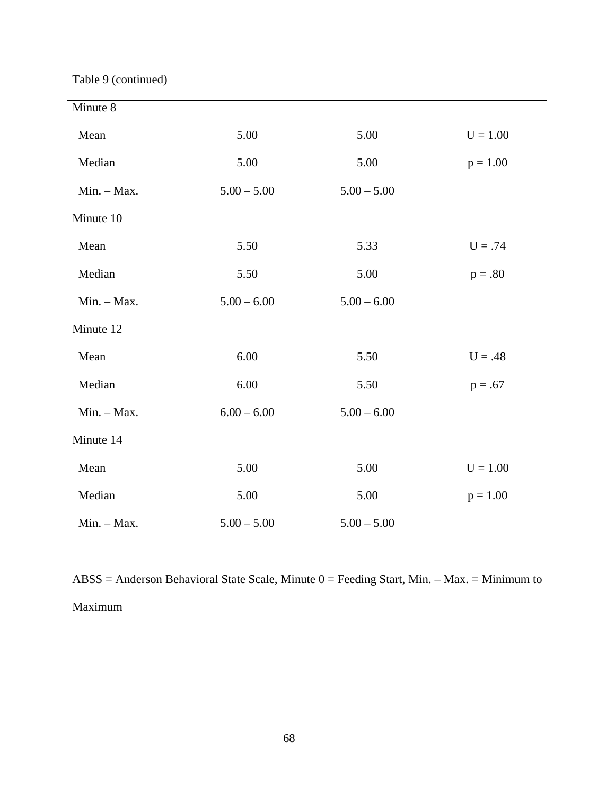Table 9 (continued)

| $U = 1.00$<br>$p = 1.00$ |
|--------------------------|
|                          |
|                          |
|                          |
|                          |
|                          |
| $U = .74$                |
| $p=.80$                  |
|                          |
|                          |
| $U = .48$                |
| $p = .67$                |
|                          |
|                          |
| $U = 1.00$               |
| $p = 1.00$               |
|                          |
|                          |

ABSS = Anderson Behavioral State Scale, Minute 0 = Feeding Start, Min. – Max. = Minimum to Maximum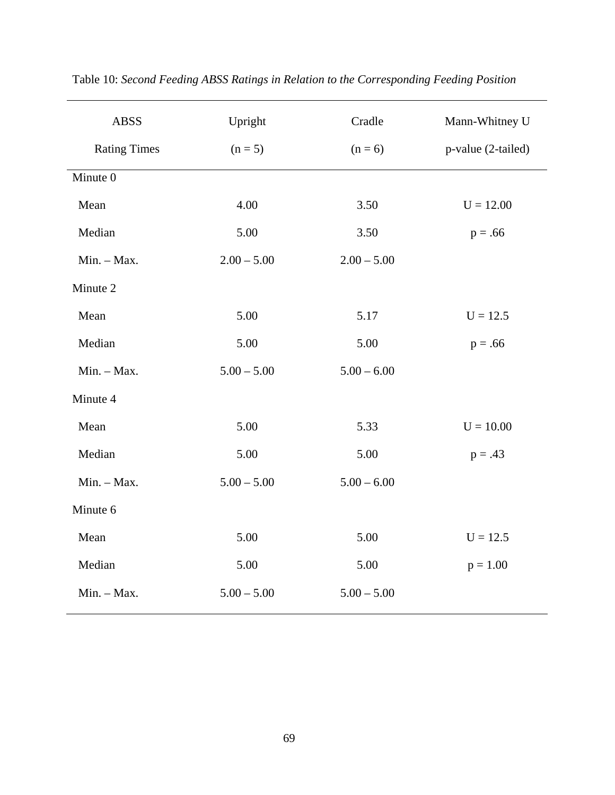| <b>ABSS</b>         | Upright       | Cradle        | Mann-Whitney U     |
|---------------------|---------------|---------------|--------------------|
| <b>Rating Times</b> | $(n = 5)$     | $(n = 6)$     | p-value (2-tailed) |
| Minute 0            |               |               |                    |
| Mean                | 4.00          | 3.50          | $U = 12.00$        |
| Median              | 5.00          | 3.50          | $p = .66$          |
| Min. - Max.         | $2.00 - 5.00$ | $2.00 - 5.00$ |                    |
| Minute 2            |               |               |                    |
| Mean                | 5.00          | 5.17          | $U = 12.5$         |
| Median              | 5.00          | 5.00          | $p = .66$          |
| Min. - Max.         | $5.00 - 5.00$ | $5.00 - 6.00$ |                    |
| Minute 4            |               |               |                    |
| Mean                | 5.00          | 5.33          | $U = 10.00$        |
| Median              | 5.00          | 5.00          | $p = .43$          |
| Min. - Max.         | $5.00 - 5.00$ | $5.00 - 6.00$ |                    |
| Minute 6            |               |               |                    |
| Mean                | 5.00          | 5.00          | $U = 12.5$         |
| Median              | 5.00          | 5.00          | $p = 1.00$         |
| Min. - Max.         | $5.00 - 5.00$ | $5.00 - 5.00$ |                    |

Table 10: *Second Feeding ABSS Ratings in Relation to the Corresponding Feeding Position*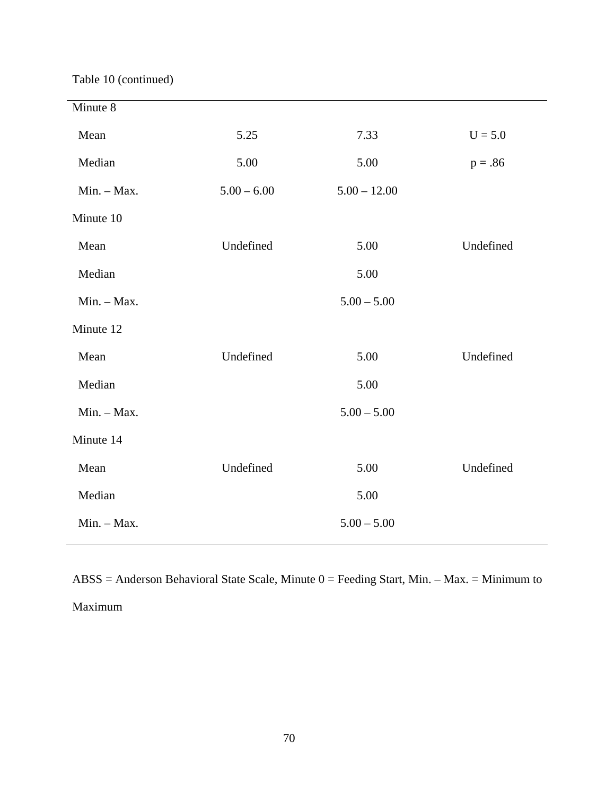Table 10 (continued)

| Minute 8    |               |                |           |
|-------------|---------------|----------------|-----------|
| Mean        | 5.25          | 7.33           | $U = 5.0$ |
| Median      | 5.00          | 5.00           | $p = .86$ |
| Min. - Max. | $5.00 - 6.00$ | $5.00 - 12.00$ |           |
| Minute 10   |               |                |           |
| Mean        | Undefined     | 5.00           | Undefined |
| Median      |               | 5.00           |           |
| Min. - Max. |               | $5.00 - 5.00$  |           |
| Minute 12   |               |                |           |
| Mean        | Undefined     | 5.00           | Undefined |
| Median      |               | 5.00           |           |
| Min. - Max. |               | $5.00 - 5.00$  |           |
| Minute 14   |               |                |           |
| Mean        | Undefined     | 5.00           | Undefined |
| Median      |               | 5.00           |           |
| Min. - Max. |               | $5.00 - 5.00$  |           |

ABSS = Anderson Behavioral State Scale, Minute 0 = Feeding Start, Min. – Max. = Minimum to Maximum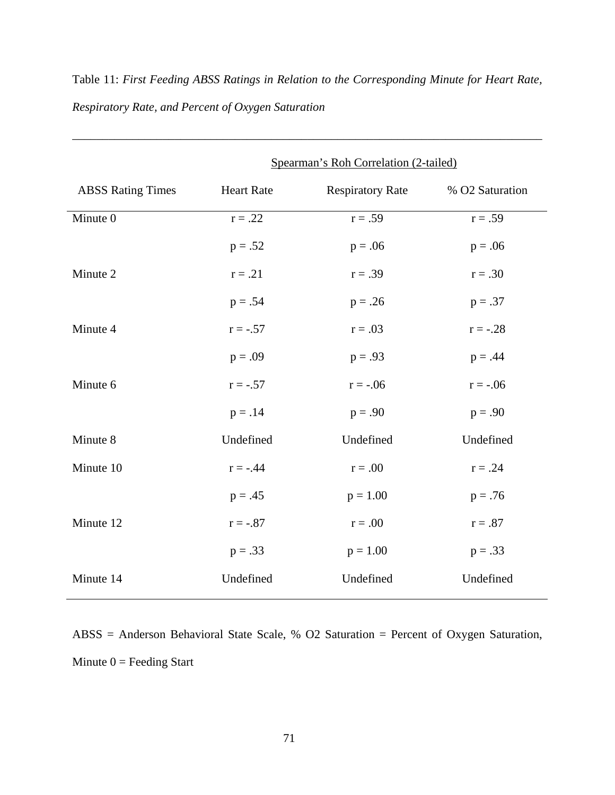|                          | Spearman's Roh Correlation (2-tailed) |                         |                 |
|--------------------------|---------------------------------------|-------------------------|-----------------|
| <b>ABSS Rating Times</b> | <b>Heart Rate</b>                     | <b>Respiratory Rate</b> | % O2 Saturation |
| Minute 0                 | $r=.22$                               | $r = .59$               | $r = .59$       |
|                          | $p = .52$                             | $p = .06$               | $p = .06$       |
| Minute 2                 | $r=.21$                               | $r = .39$               | $r = .30$       |
|                          | $p = .54$                             | $p = .26$               | $p = .37$       |
| Minute 4                 | $r = -.57$                            | $r = .03$               | $r = -.28$      |
|                          | $p = .09$                             | $p = .93$               | $p = .44$       |
| Minute 6                 | $r = -.57$                            | $r = -.06$              | $r = -.06$      |
|                          | $p = .14$                             | $p = .90$               | $p = .90$       |
| Minute 8                 | Undefined                             | Undefined               | Undefined       |
| Minute 10                | $r = -.44$                            | $r = .00$               | $r = .24$       |
|                          | $p = .45$                             | $p = 1.00$              | $p = .76$       |
| Minute 12                | $r = -.87$                            | $r = .00$               | $r = .87$       |
|                          | $p = .33$                             | $p = 1.00$              | $p = .33$       |
| Minute 14                | Undefined                             | Undefined               | Undefined       |

Table 11: *First Feeding ABSS Ratings in Relation to the Corresponding Minute for Heart Rate, Respiratory Rate, and Percent of Oxygen Saturation*

\_\_\_\_\_\_\_\_\_\_\_\_\_\_\_\_\_\_\_\_\_\_\_\_\_\_\_\_\_\_\_\_\_\_\_\_\_\_\_\_\_\_\_\_\_\_\_\_\_\_\_\_\_\_\_\_\_\_\_\_\_\_\_\_\_\_\_\_\_\_\_\_\_\_\_\_\_\_

ABSS = Anderson Behavioral State Scale, % O2 Saturation = Percent of Oxygen Saturation, Minute  $0 =$  Feeding Start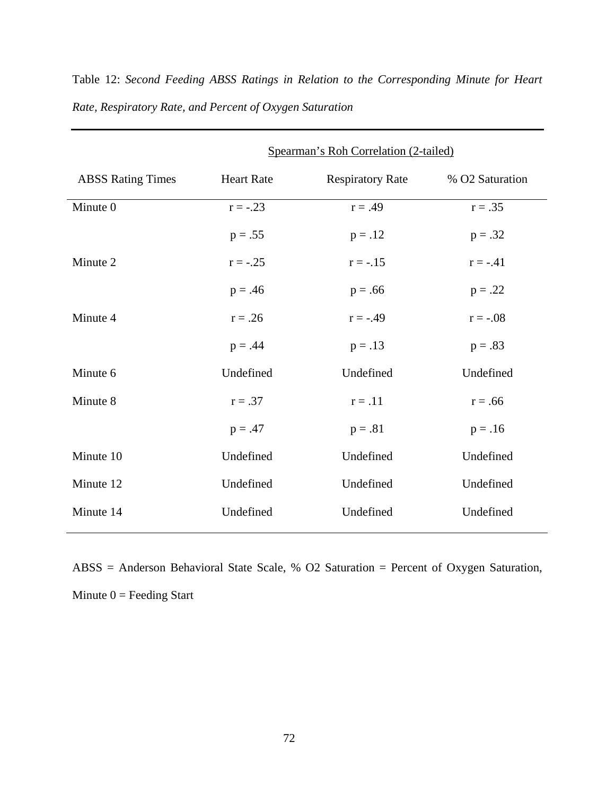|                          | Spearman's Roh Correlation (2-tailed) |                         |                 |
|--------------------------|---------------------------------------|-------------------------|-----------------|
| <b>ABSS Rating Times</b> | <b>Heart Rate</b>                     | <b>Respiratory Rate</b> | % O2 Saturation |
| Minute 0                 | $r = -.23$                            | $r = .49$               | $r = .35$       |
|                          | $p = .55$                             | $p = .12$               | $p = .32$       |
| Minute 2                 | $r = -.25$                            | $r = -0.15$             | $r = -.41$      |
|                          | $p = .46$                             | $p = .66$               | $p = .22$       |
| Minute 4                 | $r = .26$                             | $r = -.49$              | $r = -.08$      |
|                          | $p = .44$                             | $p = .13$               | $p = .83$       |
| Minute 6                 | Undefined                             | Undefined               | Undefined       |
| Minute 8                 | $r = .37$                             | $r=.11$                 | $r = .66$       |
|                          | $p = .47$                             | $p = .81$               | $p = .16$       |
| Minute 10                | Undefined                             | Undefined               | Undefined       |
| Minute 12                | Undefined                             | Undefined               | Undefined       |
| Minute 14                | Undefined                             | Undefined               | Undefined       |

Table 12: *Second Feeding ABSS Ratings in Relation to the Corresponding Minute for Heart Rate, Respiratory Rate, and Percent of Oxygen Saturation* 

ABSS = Anderson Behavioral State Scale, % O2 Saturation = Percent of Oxygen Saturation, Minute  $0 =$  Feeding Start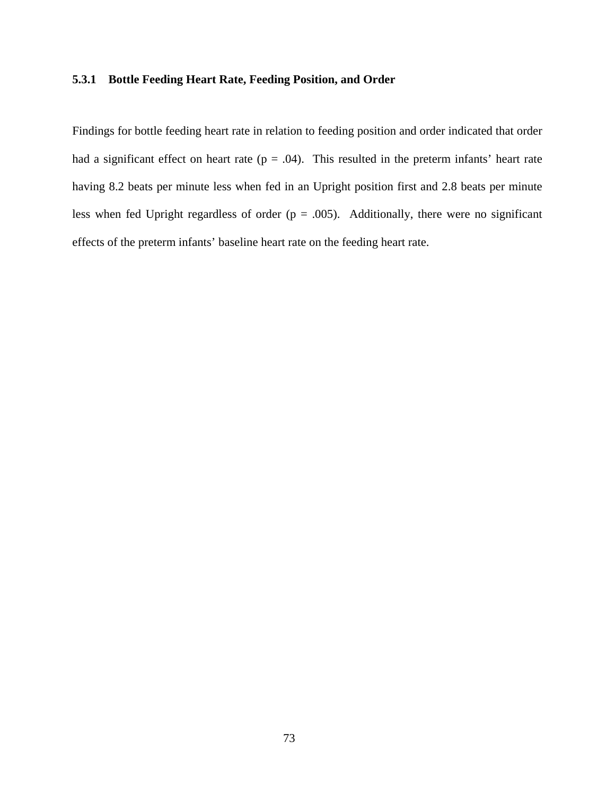# **5.3.1 Bottle Feeding Heart Rate, Feeding Position, and Order**

Findings for bottle feeding heart rate in relation to feeding position and order indicated that order had a significant effect on heart rate ( $p = .04$ ). This resulted in the preterm infants' heart rate having 8.2 beats per minute less when fed in an Upright position first and 2.8 beats per minute less when fed Upright regardless of order ( $p = .005$ ). Additionally, there were no significant effects of the preterm infants' baseline heart rate on the feeding heart rate.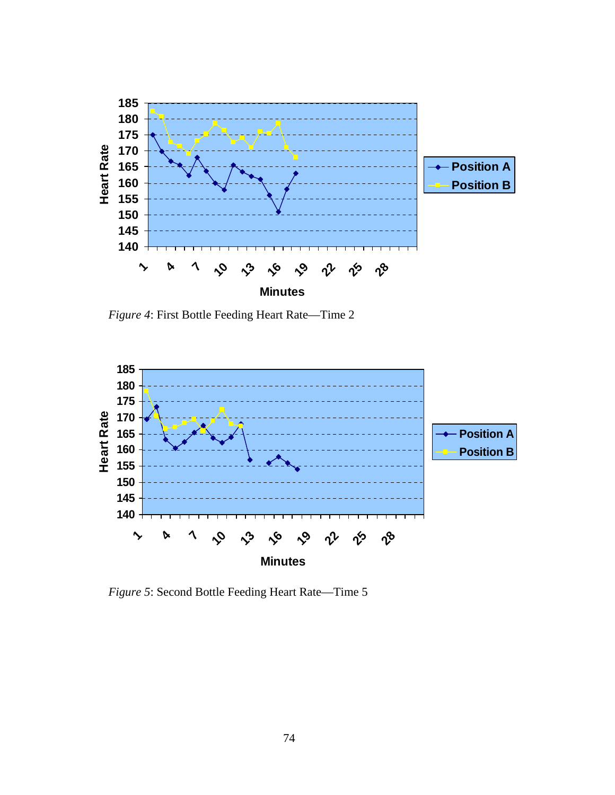

*Figure 4*: First Bottle Feeding Heart Rate—Time 2



*Figure 5*: Second Bottle Feeding Heart Rate—Time 5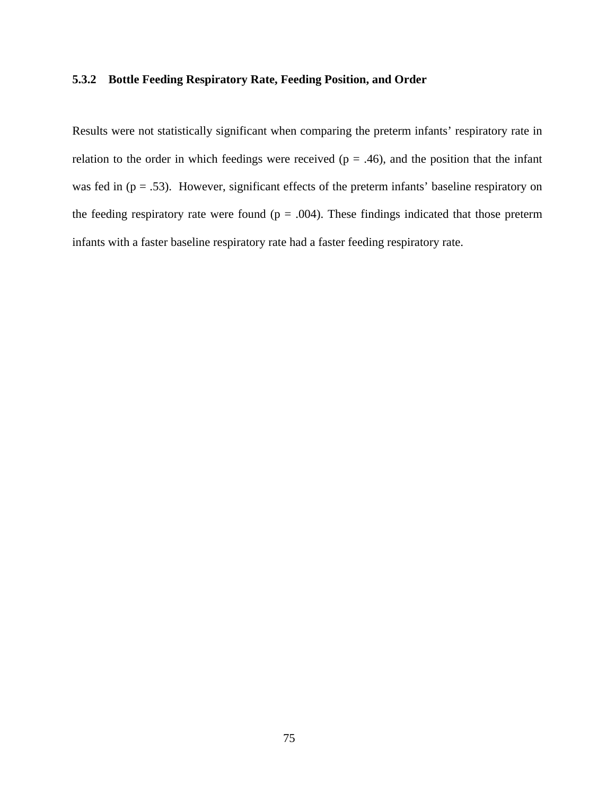# **5.3.2 Bottle Feeding Respiratory Rate, Feeding Position, and Order**

Results were not statistically significant when comparing the preterm infants' respiratory rate in relation to the order in which feedings were received ( $p = .46$ ), and the position that the infant was fed in  $(p = .53)$ . However, significant effects of the preterm infants' baseline respiratory on the feeding respiratory rate were found ( $p = .004$ ). These findings indicated that those preterm infants with a faster baseline respiratory rate had a faster feeding respiratory rate.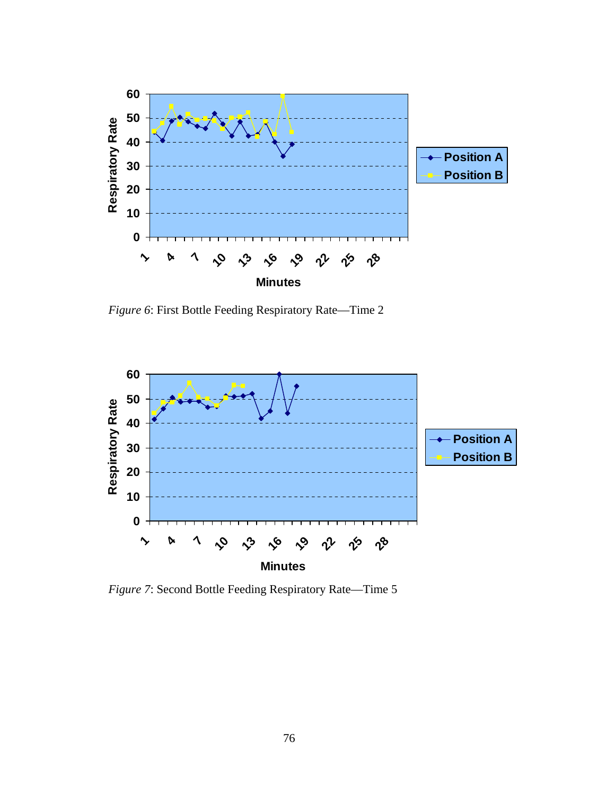

*Figure 6*: First Bottle Feeding Respiratory Rate—Time 2



 *Figure 7*: Second Bottle Feeding Respiratory Rate—Time 5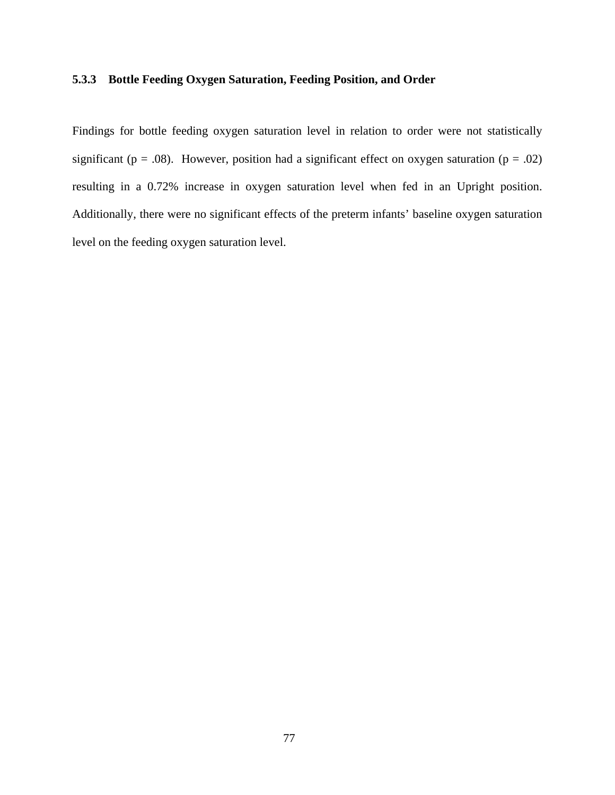# **5.3.3 Bottle Feeding Oxygen Saturation, Feeding Position, and Order**

Findings for bottle feeding oxygen saturation level in relation to order were not statistically significant ( $p = .08$ ). However, position had a significant effect on oxygen saturation ( $p = .02$ ) resulting in a 0.72% increase in oxygen saturation level when fed in an Upright position. Additionally, there were no significant effects of the preterm infants' baseline oxygen saturation level on the feeding oxygen saturation level.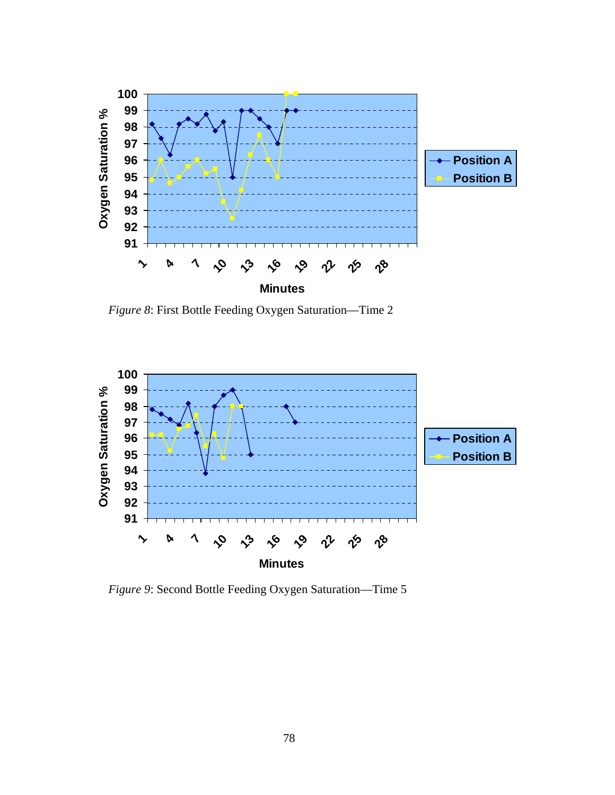

*Figure 8*: First Bottle Feeding Oxygen Saturation—Time 2



*Figure 9*: Second Bottle Feeding Oxygen Saturation—Time 5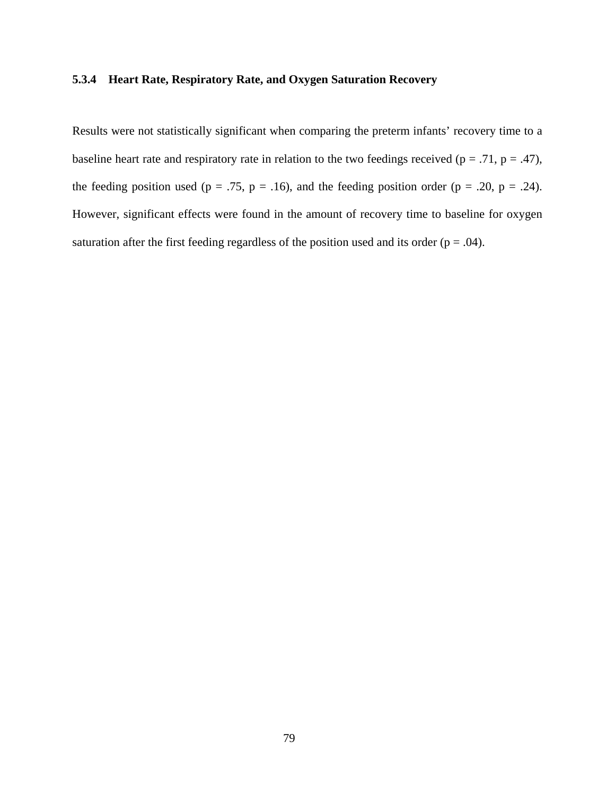# **5.3.4 Heart Rate, Respiratory Rate, and Oxygen Saturation Recovery**

Results were not statistically significant when comparing the preterm infants' recovery time to a baseline heart rate and respiratory rate in relation to the two feedings received ( $p = .71$ ,  $p = .47$ ), the feeding position used ( $p = .75$ ,  $p = .16$ ), and the feeding position order ( $p = .20$ ,  $p = .24$ ). However, significant effects were found in the amount of recovery time to baseline for oxygen saturation after the first feeding regardless of the position used and its order ( $p = .04$ ).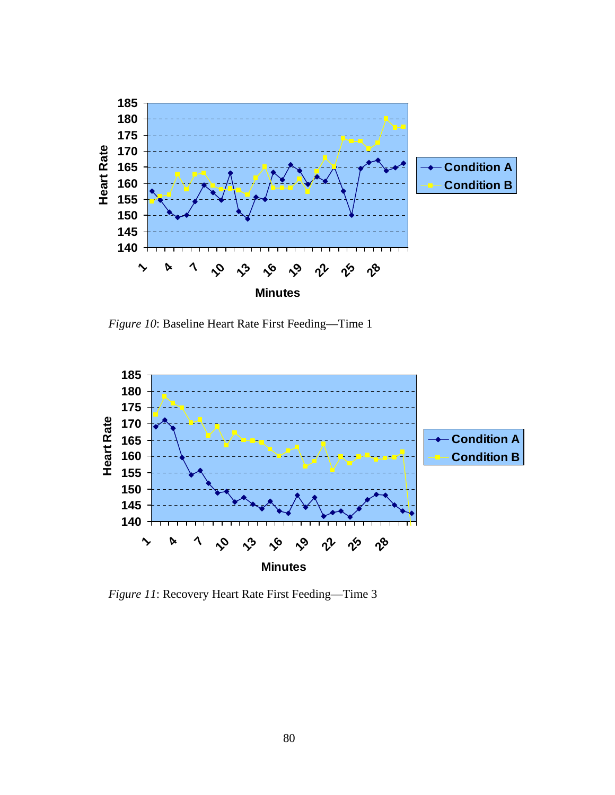

 *Figure 10*: Baseline Heart Rate First Feeding—Time 1



*Figure 11*: Recovery Heart Rate First Feeding—Time 3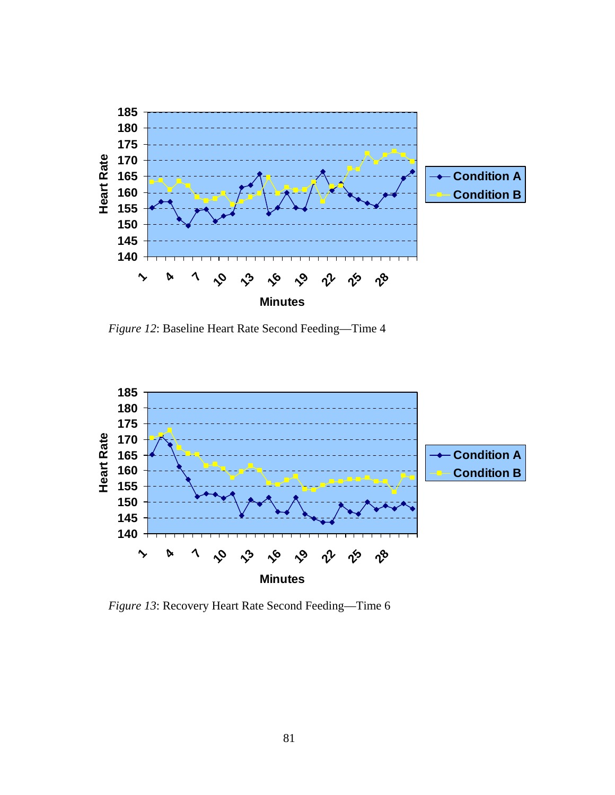

*Figure 12*: Baseline Heart Rate Second Feeding—Time 4



 *Figure 13*: Recovery Heart Rate Second Feeding—Time 6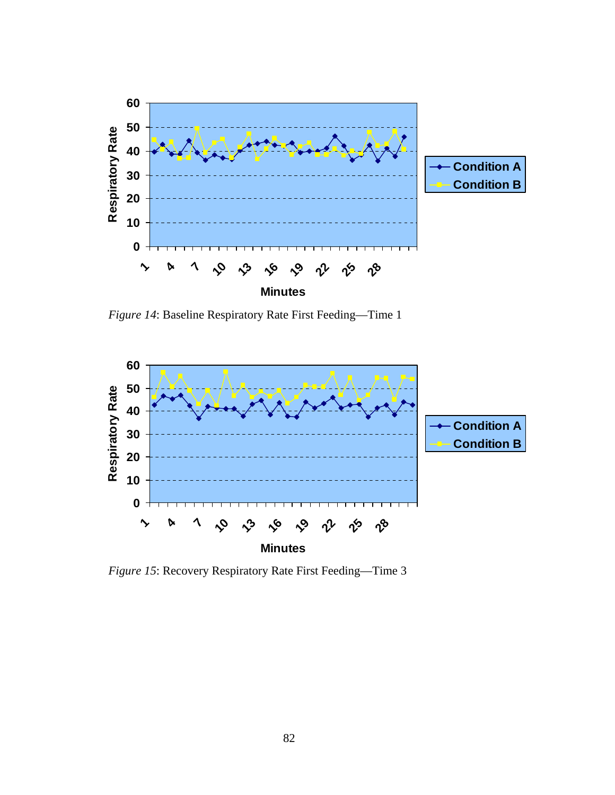

 *Figure 14*: Baseline Respiratory Rate First Feeding—Time 1



*Figure 15*: Recovery Respiratory Rate First Feeding—Time 3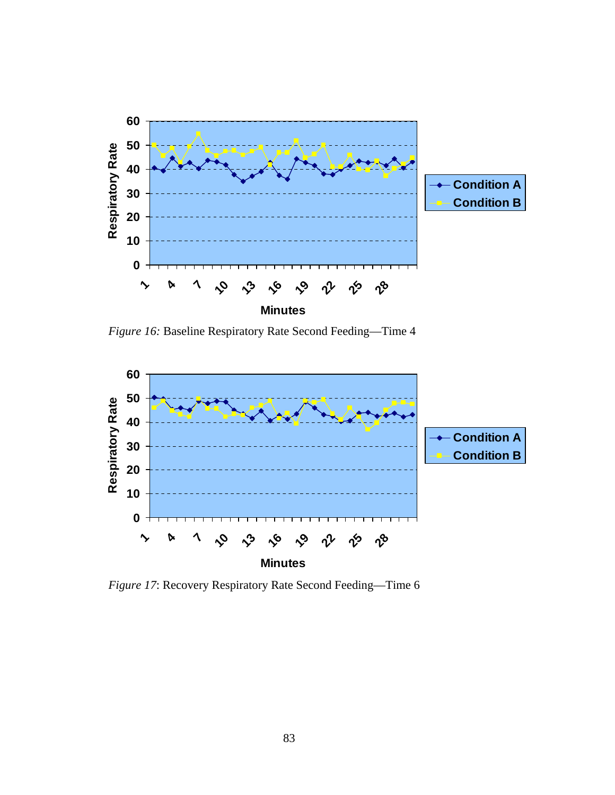

 *Figure 16:* Baseline Respiratory Rate Second Feeding—Time 4



*Figure 17*: Recovery Respiratory Rate Second Feeding—Time 6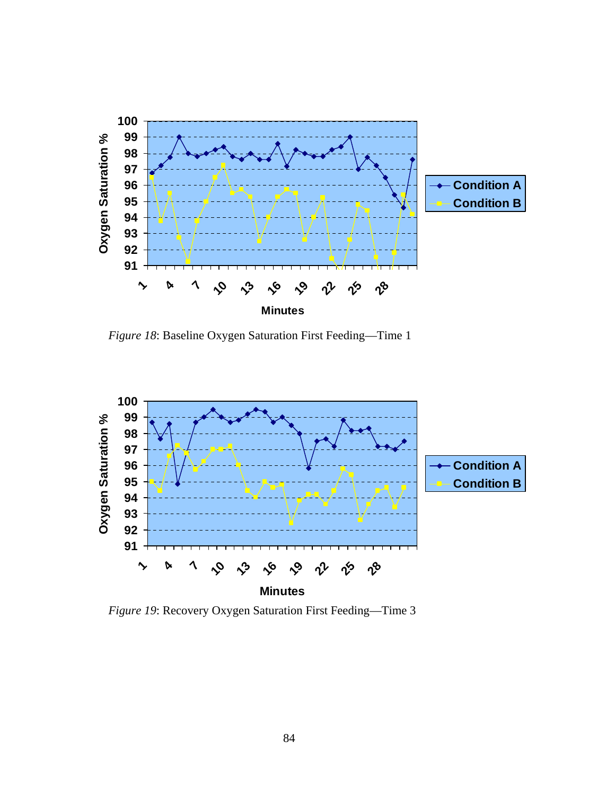

*Figure 18*: Baseline Oxygen Saturation First Feeding—Time 1



*Figure 19*: Recovery Oxygen Saturation First Feeding—Time 3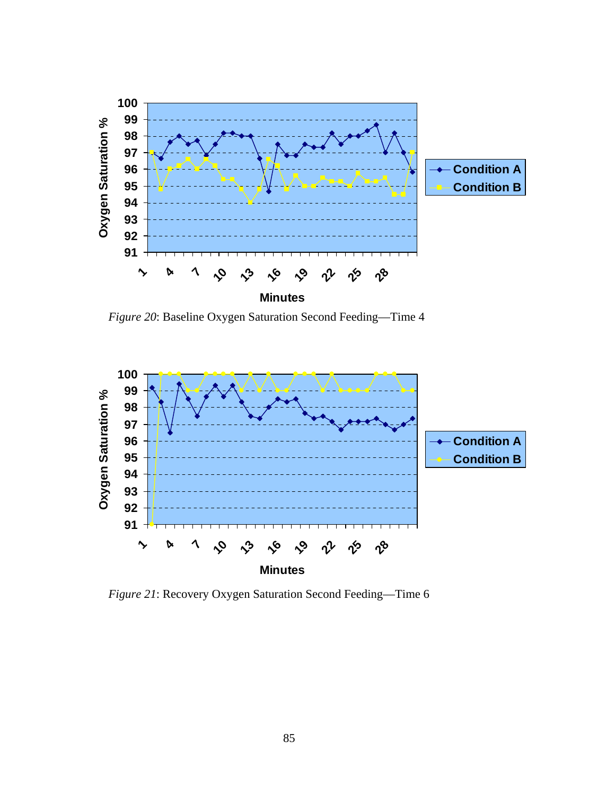

*Figure 20*: Baseline Oxygen Saturation Second Feeding—Time 4



*Figure 21*: Recovery Oxygen Saturation Second Feeding—Time 6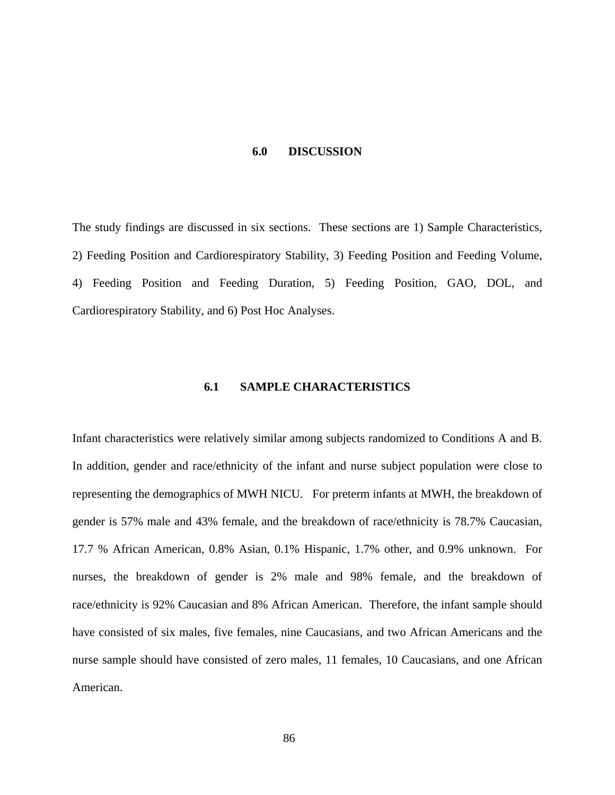#### **6.0 DISCUSSION**

The study findings are discussed in six sections. These sections are 1) Sample Characteristics, 2) Feeding Position and Cardiorespiratory Stability, 3) Feeding Position and Feeding Volume, 4) Feeding Position and Feeding Duration, 5) Feeding Position, GAO, DOL, and Cardiorespiratory Stability, and 6) Post Hoc Analyses.

# **6.1 SAMPLE CHARACTERISTICS**

Infant characteristics were relatively similar among subjects randomized to Conditions A and B. In addition, gender and race/ethnicity of the infant and nurse subject population were close to representing the demographics of MWH NICU. For preterm infants at MWH, the breakdown of gender is 57% male and 43% female, and the breakdown of race/ethnicity is 78.7% Caucasian, 17.7 % African American, 0.8% Asian, 0.1% Hispanic, 1.7% other, and 0.9% unknown. For nurses, the breakdown of gender is 2% male and 98% female, and the breakdown of race/ethnicity is 92% Caucasian and 8% African American. Therefore, the infant sample should have consisted of six males, five females, nine Caucasians, and two African Americans and the nurse sample should have consisted of zero males, 11 females, 10 Caucasians, and one African American.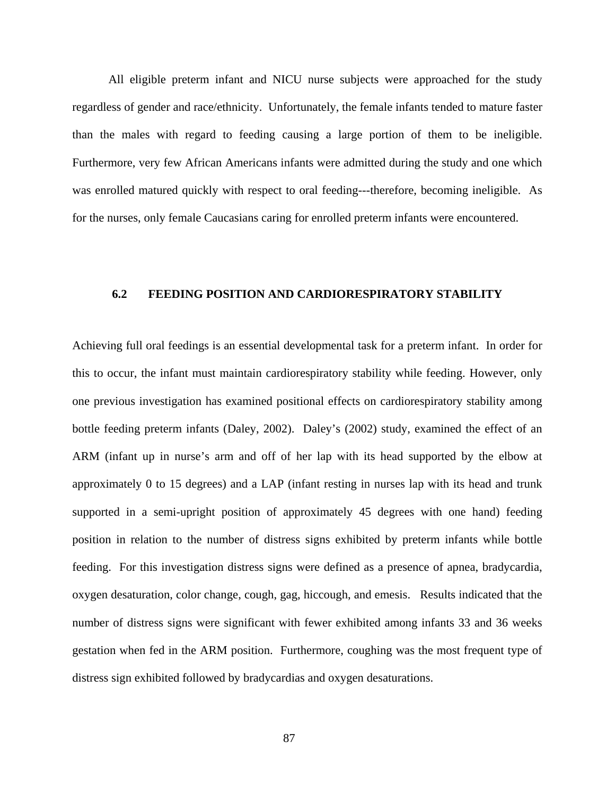All eligible preterm infant and NICU nurse subjects were approached for the study regardless of gender and race/ethnicity. Unfortunately, the female infants tended to mature faster than the males with regard to feeding causing a large portion of them to be ineligible. Furthermore, very few African Americans infants were admitted during the study and one which was enrolled matured quickly with respect to oral feeding---therefore, becoming ineligible. As for the nurses, only female Caucasians caring for enrolled preterm infants were encountered.

# **6.2 FEEDING POSITION AND CARDIORESPIRATORY STABILITY**

Achieving full oral feedings is an essential developmental task for a preterm infant. In order for this to occur, the infant must maintain cardiorespiratory stability while feeding. However, only one previous investigation has examined positional effects on cardiorespiratory stability among bottle feeding preterm infants (Daley, 2002). Daley's (2002) study, examined the effect of an ARM (infant up in nurse's arm and off of her lap with its head supported by the elbow at approximately 0 to 15 degrees) and a LAP (infant resting in nurses lap with its head and trunk supported in a semi-upright position of approximately 45 degrees with one hand) feeding position in relation to the number of distress signs exhibited by preterm infants while bottle feeding. For this investigation distress signs were defined as a presence of apnea, bradycardia, oxygen desaturation, color change, cough, gag, hiccough, and emesis. Results indicated that the number of distress signs were significant with fewer exhibited among infants 33 and 36 weeks gestation when fed in the ARM position. Furthermore, coughing was the most frequent type of distress sign exhibited followed by bradycardias and oxygen desaturations.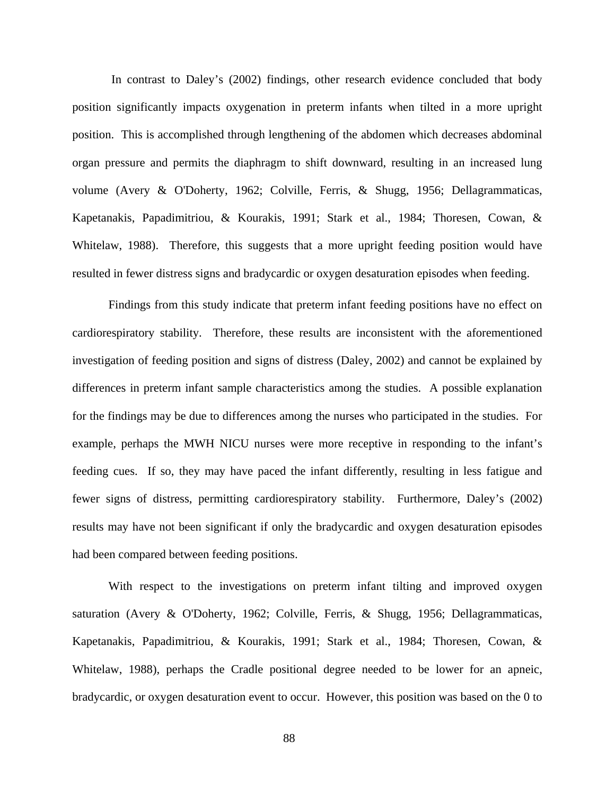In contrast to Daley's (2002) findings, other research evidence concluded that body position significantly impacts oxygenation in preterm infants when tilted in a more upright position. This is accomplished through lengthening of the abdomen which decreases abdominal organ pressure and permits the diaphragm to shift downward, resulting in an increased lung volume (Avery & O'Doherty, 1962; Colville, Ferris, & Shugg, 1956; Dellagrammaticas, Kapetanakis, Papadimitriou, & Kourakis, 1991; Stark et al., 1984; Thoresen, Cowan, & Whitelaw, 1988). Therefore, this suggests that a more upright feeding position would have resulted in fewer distress signs and bradycardic or oxygen desaturation episodes when feeding.

Findings from this study indicate that preterm infant feeding positions have no effect on cardiorespiratory stability. Therefore, these results are inconsistent with the aforementioned investigation of feeding position and signs of distress (Daley, 2002) and cannot be explained by differences in preterm infant sample characteristics among the studies. A possible explanation for the findings may be due to differences among the nurses who participated in the studies. For example, perhaps the MWH NICU nurses were more receptive in responding to the infant's feeding cues. If so, they may have paced the infant differently, resulting in less fatigue and fewer signs of distress, permitting cardiorespiratory stability. Furthermore, Daley's (2002) results may have not been significant if only the bradycardic and oxygen desaturation episodes had been compared between feeding positions.

With respect to the investigations on preterm infant tilting and improved oxygen saturation (Avery & O'Doherty, 1962; Colville, Ferris, & Shugg, 1956; Dellagrammaticas, Kapetanakis, Papadimitriou, & Kourakis, 1991; Stark et al., 1984; Thoresen, Cowan, & Whitelaw, 1988), perhaps the Cradle positional degree needed to be lower for an apneic, bradycardic, or oxygen desaturation event to occur. However, this position was based on the 0 to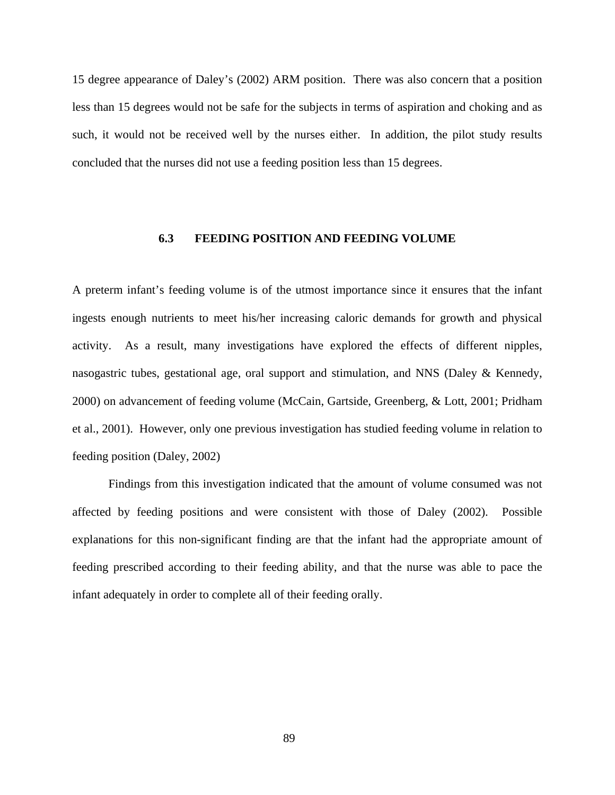15 degree appearance of Daley's (2002) ARM position. There was also concern that a position less than 15 degrees would not be safe for the subjects in terms of aspiration and choking and as such, it would not be received well by the nurses either. In addition, the pilot study results concluded that the nurses did not use a feeding position less than 15 degrees.

# **6.3 FEEDING POSITION AND FEEDING VOLUME**

A preterm infant's feeding volume is of the utmost importance since it ensures that the infant ingests enough nutrients to meet his/her increasing caloric demands for growth and physical activity. As a result, many investigations have explored the effects of different nipples, nasogastric tubes, gestational age, oral support and stimulation, and NNS (Daley & Kennedy, 2000) on advancement of feeding volume (McCain, Gartside, Greenberg, & Lott, 2001; Pridham et al., 2001). However, only one previous investigation has studied feeding volume in relation to feeding position (Daley, 2002)

 Findings from this investigation indicated that the amount of volume consumed was not affected by feeding positions and were consistent with those of Daley (2002). Possible explanations for this non-significant finding are that the infant had the appropriate amount of feeding prescribed according to their feeding ability, and that the nurse was able to pace the infant adequately in order to complete all of their feeding orally.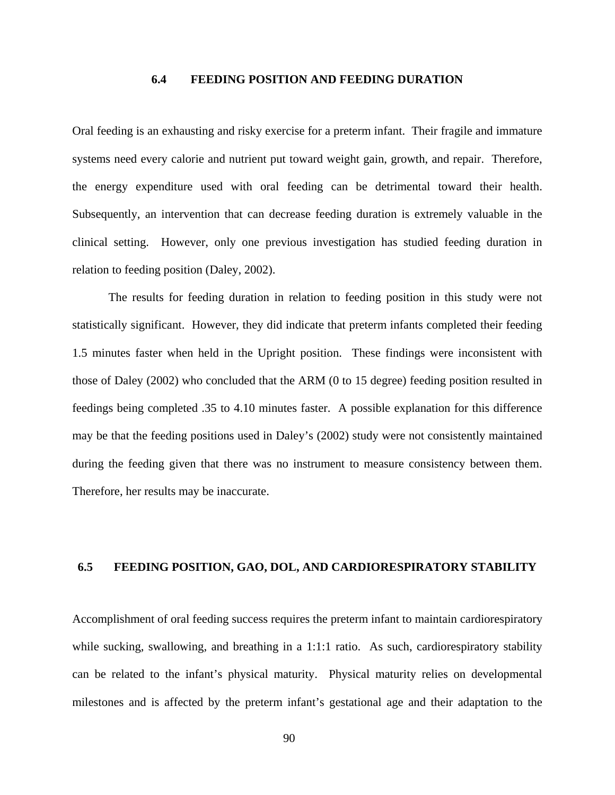#### **6.4 FEEDING POSITION AND FEEDING DURATION**

Oral feeding is an exhausting and risky exercise for a preterm infant. Their fragile and immature systems need every calorie and nutrient put toward weight gain, growth, and repair. Therefore, the energy expenditure used with oral feeding can be detrimental toward their health. Subsequently, an intervention that can decrease feeding duration is extremely valuable in the clinical setting. However, only one previous investigation has studied feeding duration in relation to feeding position (Daley, 2002).

The results for feeding duration in relation to feeding position in this study were not statistically significant. However, they did indicate that preterm infants completed their feeding 1.5 minutes faster when held in the Upright position. These findings were inconsistent with those of Daley (2002) who concluded that the ARM (0 to 15 degree) feeding position resulted in feedings being completed .35 to 4.10 minutes faster. A possible explanation for this difference may be that the feeding positions used in Daley's (2002) study were not consistently maintained during the feeding given that there was no instrument to measure consistency between them. Therefore, her results may be inaccurate.

# **6.5 FEEDING POSITION, GAO, DOL, AND CARDIORESPIRATORY STABILITY**

Accomplishment of oral feeding success requires the preterm infant to maintain cardiorespiratory while sucking, swallowing, and breathing in a 1:1:1 ratio. As such, cardiorespiratory stability can be related to the infant's physical maturity. Physical maturity relies on developmental milestones and is affected by the preterm infant's gestational age and their adaptation to the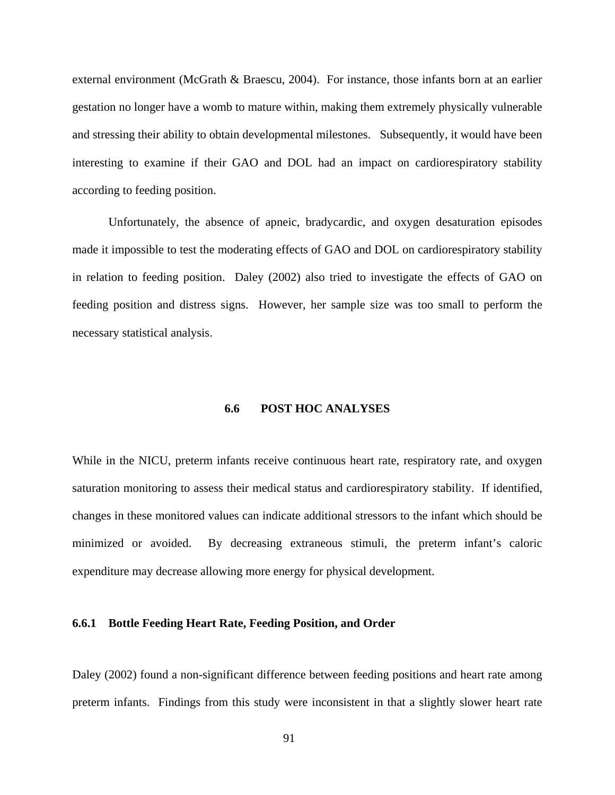external environment (McGrath & Braescu, 2004). For instance, those infants born at an earlier gestation no longer have a womb to mature within, making them extremely physically vulnerable and stressing their ability to obtain developmental milestones. Subsequently, it would have been interesting to examine if their GAO and DOL had an impact on cardiorespiratory stability according to feeding position.

 Unfortunately, the absence of apneic, bradycardic, and oxygen desaturation episodes made it impossible to test the moderating effects of GAO and DOL on cardiorespiratory stability in relation to feeding position. Daley (2002) also tried to investigate the effects of GAO on feeding position and distress signs. However, her sample size was too small to perform the necessary statistical analysis.

# **6.6 POST HOC ANALYSES**

While in the NICU, preterm infants receive continuous heart rate, respiratory rate, and oxygen saturation monitoring to assess their medical status and cardiorespiratory stability. If identified, changes in these monitored values can indicate additional stressors to the infant which should be minimized or avoided. By decreasing extraneous stimuli, the preterm infant's caloric expenditure may decrease allowing more energy for physical development.

## **6.6.1 Bottle Feeding Heart Rate, Feeding Position, and Order**

Daley (2002) found a non-significant difference between feeding positions and heart rate among preterm infants. Findings from this study were inconsistent in that a slightly slower heart rate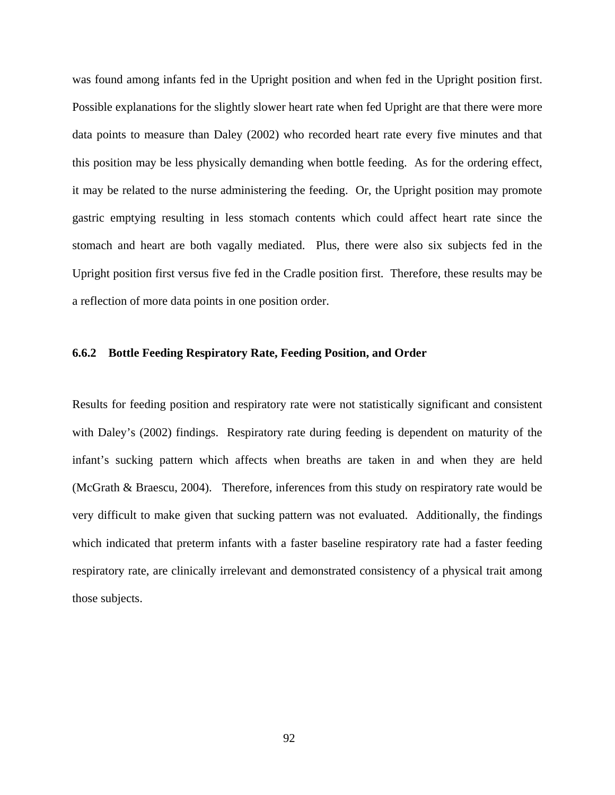was found among infants fed in the Upright position and when fed in the Upright position first. Possible explanations for the slightly slower heart rate when fed Upright are that there were more data points to measure than Daley (2002) who recorded heart rate every five minutes and that this position may be less physically demanding when bottle feeding. As for the ordering effect, it may be related to the nurse administering the feeding. Or, the Upright position may promote gastric emptying resulting in less stomach contents which could affect heart rate since the stomach and heart are both vagally mediated. Plus, there were also six subjects fed in the Upright position first versus five fed in the Cradle position first. Therefore, these results may be a reflection of more data points in one position order.

## **6.6.2 Bottle Feeding Respiratory Rate, Feeding Position, and Order**

Results for feeding position and respiratory rate were not statistically significant and consistent with Daley's (2002) findings. Respiratory rate during feeding is dependent on maturity of the infant's sucking pattern which affects when breaths are taken in and when they are held (McGrath & Braescu, 2004). Therefore, inferences from this study on respiratory rate would be very difficult to make given that sucking pattern was not evaluated. Additionally, the findings which indicated that preterm infants with a faster baseline respiratory rate had a faster feeding respiratory rate, are clinically irrelevant and demonstrated consistency of a physical trait among those subjects.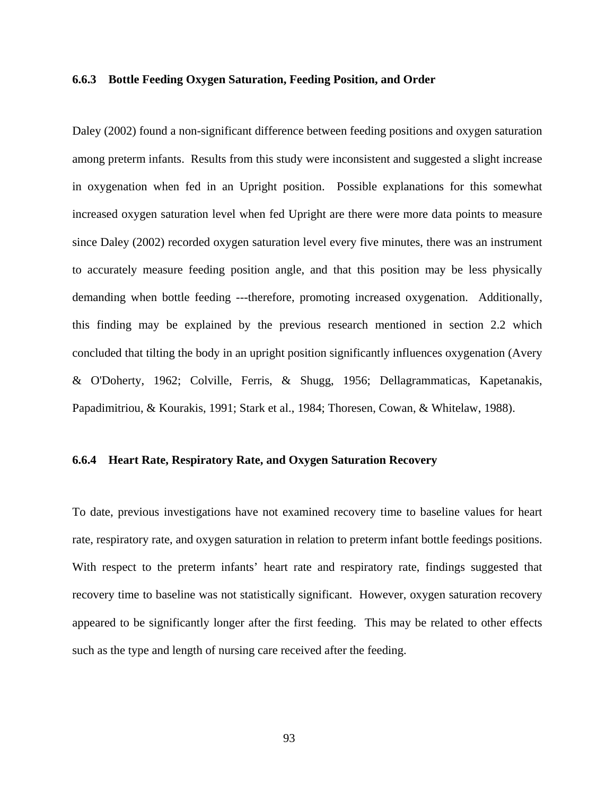#### **6.6.3 Bottle Feeding Oxygen Saturation, Feeding Position, and Order**

Daley (2002) found a non-significant difference between feeding positions and oxygen saturation among preterm infants. Results from this study were inconsistent and suggested a slight increase in oxygenation when fed in an Upright position. Possible explanations for this somewhat increased oxygen saturation level when fed Upright are there were more data points to measure since Daley (2002) recorded oxygen saturation level every five minutes, there was an instrument to accurately measure feeding position angle, and that this position may be less physically demanding when bottle feeding ---therefore, promoting increased oxygenation. Additionally, this finding may be explained by the previous research mentioned in section 2.2 which concluded that tilting the body in an upright position significantly influences oxygenation (Avery & O'Doherty, 1962; Colville, Ferris, & Shugg, 1956; Dellagrammaticas, Kapetanakis, Papadimitriou, & Kourakis, 1991; Stark et al., 1984; Thoresen, Cowan, & Whitelaw, 1988).

#### **6.6.4 Heart Rate, Respiratory Rate, and Oxygen Saturation Recovery**

To date, previous investigations have not examined recovery time to baseline values for heart rate, respiratory rate, and oxygen saturation in relation to preterm infant bottle feedings positions. With respect to the preterm infants' heart rate and respiratory rate, findings suggested that recovery time to baseline was not statistically significant. However, oxygen saturation recovery appeared to be significantly longer after the first feeding. This may be related to other effects such as the type and length of nursing care received after the feeding.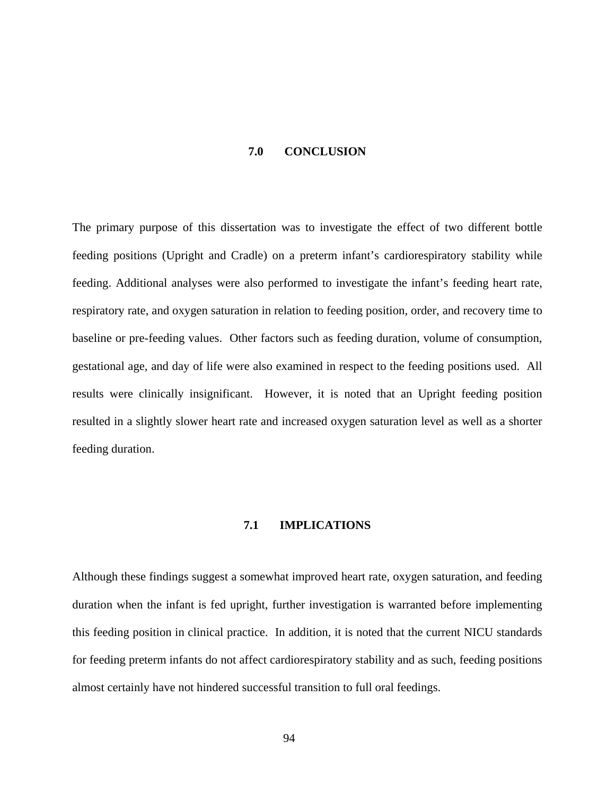#### **7.0 CONCLUSION**

The primary purpose of this dissertation was to investigate the effect of two different bottle feeding positions (Upright and Cradle) on a preterm infant's cardiorespiratory stability while feeding. Additional analyses were also performed to investigate the infant's feeding heart rate, respiratory rate, and oxygen saturation in relation to feeding position, order, and recovery time to baseline or pre-feeding values. Other factors such as feeding duration, volume of consumption, gestational age, and day of life were also examined in respect to the feeding positions used. All results were clinically insignificant. However, it is noted that an Upright feeding position resulted in a slightly slower heart rate and increased oxygen saturation level as well as a shorter feeding duration.

#### **7.1 IMPLICATIONS**

Although these findings suggest a somewhat improved heart rate, oxygen saturation, and feeding duration when the infant is fed upright, further investigation is warranted before implementing this feeding position in clinical practice. In addition, it is noted that the current NICU standards for feeding preterm infants do not affect cardiorespiratory stability and as such, feeding positions almost certainly have not hindered successful transition to full oral feedings.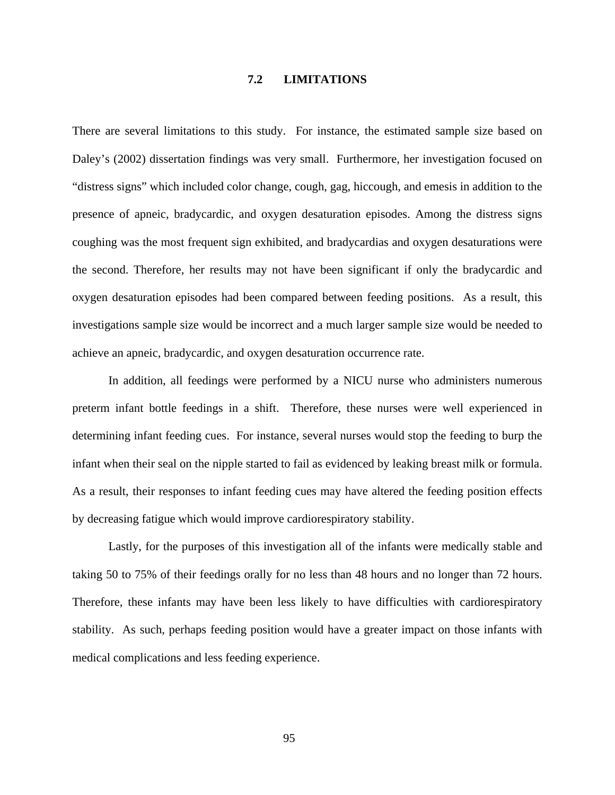#### **7.2 LIMITATIONS**

There are several limitations to this study. For instance, the estimated sample size based on Daley's (2002) dissertation findings was very small. Furthermore, her investigation focused on "distress signs" which included color change, cough, gag, hiccough, and emesis in addition to the presence of apneic, bradycardic, and oxygen desaturation episodes. Among the distress signs coughing was the most frequent sign exhibited, and bradycardias and oxygen desaturations were the second. Therefore, her results may not have been significant if only the bradycardic and oxygen desaturation episodes had been compared between feeding positions. As a result, this investigations sample size would be incorrect and a much larger sample size would be needed to achieve an apneic, bradycardic, and oxygen desaturation occurrence rate.

In addition, all feedings were performed by a NICU nurse who administers numerous preterm infant bottle feedings in a shift. Therefore, these nurses were well experienced in determining infant feeding cues. For instance, several nurses would stop the feeding to burp the infant when their seal on the nipple started to fail as evidenced by leaking breast milk or formula. As a result, their responses to infant feeding cues may have altered the feeding position effects by decreasing fatigue which would improve cardiorespiratory stability.

Lastly, for the purposes of this investigation all of the infants were medically stable and taking 50 to 75% of their feedings orally for no less than 48 hours and no longer than 72 hours. Therefore, these infants may have been less likely to have difficulties with cardiorespiratory stability. As such, perhaps feeding position would have a greater impact on those infants with medical complications and less feeding experience.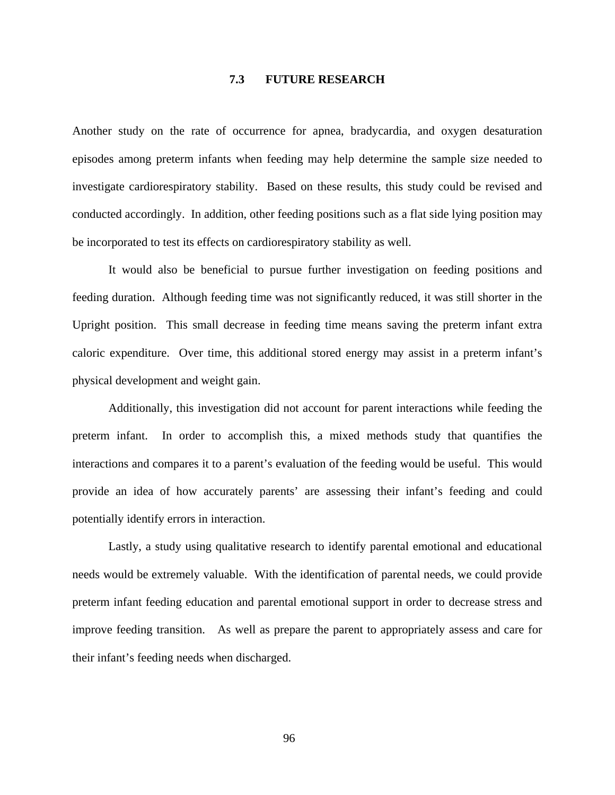#### **7.3 FUTURE RESEARCH**

Another study on the rate of occurrence for apnea, bradycardia, and oxygen desaturation episodes among preterm infants when feeding may help determine the sample size needed to investigate cardiorespiratory stability. Based on these results, this study could be revised and conducted accordingly. In addition, other feeding positions such as a flat side lying position may be incorporated to test its effects on cardiorespiratory stability as well.

It would also be beneficial to pursue further investigation on feeding positions and feeding duration. Although feeding time was not significantly reduced, it was still shorter in the Upright position. This small decrease in feeding time means saving the preterm infant extra caloric expenditure. Over time, this additional stored energy may assist in a preterm infant's physical development and weight gain.

Additionally, this investigation did not account for parent interactions while feeding the preterm infant. In order to accomplish this, a mixed methods study that quantifies the interactions and compares it to a parent's evaluation of the feeding would be useful. This would provide an idea of how accurately parents' are assessing their infant's feeding and could potentially identify errors in interaction.

Lastly, a study using qualitative research to identify parental emotional and educational needs would be extremely valuable. With the identification of parental needs, we could provide preterm infant feeding education and parental emotional support in order to decrease stress and improve feeding transition. As well as prepare the parent to appropriately assess and care for their infant's feeding needs when discharged.

96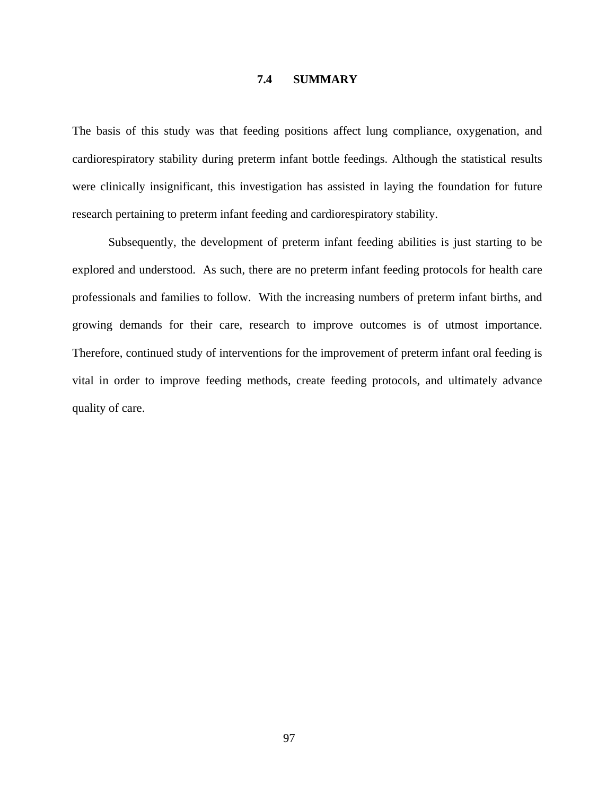#### **7.4 SUMMARY**

The basis of this study was that feeding positions affect lung compliance, oxygenation, and cardiorespiratory stability during preterm infant bottle feedings. Although the statistical results were clinically insignificant, this investigation has assisted in laying the foundation for future research pertaining to preterm infant feeding and cardiorespiratory stability.

Subsequently, the development of preterm infant feeding abilities is just starting to be explored and understood. As such, there are no preterm infant feeding protocols for health care professionals and families to follow. With the increasing numbers of preterm infant births, and growing demands for their care, research to improve outcomes is of utmost importance. Therefore, continued study of interventions for the improvement of preterm infant oral feeding is vital in order to improve feeding methods, create feeding protocols, and ultimately advance quality of care.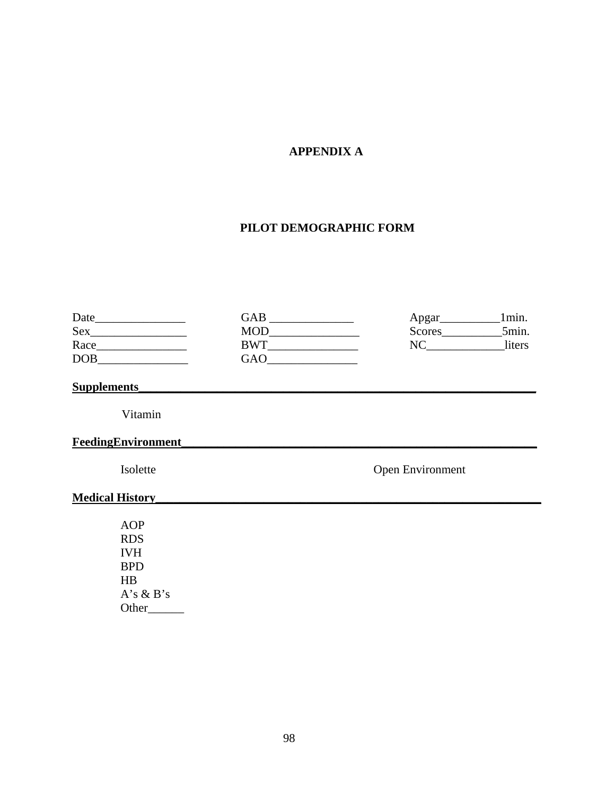# **APPENDIX A**

## **PILOT DEMOGRAPHIC FORM**

| Date       | GAB        | Apgar         | lmin.  |
|------------|------------|---------------|--------|
| Sex        | <b>MOD</b> | <b>Scores</b> | 5min.  |
| Race       | RWT        |               | liters |
| <b>DOB</b> | GAO        |               |        |

## **Supplements**

Vitamin

## **FeedingEnvironment\_\_\_\_\_\_\_\_\_\_\_\_\_\_\_\_\_\_\_\_\_\_\_\_\_\_\_\_\_\_\_\_\_\_\_\_\_\_\_\_\_\_\_\_\_\_\_\_\_\_\_\_\_\_\_\_\_\_\_**

Isolette Open Environment

## **Medical History\_\_\_\_\_\_\_\_\_\_\_\_\_\_\_\_\_\_\_\_\_\_\_\_\_\_\_\_\_\_\_\_\_\_\_\_\_\_\_\_\_\_\_\_\_\_\_\_\_\_\_\_\_\_\_\_\_\_\_\_\_\_\_\_**

 AOP RDS IVH BPD HB A's & B's Other\_\_\_\_\_\_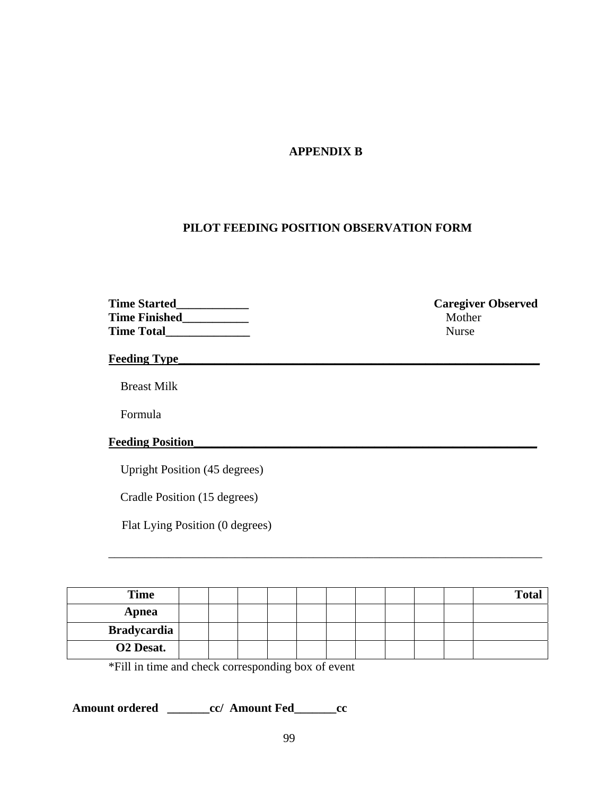## **APPENDIX B**

## **PILOT FEEDING POSITION OBSERVATION FORM**

| <b>Time Started</b>  | Caregiver     |
|----------------------|---------------|
| <b>Time Finished</b> | <b>Mother</b> |
| <b>Time Total</b>    | <b>Nurse</b>  |

**Caregiver Observed** 

**Feeding Type\_\_\_\_\_\_\_\_\_\_\_\_\_\_\_\_\_\_\_\_\_\_\_\_\_\_\_\_\_\_\_\_\_\_\_\_\_\_\_\_\_\_\_\_\_\_\_\_\_\_\_\_\_\_\_\_\_\_\_\_** 

Breast Milk

Formula

## **Feeding Position\_\_\_\_\_\_\_\_\_\_\_\_\_\_\_\_\_\_\_\_\_\_\_\_\_\_\_\_\_\_\_\_\_\_\_\_\_\_\_\_\_\_\_\_\_\_\_\_\_\_\_\_\_\_\_\_\_**

Upright Position (45 degrees)

Cradle Position (15 degrees)

Flat Lying Position (0 degrees)

| <b>Time</b>           |  |  |  |  |  | <b>Total</b> |
|-----------------------|--|--|--|--|--|--------------|
| Apnea                 |  |  |  |  |  |              |
| Bradycardia           |  |  |  |  |  |              |
| O <sub>2</sub> Desat. |  |  |  |  |  |              |

\_\_\_\_\_\_\_\_\_\_\_\_\_\_\_\_\_\_\_\_\_\_\_\_\_\_\_\_\_\_\_\_\_\_\_\_\_\_\_\_\_\_\_\_\_\_\_\_\_\_\_\_\_\_\_\_\_\_\_\_\_\_\_\_\_\_\_\_\_\_\_\_

\*Fill in time and check corresponding box of event

**Amount ordered \_\_\_\_\_\_\_cc/ Amount Fed\_\_\_\_\_\_\_cc**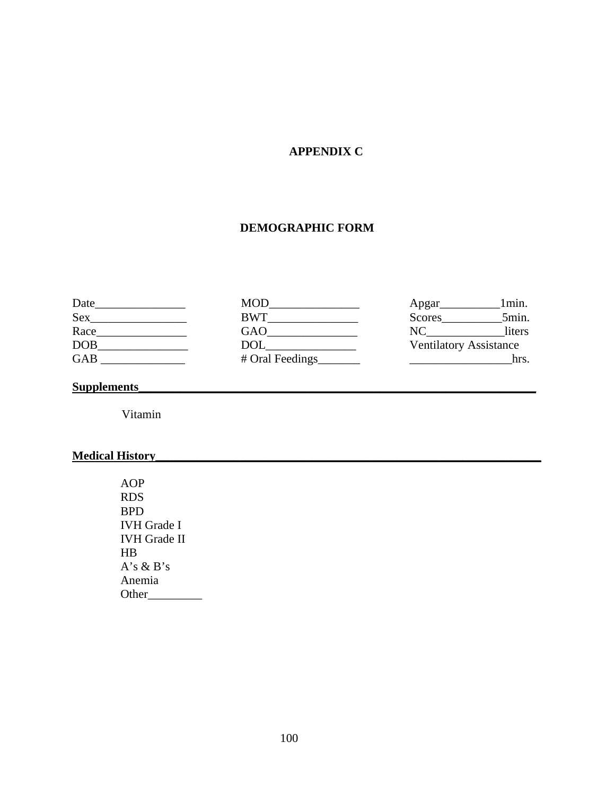# **APPENDIX C**

# **DEMOGRAPHIC FORM**

| Date       | <b>MOD</b>      | Apgar                         | 1min.  |
|------------|-----------------|-------------------------------|--------|
| Sex        | <b>BWT</b>      | <b>Scores</b>                 | 5min.  |
| Race       | GAO             |                               | liters |
| <b>DOB</b> | <b>DOL</b>      | <b>Ventilatory Assistance</b> |        |
| <b>GAB</b> | # Oral Feedings |                               | hrs.   |

# **Supplements**

Vitamin

# **Medical History\_\_\_\_\_\_\_\_\_\_\_\_\_\_\_\_\_\_\_\_\_\_\_\_\_\_\_\_\_\_\_\_\_\_\_\_\_\_\_\_\_\_\_\_\_\_\_\_\_\_\_\_\_\_\_\_\_\_\_\_\_\_\_\_**

 AOP RDS BPD IVH Grade I IVH Grade II HB  $A's \& B's$  Anemia Other\_\_\_\_\_\_\_\_\_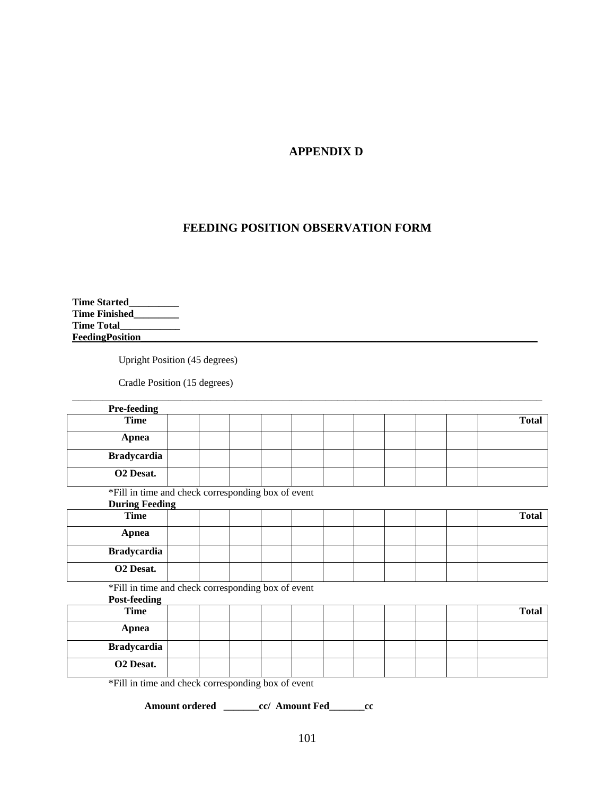## **APPENDIX D**

# **FEEDING POSITION OBSERVATION FORM**

**Time Started\_\_\_\_\_\_\_\_\_\_ Time Finished\_\_\_\_\_\_\_\_\_ Time Total\_\_\_\_\_\_\_\_\_\_\_\_ FeedingPosition\_\_\_\_\_\_\_\_\_\_\_\_\_\_\_\_\_\_\_\_\_\_\_\_\_\_\_\_\_\_\_\_\_\_\_\_\_\_\_\_\_\_\_\_\_\_\_\_\_\_\_\_\_\_\_\_\_\_\_\_\_\_\_\_\_\_\_\_\_\_\_\_\_\_\_\_\_\_\_** 

Upright Position (45 degrees)

Cradle Position (15 degrees)

| <b>Pre-feeding</b>                                 |  |  |  |  |              |
|----------------------------------------------------|--|--|--|--|--------------|
| <b>Time</b>                                        |  |  |  |  | <b>Total</b> |
| <b>Apnea</b>                                       |  |  |  |  |              |
| <b>Bradycardia</b>                                 |  |  |  |  |              |
| O <sub>2</sub> Desat.                              |  |  |  |  |              |
| *Fill in time and check corresponding box of event |  |  |  |  |              |
| <b>During Feeding</b>                              |  |  |  |  |              |
| <b>Time</b>                                        |  |  |  |  | <b>Total</b> |
| <b>Apnea</b>                                       |  |  |  |  |              |
| <b>Bradycardia</b>                                 |  |  |  |  |              |
| O2 Desat.                                          |  |  |  |  |              |
| *Fill in time and check corresponding box of event |  |  |  |  |              |
| <b>Post-feeding</b>                                |  |  |  |  |              |
| <b>Time</b>                                        |  |  |  |  | <b>Total</b> |
| <b>Apnea</b>                                       |  |  |  |  |              |
| <b>Bradycardia</b>                                 |  |  |  |  |              |
| O2 Desat.                                          |  |  |  |  |              |
| *Fill in time and check corresponding box of event |  |  |  |  |              |

\_\_\_\_\_\_\_\_\_\_\_\_\_\_\_\_\_\_\_\_\_\_\_\_\_\_\_\_\_\_\_\_\_\_\_\_\_\_\_\_\_\_\_\_\_\_\_\_\_\_\_\_\_\_\_\_\_\_\_\_\_\_\_\_\_\_\_\_\_\_\_\_\_\_\_\_\_\_

**Amount ordered \_\_\_\_\_\_\_cc/ Amount Fed\_\_\_\_\_\_\_cc**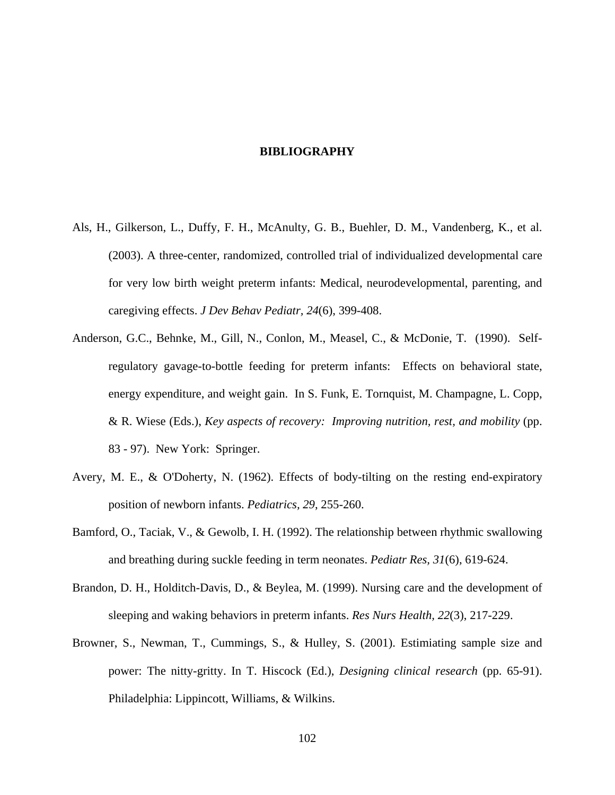#### **BIBLIOGRAPHY**

- Als, H., Gilkerson, L., Duffy, F. H., McAnulty, G. B., Buehler, D. M., Vandenberg, K., et al. (2003). A three-center, randomized, controlled trial of individualized developmental care for very low birth weight preterm infants: Medical, neurodevelopmental, parenting, and caregiving effects. *J Dev Behav Pediatr, 24*(6), 399-408.
- Anderson, G.C., Behnke, M., Gill, N., Conlon, M., Measel, C., & McDonie, T. (1990). Selfregulatory gavage-to-bottle feeding for preterm infants: Effects on behavioral state, energy expenditure, and weight gain. In S. Funk, E. Tornquist, M. Champagne, L. Copp, & R. Wiese (Eds.), *Key aspects of recovery: Improving nutrition, rest, and mobility* (pp. 83 - 97). New York: Springer.
- Avery, M. E., & O'Doherty, N. (1962). Effects of body-tilting on the resting end-expiratory position of newborn infants. *Pediatrics, 29*, 255-260.
- Bamford, O., Taciak, V., & Gewolb, I. H. (1992). The relationship between rhythmic swallowing and breathing during suckle feeding in term neonates. *Pediatr Res, 31*(6), 619-624.
- Brandon, D. H., Holditch-Davis, D., & Beylea, M. (1999). Nursing care and the development of sleeping and waking behaviors in preterm infants. *Res Nurs Health, 22*(3), 217-229.
- Browner, S., Newman, T., Cummings, S., & Hulley, S. (2001). Estimiating sample size and power: The nitty-gritty. In T. Hiscock (Ed.), *Designing clinical research* (pp. 65-91). Philadelphia: Lippincott, Williams, & Wilkins.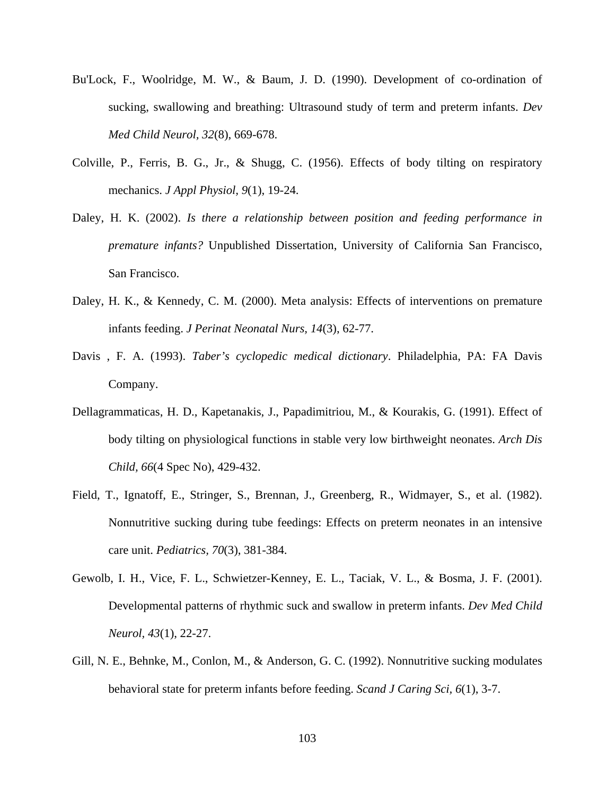- Bu'Lock, F., Woolridge, M. W., & Baum, J. D. (1990). Development of co-ordination of sucking, swallowing and breathing: Ultrasound study of term and preterm infants. *Dev Med Child Neurol, 32*(8), 669-678.
- Colville, P., Ferris, B. G., Jr., & Shugg, C. (1956). Effects of body tilting on respiratory mechanics. *J Appl Physiol, 9*(1), 19-24.
- Daley, H. K. (2002). *Is there a relationship between position and feeding performance in premature infants?* Unpublished Dissertation, University of California San Francisco, San Francisco.
- Daley, H. K., & Kennedy, C. M. (2000). Meta analysis: Effects of interventions on premature infants feeding. *J Perinat Neonatal Nurs, 14*(3), 62-77.
- Davis , F. A. (1993). *Taber's cyclopedic medical dictionary*. Philadelphia, PA: FA Davis Company.
- Dellagrammaticas, H. D., Kapetanakis, J., Papadimitriou, M., & Kourakis, G. (1991). Effect of body tilting on physiological functions in stable very low birthweight neonates. *Arch Dis Child, 66*(4 Spec No), 429-432.
- Field, T., Ignatoff, E., Stringer, S., Brennan, J., Greenberg, R., Widmayer, S., et al. (1982). Nonnutritive sucking during tube feedings: Effects on preterm neonates in an intensive care unit. *Pediatrics, 70*(3), 381-384.
- Gewolb, I. H., Vice, F. L., Schwietzer-Kenney, E. L., Taciak, V. L., & Bosma, J. F. (2001). Developmental patterns of rhythmic suck and swallow in preterm infants. *Dev Med Child Neurol, 43*(1), 22-27.
- Gill, N. E., Behnke, M., Conlon, M., & Anderson, G. C. (1992). Nonnutritive sucking modulates behavioral state for preterm infants before feeding. *Scand J Caring Sci, 6*(1), 3-7.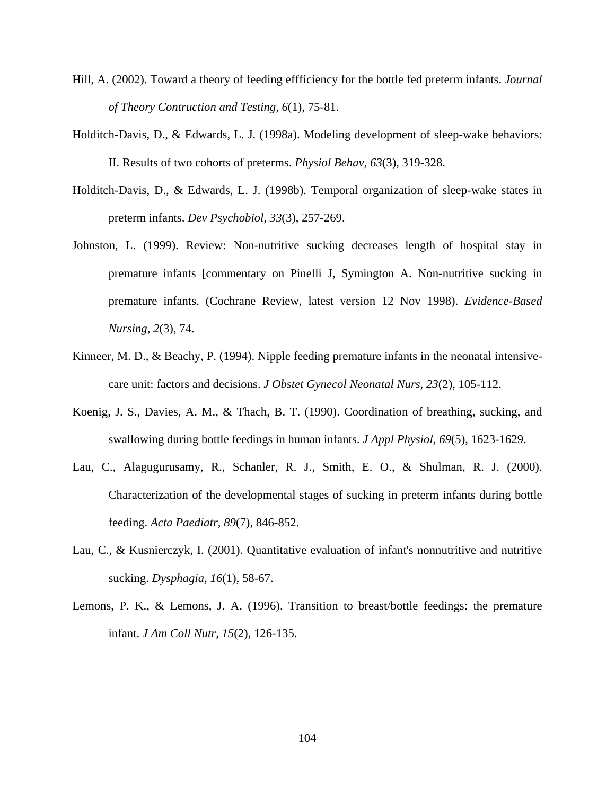- Hill, A. (2002). Toward a theory of feeding effficiency for the bottle fed preterm infants. *Journal of Theory Contruction and Testing, 6*(1), 75-81.
- Holditch-Davis, D., & Edwards, L. J. (1998a). Modeling development of sleep-wake behaviors: II. Results of two cohorts of preterms. *Physiol Behav, 63*(3), 319-328.
- Holditch-Davis, D., & Edwards, L. J. (1998b). Temporal organization of sleep-wake states in preterm infants. *Dev Psychobiol, 33*(3), 257-269.
- Johnston, L. (1999). Review: Non-nutritive sucking decreases length of hospital stay in premature infants [commentary on Pinelli J, Symington A. Non-nutritive sucking in premature infants. (Cochrane Review, latest version 12 Nov 1998). *Evidence-Based Nursing, 2*(3), 74.
- Kinneer, M. D., & Beachy, P. (1994). Nipple feeding premature infants in the neonatal intensivecare unit: factors and decisions. *J Obstet Gynecol Neonatal Nurs, 23*(2), 105-112.
- Koenig, J. S., Davies, A. M., & Thach, B. T. (1990). Coordination of breathing, sucking, and swallowing during bottle feedings in human infants. *J Appl Physiol, 69*(5), 1623-1629.
- Lau, C., Alagugurusamy, R., Schanler, R. J., Smith, E. O., & Shulman, R. J. (2000). Characterization of the developmental stages of sucking in preterm infants during bottle feeding. *Acta Paediatr, 89*(7), 846-852.
- Lau, C., & Kusnierczyk, I. (2001). Quantitative evaluation of infant's nonnutritive and nutritive sucking. *Dysphagia, 16*(1), 58-67.
- Lemons, P. K., & Lemons, J. A. (1996). Transition to breast/bottle feedings: the premature infant. *J Am Coll Nutr, 15*(2), 126-135.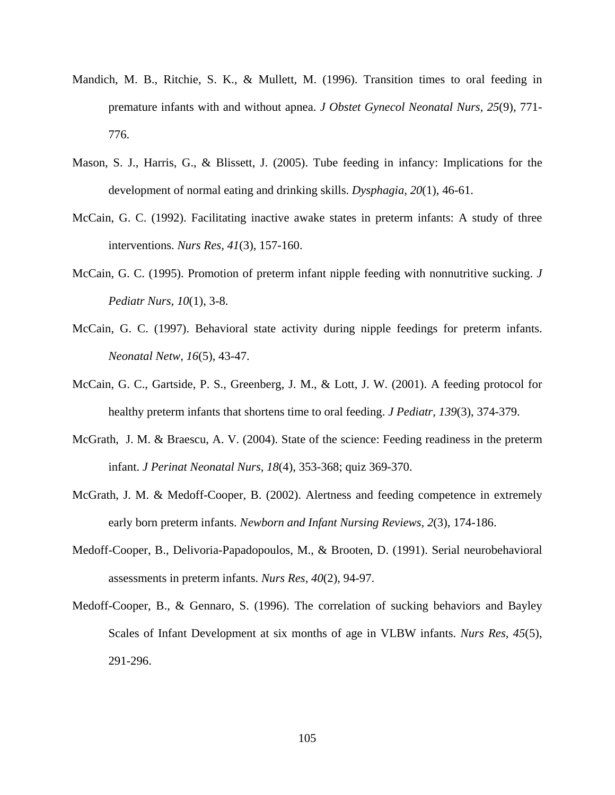- Mandich, M. B., Ritchie, S. K., & Mullett, M. (1996). Transition times to oral feeding in premature infants with and without apnea. *J Obstet Gynecol Neonatal Nurs, 25*(9), 771- 776.
- Mason, S. J., Harris, G., & Blissett, J. (2005). Tube feeding in infancy: Implications for the development of normal eating and drinking skills. *Dysphagia, 20*(1), 46-61.
- McCain, G. C. (1992). Facilitating inactive awake states in preterm infants: A study of three interventions. *Nurs Res, 41*(3), 157-160.
- McCain, G. C. (1995). Promotion of preterm infant nipple feeding with nonnutritive sucking. *J Pediatr Nurs, 10*(1), 3-8.
- McCain, G. C. (1997). Behavioral state activity during nipple feedings for preterm infants. *Neonatal Netw, 16*(5), 43-47.
- McCain, G. C., Gartside, P. S., Greenberg, J. M., & Lott, J. W. (2001). A feeding protocol for healthy preterm infants that shortens time to oral feeding. *J Pediatr, 139*(3), 374-379.
- McGrath, J. M. & Braescu, A. V. (2004). State of the science: Feeding readiness in the preterm infant. *J Perinat Neonatal Nurs, 18*(4), 353-368; quiz 369-370.
- McGrath, J. M. & Medoff-Cooper, B. (2002). Alertness and feeding competence in extremely early born preterm infants. *Newborn and Infant Nursing Reviews, 2*(3), 174-186.
- Medoff-Cooper, B., Delivoria-Papadopoulos, M., & Brooten, D. (1991). Serial neurobehavioral assessments in preterm infants. *Nurs Res, 40*(2), 94-97.
- Medoff-Cooper, B., & Gennaro, S. (1996). The correlation of sucking behaviors and Bayley Scales of Infant Development at six months of age in VLBW infants. *Nurs Res, 45*(5), 291-296.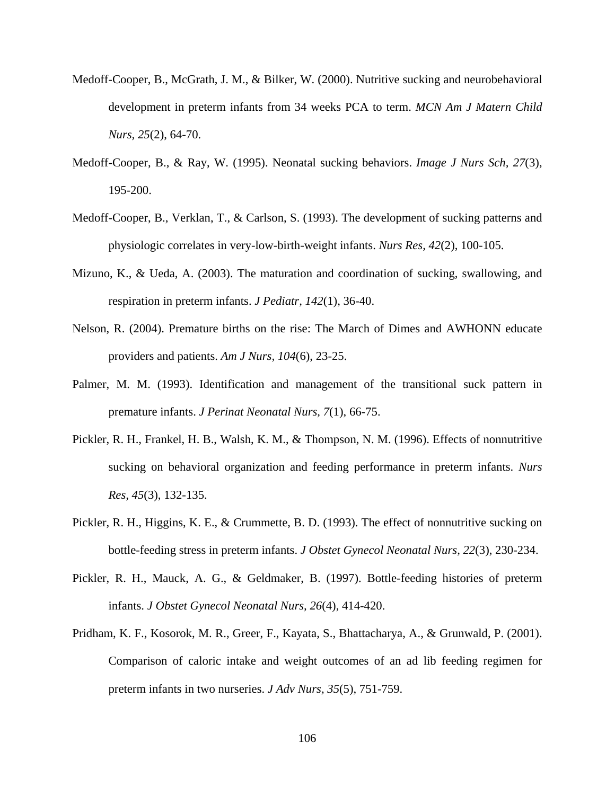- Medoff-Cooper, B., McGrath, J. M., & Bilker, W. (2000). Nutritive sucking and neurobehavioral development in preterm infants from 34 weeks PCA to term. *MCN Am J Matern Child Nurs, 25*(2), 64-70.
- Medoff-Cooper, B., & Ray, W. (1995). Neonatal sucking behaviors. *Image J Nurs Sch, 27*(3), 195-200.
- Medoff-Cooper, B., Verklan, T., & Carlson, S. (1993). The development of sucking patterns and physiologic correlates in very-low-birth-weight infants. *Nurs Res, 42*(2), 100-105.
- Mizuno, K., & Ueda, A. (2003). The maturation and coordination of sucking, swallowing, and respiration in preterm infants. *J Pediatr, 142*(1), 36-40.
- Nelson, R. (2004). Premature births on the rise: The March of Dimes and AWHONN educate providers and patients. *Am J Nurs, 104*(6), 23-25.
- Palmer, M. M. (1993). Identification and management of the transitional suck pattern in premature infants. *J Perinat Neonatal Nurs, 7*(1), 66-75.
- Pickler, R. H., Frankel, H. B., Walsh, K. M., & Thompson, N. M. (1996). Effects of nonnutritive sucking on behavioral organization and feeding performance in preterm infants. *Nurs Res, 45*(3), 132-135.
- Pickler, R. H., Higgins, K. E., & Crummette, B. D. (1993). The effect of nonnutritive sucking on bottle-feeding stress in preterm infants. *J Obstet Gynecol Neonatal Nurs, 22*(3), 230-234.
- Pickler, R. H., Mauck, A. G., & Geldmaker, B. (1997). Bottle-feeding histories of preterm infants. *J Obstet Gynecol Neonatal Nurs, 26*(4), 414-420.
- Pridham, K. F., Kosorok, M. R., Greer, F., Kayata, S., Bhattacharya, A., & Grunwald, P. (2001). Comparison of caloric intake and weight outcomes of an ad lib feeding regimen for preterm infants in two nurseries. *J Adv Nurs, 35*(5), 751-759.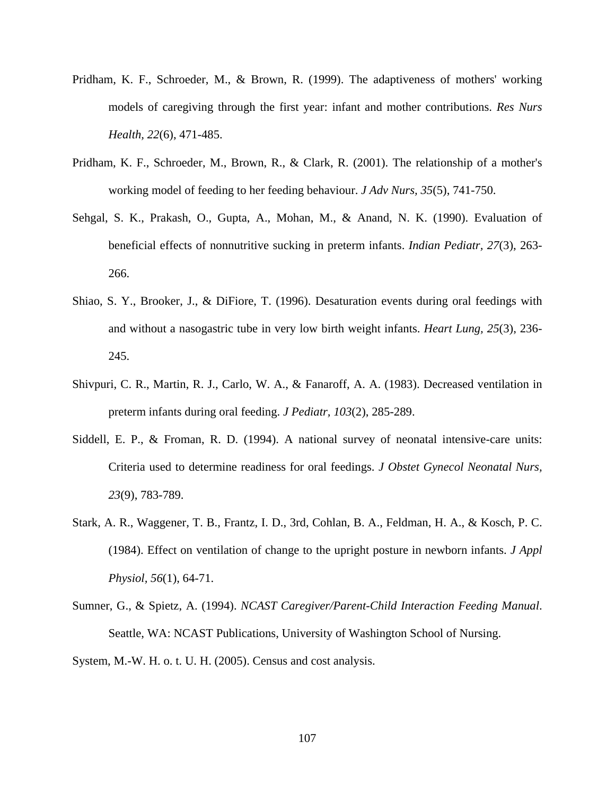- Pridham, K. F., Schroeder, M., & Brown, R. (1999). The adaptiveness of mothers' working models of caregiving through the first year: infant and mother contributions. *Res Nurs Health, 22*(6), 471-485.
- Pridham, K. F., Schroeder, M., Brown, R., & Clark, R. (2001). The relationship of a mother's working model of feeding to her feeding behaviour. *J Adv Nurs, 35*(5), 741-750.
- Sehgal, S. K., Prakash, O., Gupta, A., Mohan, M., & Anand, N. K. (1990). Evaluation of beneficial effects of nonnutritive sucking in preterm infants. *Indian Pediatr, 27*(3), 263- 266.
- Shiao, S. Y., Brooker, J., & DiFiore, T. (1996). Desaturation events during oral feedings with and without a nasogastric tube in very low birth weight infants. *Heart Lung, 25*(3), 236- 245.
- Shivpuri, C. R., Martin, R. J., Carlo, W. A., & Fanaroff, A. A. (1983). Decreased ventilation in preterm infants during oral feeding. *J Pediatr, 103*(2), 285-289.
- Siddell, E. P., & Froman, R. D. (1994). A national survey of neonatal intensive-care units: Criteria used to determine readiness for oral feedings. *J Obstet Gynecol Neonatal Nurs, 23*(9), 783-789.
- Stark, A. R., Waggener, T. B., Frantz, I. D., 3rd, Cohlan, B. A., Feldman, H. A., & Kosch, P. C. (1984). Effect on ventilation of change to the upright posture in newborn infants. *J Appl Physiol, 56*(1), 64-71.
- Sumner, G., & Spietz, A. (1994). *NCAST Caregiver/Parent-Child Interaction Feeding Manual*. Seattle, WA: NCAST Publications, University of Washington School of Nursing.

System, M.-W. H. o. t. U. H. (2005). Census and cost analysis.